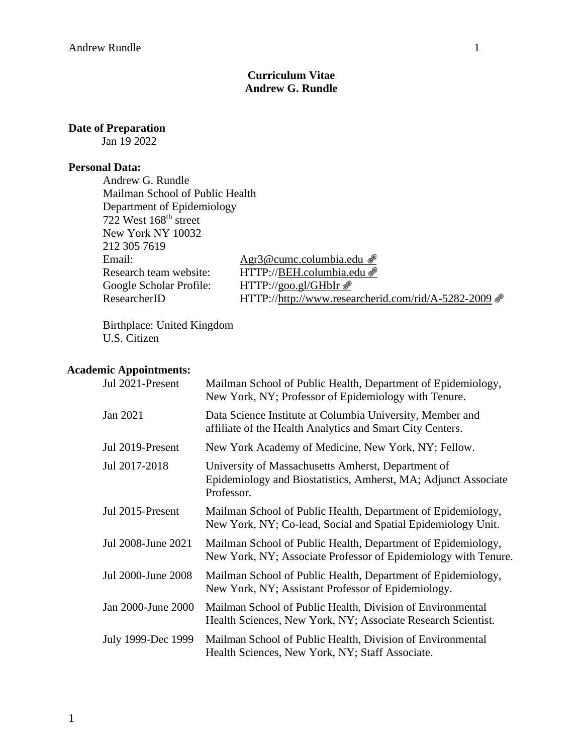## **Curriculum Vitae Andrew G. Rundle**

## **Date of Preparation**

Jan 19 2022

#### **Personal Data:**

Andrew G. Rundle Mailman School of Public Health Department of Epidemiology 722 West 168<sup>th</sup> street New York NY 10032 212 305 7619 Email: [Agr3@cumc.columbia.edu](mailto:Agr3@cumc.columbia.edu) & Research team website: HTTP:/[/BEH.columbia.edu](http://goo.gl/5b3FV) @ Google Scholar Profile: HTTP://goo.gl/GHbIr

ResearcherID HTTP:/[/http://www.researcherid.com/rid/A-5282-2009](http://www.researcherid.com/rid/A-5282-2009)

Birthplace: United Kingdom U.S. Citizen

### **Academic Appointments:**

| Jul 2021-Present   | Mailman School of Public Health, Department of Epidemiology,<br>New York, NY; Professor of Epidemiology with Tenure.               |
|--------------------|------------------------------------------------------------------------------------------------------------------------------------|
| Jan 2021           | Data Science Institute at Columbia University, Member and<br>affiliate of the Health Analytics and Smart City Centers.             |
| Jul 2019-Present   | New York Academy of Medicine, New York, NY; Fellow.                                                                                |
| Jul 2017-2018      | University of Massachusetts Amherst, Department of<br>Epidemiology and Biostatistics, Amherst, MA; Adjunct Associate<br>Professor. |
| Jul 2015-Present   | Mailman School of Public Health, Department of Epidemiology,<br>New York, NY; Co-lead, Social and Spatial Epidemiology Unit.       |
| Jul 2008-June 2021 | Mailman School of Public Health, Department of Epidemiology,<br>New York, NY; Associate Professor of Epidemiology with Tenure.     |
| Jul 2000-June 2008 | Mailman School of Public Health, Department of Epidemiology,<br>New York, NY; Assistant Professor of Epidemiology.                 |
| Jan 2000-June 2000 | Mailman School of Public Health, Division of Environmental<br>Health Sciences, New York, NY; Associate Research Scientist.         |
| July 1999-Dec 1999 | Mailman School of Public Health, Division of Environmental<br>Health Sciences, New York, NY; Staff Associate.                      |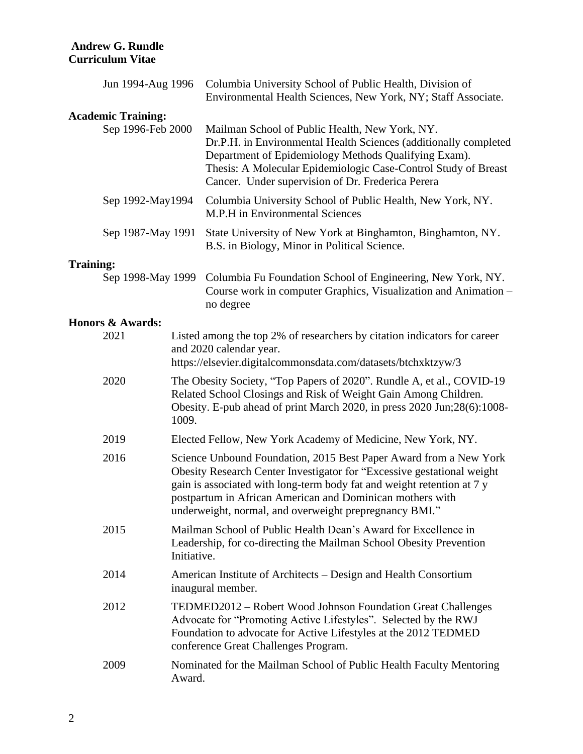|                  | Jun 1994-Aug 1996                              |             | Columbia University School of Public Health, Division of<br>Environmental Health Sciences, New York, NY; Staff Associate.                                                                                                                                                                                                                    |
|------------------|------------------------------------------------|-------------|----------------------------------------------------------------------------------------------------------------------------------------------------------------------------------------------------------------------------------------------------------------------------------------------------------------------------------------------|
|                  |                                                |             |                                                                                                                                                                                                                                                                                                                                              |
|                  | <b>Academic Training:</b><br>Sep 1996-Feb 2000 |             | Mailman School of Public Health, New York, NY.<br>Dr.P.H. in Environmental Health Sciences (additionally completed<br>Department of Epidemiology Methods Qualifying Exam).<br>Thesis: A Molecular Epidemiologic Case-Control Study of Breast<br>Cancer. Under supervision of Dr. Frederica Perera                                            |
|                  | Sep 1992-May1994                               |             | Columbia University School of Public Health, New York, NY.<br>M.P.H in Environmental Sciences                                                                                                                                                                                                                                                |
|                  | Sep 1987-May 1991                              |             | State University of New York at Binghamton, Binghamton, NY.<br>B.S. in Biology, Minor in Political Science.                                                                                                                                                                                                                                  |
| <b>Training:</b> |                                                |             |                                                                                                                                                                                                                                                                                                                                              |
|                  | Sep 1998-May 1999                              |             | Columbia Fu Foundation School of Engineering, New York, NY.<br>Course work in computer Graphics, Visualization and Animation -<br>no degree                                                                                                                                                                                                  |
|                  | <b>Honors &amp; Awards:</b>                    |             |                                                                                                                                                                                                                                                                                                                                              |
|                  | 2021                                           |             | Listed among the top 2% of researchers by citation indicators for career<br>and 2020 calendar year.<br>https://elsevier.digitalcommonsdata.com/datasets/btchxktzyw/3                                                                                                                                                                         |
|                  | 2020                                           | 1009.       | The Obesity Society, "Top Papers of 2020". Rundle A, et al., COVID-19<br>Related School Closings and Risk of Weight Gain Among Children.<br>Obesity. E-pub ahead of print March 2020, in press 2020 Jun;28(6):1008-                                                                                                                          |
|                  | 2019                                           |             | Elected Fellow, New York Academy of Medicine, New York, NY.                                                                                                                                                                                                                                                                                  |
|                  | 2016                                           |             | Science Unbound Foundation, 2015 Best Paper Award from a New York<br>Obesity Research Center Investigator for "Excessive gestational weight<br>gain is associated with long-term body fat and weight retention at 7 y<br>postpartum in African American and Dominican mothers with<br>underweight, normal, and overweight prepregnancy BMI." |
|                  | 2015                                           | Initiative. | Mailman School of Public Health Dean's Award for Excellence in<br>Leadership, for co-directing the Mailman School Obesity Prevention                                                                                                                                                                                                         |
|                  | 2014                                           |             | American Institute of Architects – Design and Health Consortium<br>inaugural member.                                                                                                                                                                                                                                                         |
|                  | 2012                                           |             | TEDMED2012 – Robert Wood Johnson Foundation Great Challenges<br>Advocate for "Promoting Active Lifestyles". Selected by the RWJ<br>Foundation to advocate for Active Lifestyles at the 2012 TEDMED<br>conference Great Challenges Program.                                                                                                   |
|                  | 2009                                           | Award.      | Nominated for the Mailman School of Public Health Faculty Mentoring                                                                                                                                                                                                                                                                          |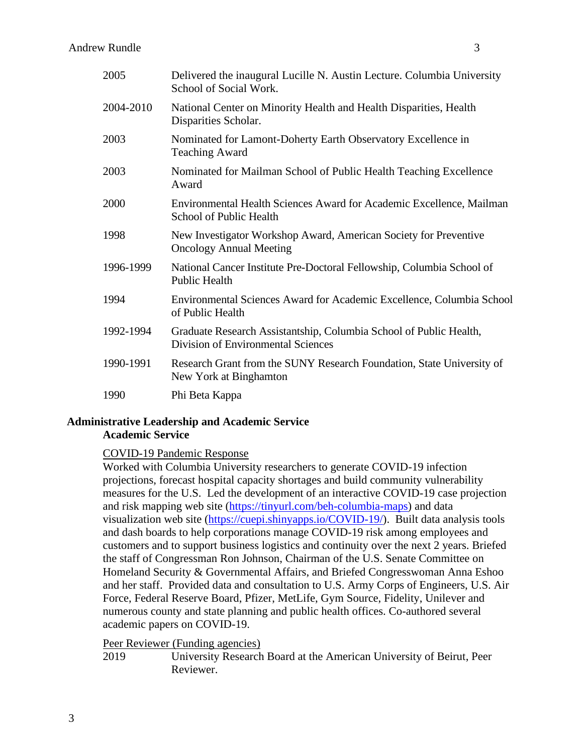| 2005      | Delivered the inaugural Lucille N. Austin Lecture. Columbia University<br>School of Social Work.         |
|-----------|----------------------------------------------------------------------------------------------------------|
| 2004-2010 | National Center on Minority Health and Health Disparities, Health<br>Disparities Scholar.                |
| 2003      | Nominated for Lamont-Doherty Earth Observatory Excellence in<br><b>Teaching Award</b>                    |
| 2003      | Nominated for Mailman School of Public Health Teaching Excellence<br>Award                               |
| 2000      | Environmental Health Sciences Award for Academic Excellence, Mailman<br>School of Public Health          |
| 1998      | New Investigator Workshop Award, American Society for Preventive<br><b>Oncology Annual Meeting</b>       |
| 1996-1999 | National Cancer Institute Pre-Doctoral Fellowship, Columbia School of<br><b>Public Health</b>            |
| 1994      | Environmental Sciences Award for Academic Excellence, Columbia School<br>of Public Health                |
| 1992-1994 | Graduate Research Assistantship, Columbia School of Public Health,<br>Division of Environmental Sciences |
| 1990-1991 | Research Grant from the SUNY Research Foundation, State University of<br>New York at Binghamton          |
| 1990      | Phi Beta Kappa                                                                                           |

# **Administrative Leadership and Academic Service Academic Service**

### COVID-19 Pandemic Response

Worked with Columbia University researchers to generate COVID-19 infection projections, forecast hospital capacity shortages and build community vulnerability measures for the U.S. Led the development of an interactive COVID-19 case projection and risk mapping web site [\(https://tinyurl.com/beh-columbia-maps\)](https://tinyurl.com/beh-columbia-maps) and data visualization web site [\(https://cuepi.shinyapps.io/COVID-19/\)](https://cuepi.shinyapps.io/COVID-19/). Built data analysis tools and dash boards to help corporations manage COVID-19 risk among employees and customers and to support business logistics and continuity over the next 2 years. Briefed the staff of Congressman Ron Johnson, Chairman of the U.S. Senate Committee on Homeland Security & Governmental Affairs, and Briefed Congresswoman Anna Eshoo and her staff. Provided data and consultation to U.S. Army Corps of Engineers, U.S. Air Force, Federal Reserve Board, Pfizer, MetLife, Gym Source, Fidelity, Unilever and numerous county and state planning and public health offices. Co-authored several academic papers on COVID-19.

### Peer Reviewer (Funding agencies)

2019 University Research Board at the American University of Beirut, Peer Reviewer.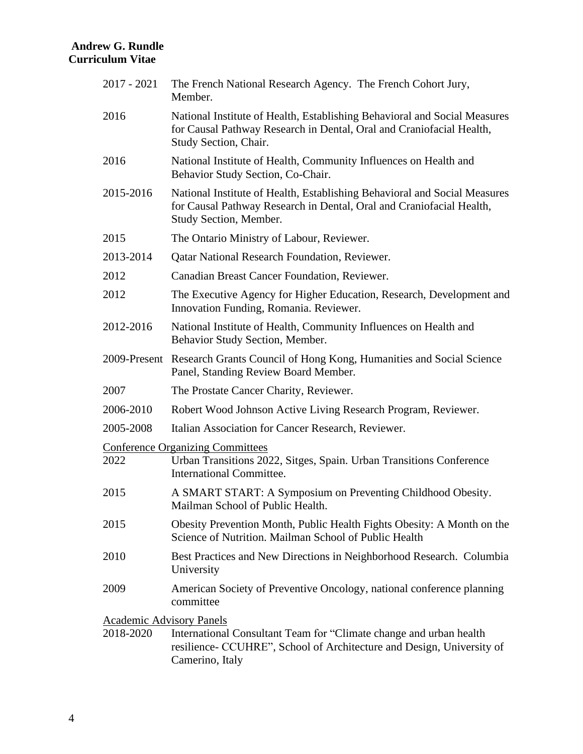| 2017 - 2021                     | The French National Research Agency. The French Cohort Jury,<br>Member.                                                                                                     |
|---------------------------------|-----------------------------------------------------------------------------------------------------------------------------------------------------------------------------|
| 2016                            | National Institute of Health, Establishing Behavioral and Social Measures<br>for Causal Pathway Research in Dental, Oral and Craniofacial Health,<br>Study Section, Chair.  |
| 2016                            | National Institute of Health, Community Influences on Health and<br>Behavior Study Section, Co-Chair.                                                                       |
| 2015-2016                       | National Institute of Health, Establishing Behavioral and Social Measures<br>for Causal Pathway Research in Dental, Oral and Craniofacial Health,<br>Study Section, Member. |
| 2015                            | The Ontario Ministry of Labour, Reviewer.                                                                                                                                   |
| 2013-2014                       | <b>Qatar National Research Foundation, Reviewer.</b>                                                                                                                        |
| 2012                            | Canadian Breast Cancer Foundation, Reviewer.                                                                                                                                |
| 2012                            | The Executive Agency for Higher Education, Research, Development and<br>Innovation Funding, Romania. Reviewer.                                                              |
| 2012-2016                       | National Institute of Health, Community Influences on Health and<br>Behavior Study Section, Member.                                                                         |
|                                 | 2009-Present Research Grants Council of Hong Kong, Humanities and Social Science<br>Panel, Standing Review Board Member.                                                    |
| 2007                            | The Prostate Cancer Charity, Reviewer.                                                                                                                                      |
| 2006-2010                       | Robert Wood Johnson Active Living Research Program, Reviewer.                                                                                                               |
| 2005-2008                       | Italian Association for Cancer Research, Reviewer.                                                                                                                          |
| 2022                            | <b>Conference Organizing Committees</b><br>Urban Transitions 2022, Sitges, Spain. Urban Transitions Conference<br><b>International Committee.</b>                           |
| 2015                            | A SMART START: A Symposium on Preventing Childhood Obesity.<br>Mailman School of Public Health.                                                                             |
| 2015                            | Obesity Prevention Month, Public Health Fights Obesity: A Month on the<br>Science of Nutrition. Mailman School of Public Health                                             |
| 2010                            | Best Practices and New Directions in Neighborhood Research. Columbia<br>University                                                                                          |
| 2009                            | American Society of Preventive Oncology, national conference planning<br>committee                                                                                          |
| <b>Academic Advisory Panels</b> |                                                                                                                                                                             |
| 2018-2020                       | International Consultant Team for "Climate change and urban health<br>resilience- CCUHRE", School of Architecture and Design, University of<br>Camerino, Italy              |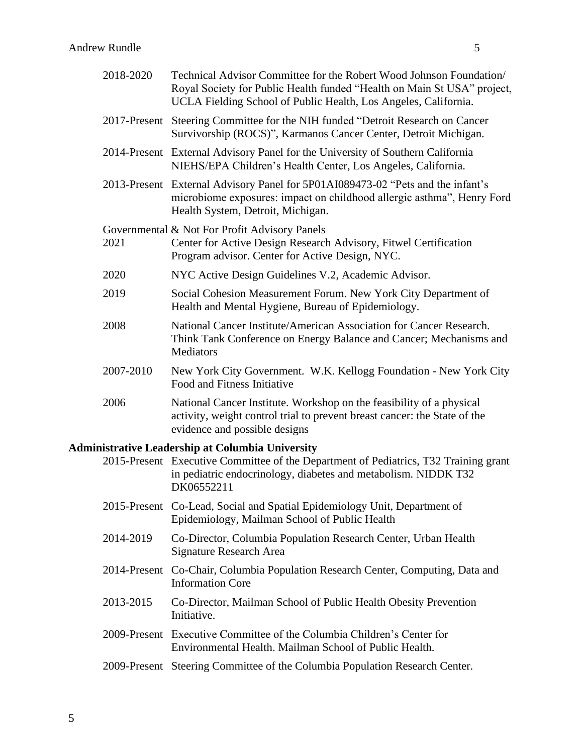|                                                         | 2018-2020 | Technical Advisor Committee for the Robert Wood Johnson Foundation<br>Royal Society for Public Health funded "Health on Main St USA" project,<br>UCLA Fielding School of Public Health, Los Angeles, California. |
|---------------------------------------------------------|-----------|------------------------------------------------------------------------------------------------------------------------------------------------------------------------------------------------------------------|
|                                                         |           | 2017-Present Steering Committee for the NIH funded "Detroit Research on Cancer"<br>Survivorship (ROCS)", Karmanos Cancer Center, Detroit Michigan.                                                               |
|                                                         |           | 2014-Present External Advisory Panel for the University of Southern California<br>NIEHS/EPA Children's Health Center, Los Angeles, California.                                                                   |
|                                                         |           | 2013-Present External Advisory Panel for 5P01AI089473-02 "Pets and the infant's<br>microbiome exposures: impact on childhood allergic asthma", Henry Ford<br>Health System, Detroit, Michigan.                   |
|                                                         | 2021      | Governmental & Not For Profit Advisory Panels<br>Center for Active Design Research Advisory, Fitwel Certification<br>Program advisor. Center for Active Design, NYC.                                             |
|                                                         | 2020      | NYC Active Design Guidelines V.2, Academic Advisor.                                                                                                                                                              |
|                                                         | 2019      | Social Cohesion Measurement Forum. New York City Department of<br>Health and Mental Hygiene, Bureau of Epidemiology.                                                                                             |
|                                                         | 2008      | National Cancer Institute/American Association for Cancer Research.<br>Think Tank Conference on Energy Balance and Cancer; Mechanisms and<br>Mediators                                                           |
|                                                         | 2007-2010 | New York City Government. W.K. Kellogg Foundation - New York City<br>Food and Fitness Initiative                                                                                                                 |
|                                                         | 2006      | National Cancer Institute. Workshop on the feasibility of a physical<br>activity, weight control trial to prevent breast cancer: the State of the<br>evidence and possible designs                               |
| <b>Administrative Leadership at Columbia University</b> |           |                                                                                                                                                                                                                  |
|                                                         |           | 2015-Present Executive Committee of the Department of Pediatrics, T32 Training grant<br>in pediatric endocrinology, diabetes and metabolism. NIDDK T32<br>DK06552211                                             |
|                                                         |           | 2015-Present Co-Lead, Social and Spatial Epidemiology Unit, Department of<br>Epidemiology, Mailman School of Public Health                                                                                       |

- 2014-2019 Co-Director, Columbia Population Research Center, Urban Health Signature Research Area
- 2014-Present Co-Chair, Columbia Population Research Center, Computing, Data and Information Core
- 2013-2015 Co-Director, Mailman School of Public Health Obesity Prevention Initiative.
- 2009-Present Executive Committee of the Columbia Children's Center for Environmental Health. Mailman School of Public Health.
- 2009-Present Steering Committee of the Columbia Population Research Center.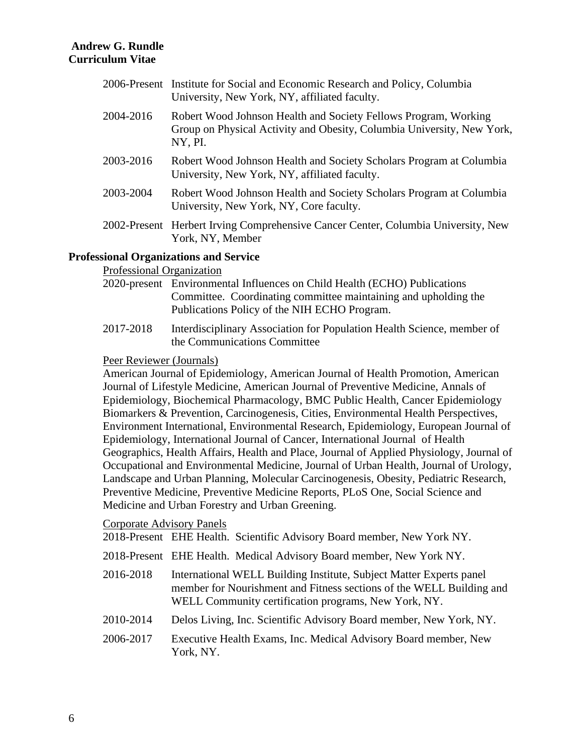|           | 2006-Present Institute for Social and Economic Research and Policy, Columbia<br>University, New York, NY, affiliated faculty.                        |
|-----------|------------------------------------------------------------------------------------------------------------------------------------------------------|
| 2004-2016 | Robert Wood Johnson Health and Society Fellows Program, Working<br>Group on Physical Activity and Obesity, Columbia University, New York,<br>NY, PI. |
| 2003-2016 | Robert Wood Johnson Health and Society Scholars Program at Columbia<br>University, New York, NY, affiliated faculty.                                 |
| 2003-2004 | Robert Wood Johnson Health and Society Scholars Program at Columbia<br>University, New York, NY, Core faculty.                                       |
|           | 2002-Present Herbert Irving Comprehensive Cancer Center, Columbia University, New<br>York, NY, Member                                                |

### **Professional Organizations and Service**

### Professional Organization

| 2020-present Environmental Influences on Child Health (ECHO) Publications |  |
|---------------------------------------------------------------------------|--|
| Committee. Coordinating committee maintaining and upholding the           |  |
| Publications Policy of the NIH ECHO Program.                              |  |

2017-2018 Interdisciplinary Association for Population Health Science, member of the Communications Committee

### Peer Reviewer (Journals)

American Journal of Epidemiology, American Journal of Health Promotion, American Journal of Lifestyle Medicine, American Journal of Preventive Medicine, Annals of Epidemiology, Biochemical Pharmacology, BMC Public Health, Cancer Epidemiology Biomarkers & Prevention, Carcinogenesis, Cities, Environmental Health Perspectives, Environment International, Environmental Research, Epidemiology, European Journal of Epidemiology, International Journal of Cancer, International Journal of Health Geographics, Health Affairs, Health and Place, Journal of Applied Physiology, Journal of Occupational and Environmental Medicine, Journal of Urban Health, Journal of Urology, Landscape and Urban Planning, Molecular Carcinogenesis, Obesity, Pediatric Research, Preventive Medicine, Preventive Medicine Reports, PLoS One, Social Science and Medicine and Urban Forestry and Urban Greening.

### Corporate Advisory Panels

2018-Present EHE Health. Scientific Advisory Board member, New York NY.

- 2018-Present EHE Health. Medical Advisory Board member, New York NY.
- 2016-2018 International WELL Building Institute, Subject Matter Experts panel member for Nourishment and Fitness sections of the WELL Building and WELL Community certification programs, New York, NY.
- 2010-2014 Delos Living, Inc. Scientific Advisory Board member, New York, NY.
- 2006-2017 Executive Health Exams, Inc. Medical Advisory Board member, New York, NY.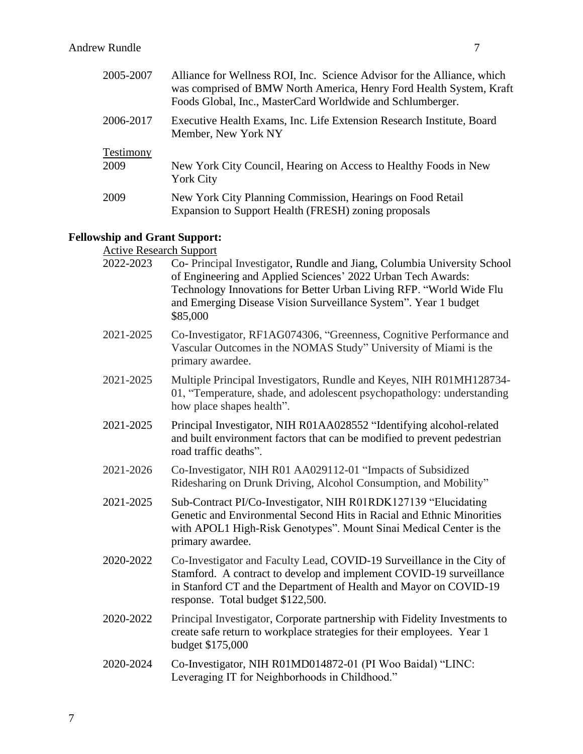| 2005-2007 | Alliance for Wellness ROI, Inc. Science Advisor for the Alliance, which<br>was comprised of BMW North America, Henry Ford Health System, Kraft<br>Foods Global, Inc., MasterCard Worldwide and Schlumberger. |
|-----------|--------------------------------------------------------------------------------------------------------------------------------------------------------------------------------------------------------------|
| 2006-2017 | Executive Health Exams, Inc. Life Extension Research Institute, Board<br>Member, New York NY                                                                                                                 |
| Testimony |                                                                                                                                                                                                              |
| 2009      | New York City Council, Hearing on Access to Healthy Foods in New<br><b>York City</b>                                                                                                                         |
| 2009      | New York City Planning Commission, Hearings on Food Retail<br>Expansion to Support Health (FRESH) zoning proposals                                                                                           |

#### **Fellowship and Grant Support:**

Active Research Support

| 2022-2023 | Co- Principal Investigator, Rundle and Jiang, Columbia University School<br>of Engineering and Applied Sciences' 2022 Urban Tech Awards:<br>Technology Innovations for Better Urban Living RFP. "World Wide Flu<br>and Emerging Disease Vision Surveillance System". Year 1 budget<br>\$85,000 |
|-----------|------------------------------------------------------------------------------------------------------------------------------------------------------------------------------------------------------------------------------------------------------------------------------------------------|
| 2021-2025 | Co-Investigator, RF1AG074306, "Greenness, Cognitive Performance and<br>Vascular Outcomes in the NOMAS Study" University of Miami is the<br>primary awardee.                                                                                                                                    |
| 2021-2025 | Multiple Principal Investigators, Rundle and Keyes, NIH R01MH128734-<br>01, "Temperature, shade, and adolescent psychopathology: understanding<br>how place shapes health".                                                                                                                    |
| 2021-2025 | Principal Investigator, NIH R01AA028552 "Identifying alcohol-related<br>and built environment factors that can be modified to prevent pedestrian<br>road traffic deaths".                                                                                                                      |
| 2021-2026 | Co-Investigator, NIH R01 AA029112-01 "Impacts of Subsidized<br>Ridesharing on Drunk Driving, Alcohol Consumption, and Mobility"                                                                                                                                                                |
| 2021-2025 | Sub-Contract PI/Co-Investigator, NIH R01RDK127139 "Elucidating<br>Genetic and Environmental Second Hits in Racial and Ethnic Minorities<br>with APOL1 High-Risk Genotypes". Mount Sinai Medical Center is the<br>primary awardee.                                                              |
| 2020-2022 | Co-Investigator and Faculty Lead, COVID-19 Surveillance in the City of<br>Stamford. A contract to develop and implement COVID-19 surveillance<br>in Stanford CT and the Department of Health and Mayor on COVID-19<br>response. Total budget \$122,500.                                        |
| 2020-2022 | Principal Investigator, Corporate partnership with Fidelity Investments to<br>create safe return to workplace strategies for their employees. Year 1<br>budget \$175,000                                                                                                                       |
| 2020-2024 | Co-Investigator, NIH R01MD014872-01 (PI Woo Baidal) "LINC:<br>Leveraging IT for Neighborhoods in Childhood."                                                                                                                                                                                   |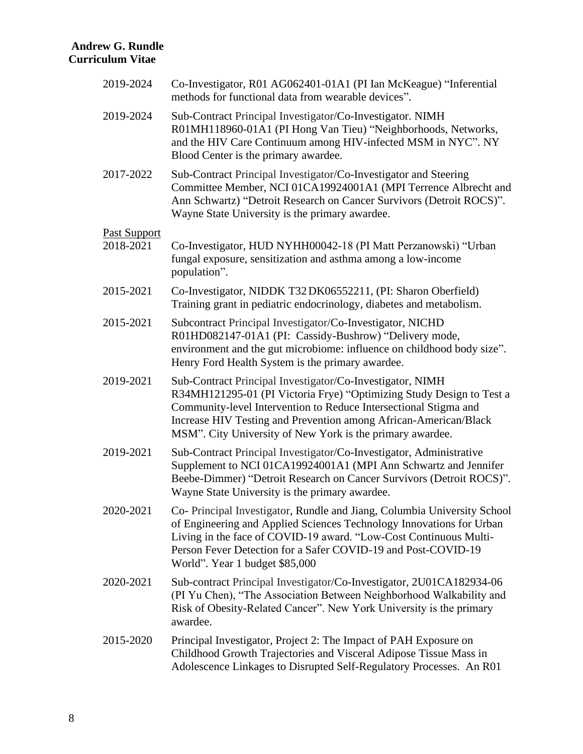| 2019-2024           | Co-Investigator, R01 AG062401-01A1 (PI Ian McKeague) "Inferential<br>methods for functional data from wearable devices".                                                                                                                                                                                                               |
|---------------------|----------------------------------------------------------------------------------------------------------------------------------------------------------------------------------------------------------------------------------------------------------------------------------------------------------------------------------------|
| 2019-2024           | Sub-Contract Principal Investigator/Co-Investigator. NIMH<br>R01MH118960-01A1 (PI Hong Van Tieu) "Neighborhoods, Networks,<br>and the HIV Care Continuum among HIV-infected MSM in NYC". NY<br>Blood Center is the primary awardee.                                                                                                    |
| 2017-2022           | Sub-Contract Principal Investigator/Co-Investigator and Steering<br>Committee Member, NCI 01CA19924001A1 (MPI Terrence Albrecht and<br>Ann Schwartz) "Detroit Research on Cancer Survivors (Detroit ROCS)".<br>Wayne State University is the primary awardee.                                                                          |
| <b>Past Support</b> |                                                                                                                                                                                                                                                                                                                                        |
| 2018-2021           | Co-Investigator, HUD NYHH00042-18 (PI Matt Perzanowski) "Urban<br>fungal exposure, sensitization and asthma among a low-income<br>population".                                                                                                                                                                                         |
| 2015-2021           | Co-Investigator, NIDDK T32 DK06552211, (PI: Sharon Oberfield)<br>Training grant in pediatric endocrinology, diabetes and metabolism.                                                                                                                                                                                                   |
| 2015-2021           | Subcontract Principal Investigator/Co-Investigator, NICHD<br>R01HD082147-01A1 (PI: Cassidy-Bushrow) "Delivery mode,<br>environment and the gut microbiome: influence on childhood body size".<br>Henry Ford Health System is the primary awardee.                                                                                      |
| 2019-2021           | Sub-Contract Principal Investigator/Co-Investigator, NIMH<br>R34MH121295-01 (PI Victoria Frye) "Optimizing Study Design to Test a<br>Community-level Intervention to Reduce Intersectional Stigma and<br>Increase HIV Testing and Prevention among African-American/Black<br>MSM". City University of New York is the primary awardee. |
| 2019-2021           | Sub-Contract Principal Investigator/Co-Investigator, Administrative<br>Supplement to NCI 01CA19924001A1 (MPI Ann Schwartz and Jennifer<br>Beebe-Dimmer) "Detroit Research on Cancer Survivors (Detroit ROCS)".<br>Wayne State University is the primary awardee.                                                                       |
| 2020-2021           | Co- Principal Investigator, Rundle and Jiang, Columbia University School<br>of Engineering and Applied Sciences Technology Innovations for Urban<br>Living in the face of COVID-19 award. "Low-Cost Continuous Multi-<br>Person Fever Detection for a Safer COVID-19 and Post-COVID-19<br>World". Year 1 budget \$85,000               |
| 2020-2021           | Sub-contract Principal Investigator/Co-Investigator, 2U01CA182934-06<br>(PI Yu Chen), "The Association Between Neighborhood Walkability and<br>Risk of Obesity-Related Cancer". New York University is the primary<br>awardee.                                                                                                         |
| 2015-2020           | Principal Investigator, Project 2: The Impact of PAH Exposure on<br>Childhood Growth Trajectories and Visceral Adipose Tissue Mass in<br>Adolescence Linkages to Disrupted Self-Regulatory Processes. An R01                                                                                                                           |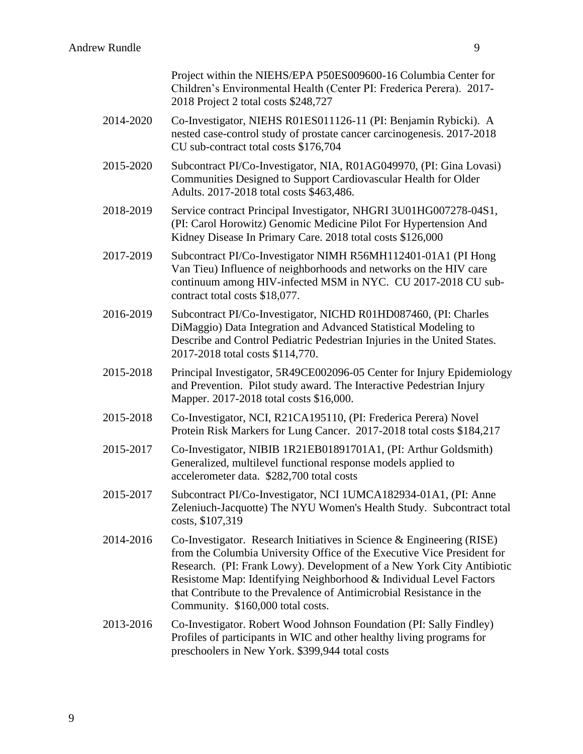|           | Project within the NIEHS/EPA P50ES009600-16 Columbia Center for<br>Children's Environmental Health (Center PI: Frederica Perera). 2017-<br>2018 Project 2 total costs \$248,727                                                                                                                                                                                                                              |
|-----------|--------------------------------------------------------------------------------------------------------------------------------------------------------------------------------------------------------------------------------------------------------------------------------------------------------------------------------------------------------------------------------------------------------------|
| 2014-2020 | Co-Investigator, NIEHS R01ES011126-11 (PI: Benjamin Rybicki). A<br>nested case-control study of prostate cancer carcinogenesis. 2017-2018<br>CU sub-contract total costs \$176,704                                                                                                                                                                                                                           |
| 2015-2020 | Subcontract PI/Co-Investigator, NIA, R01AG049970, (PI: Gina Lovasi)<br>Communities Designed to Support Cardiovascular Health for Older<br>Adults. 2017-2018 total costs \$463,486.                                                                                                                                                                                                                           |
| 2018-2019 | Service contract Principal Investigator, NHGRI 3U01HG007278-04S1,<br>(PI: Carol Horowitz) Genomic Medicine Pilot For Hypertension And<br>Kidney Disease In Primary Care. 2018 total costs \$126,000                                                                                                                                                                                                          |
| 2017-2019 | Subcontract PI/Co-Investigator NIMH R56MH112401-01A1 (PI Hong<br>Van Tieu) Influence of neighborhoods and networks on the HIV care<br>continuum among HIV-infected MSM in NYC. CU 2017-2018 CU sub-<br>contract total costs \$18,077.                                                                                                                                                                        |
| 2016-2019 | Subcontract PI/Co-Investigator, NICHD R01HD087460, (PI: Charles<br>DiMaggio) Data Integration and Advanced Statistical Modeling to<br>Describe and Control Pediatric Pedestrian Injuries in the United States.<br>2017-2018 total costs \$114,770.                                                                                                                                                           |
| 2015-2018 | Principal Investigator, 5R49CE002096-05 Center for Injury Epidemiology<br>and Prevention. Pilot study award. The Interactive Pedestrian Injury<br>Mapper. 2017-2018 total costs \$16,000.                                                                                                                                                                                                                    |
| 2015-2018 | Co-Investigator, NCI, R21CA195110, (PI: Frederica Perera) Novel<br>Protein Risk Markers for Lung Cancer. 2017-2018 total costs \$184,217                                                                                                                                                                                                                                                                     |
| 2015-2017 | Co-Investigator, NIBIB 1R21EB01891701A1, (PI: Arthur Goldsmith)<br>Generalized, multilevel functional response models applied to<br>accelerometer data. \$282,700 total costs                                                                                                                                                                                                                                |
| 2015-2017 | Subcontract PI/Co-Investigator, NCI 1UMCA182934-01A1, (PI: Anne<br>Zeleniuch-Jacquotte) The NYU Women's Health Study. Subcontract total<br>costs, \$107,319                                                                                                                                                                                                                                                  |
| 2014-2016 | Co-Investigator. Research Initiatives in Science & Engineering (RISE)<br>from the Columbia University Office of the Executive Vice President for<br>Research. (PI: Frank Lowy). Development of a New York City Antibiotic<br>Resistome Map: Identifying Neighborhood & Individual Level Factors<br>that Contribute to the Prevalence of Antimicrobial Resistance in the<br>Community. \$160,000 total costs. |
| 2013-2016 | Co-Investigator. Robert Wood Johnson Foundation (PI: Sally Findley)<br>Profiles of participants in WIC and other healthy living programs for<br>preschoolers in New York. \$399,944 total costs                                                                                                                                                                                                              |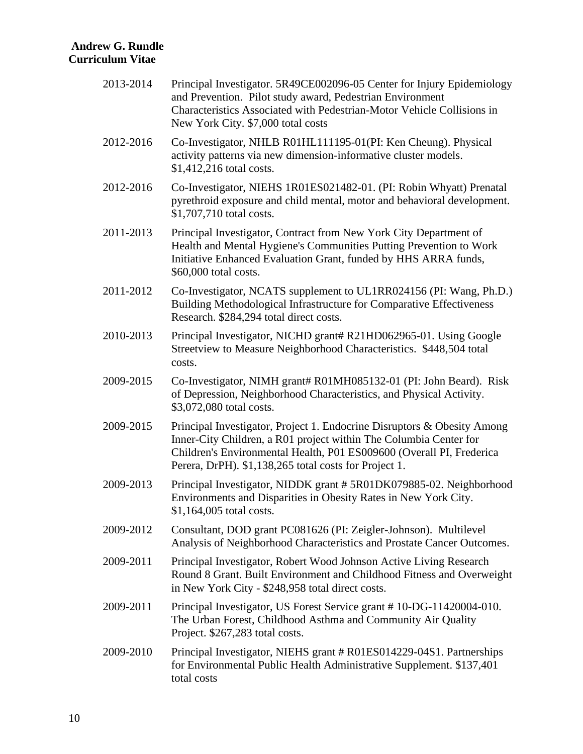| 2013-2014 | Principal Investigator. 5R49CE002096-05 Center for Injury Epidemiology<br>and Prevention. Pilot study award, Pedestrian Environment<br>Characteristics Associated with Pedestrian-Motor Vehicle Collisions in<br>New York City. \$7,000 total costs                           |
|-----------|-------------------------------------------------------------------------------------------------------------------------------------------------------------------------------------------------------------------------------------------------------------------------------|
| 2012-2016 | Co-Investigator, NHLB R01HL111195-01(PI: Ken Cheung). Physical<br>activity patterns via new dimension-informative cluster models.<br>$$1,412,216$ total costs.                                                                                                                |
| 2012-2016 | Co-Investigator, NIEHS 1R01ES021482-01. (PI: Robin Whyatt) Prenatal<br>pyrethroid exposure and child mental, motor and behavioral development.<br>\$1,707,710 total costs.                                                                                                    |
| 2011-2013 | Principal Investigator, Contract from New York City Department of<br>Health and Mental Hygiene's Communities Putting Prevention to Work<br>Initiative Enhanced Evaluation Grant, funded by HHS ARRA funds,<br>\$60,000 total costs.                                           |
| 2011-2012 | Co-Investigator, NCATS supplement to UL1RR024156 (PI: Wang, Ph.D.)<br>Building Methodological Infrastructure for Comparative Effectiveness<br>Research. \$284,294 total direct costs.                                                                                         |
| 2010-2013 | Principal Investigator, NICHD grant# R21HD062965-01. Using Google<br>Streetview to Measure Neighborhood Characteristics. \$448,504 total<br>costs.                                                                                                                            |
| 2009-2015 | Co-Investigator, NIMH grant# R01MH085132-01 (PI: John Beard). Risk<br>of Depression, Neighborhood Characteristics, and Physical Activity.<br>\$3,072,080 total costs.                                                                                                         |
| 2009-2015 | Principal Investigator, Project 1. Endocrine Disruptors & Obesity Among<br>Inner-City Children, a R01 project within The Columbia Center for<br>Children's Environmental Health, P01 ES009600 (Overall PI, Frederica<br>Perera, DrPH). \$1,138,265 total costs for Project 1. |
| 2009-2013 | Principal Investigator, NIDDK grant #5R01DK079885-02. Neighborhood<br>Environments and Disparities in Obesity Rates in New York City.<br>$$1,164,005$ total costs.                                                                                                            |
| 2009-2012 | Consultant, DOD grant PC081626 (PI: Zeigler-Johnson). Multilevel<br>Analysis of Neighborhood Characteristics and Prostate Cancer Outcomes.                                                                                                                                    |
| 2009-2011 | Principal Investigator, Robert Wood Johnson Active Living Research<br>Round 8 Grant. Built Environment and Childhood Fitness and Overweight<br>in New York City - \$248,958 total direct costs.                                                                               |
| 2009-2011 | Principal Investigator, US Forest Service grant #10-DG-11420004-010.<br>The Urban Forest, Childhood Asthma and Community Air Quality<br>Project. \$267,283 total costs.                                                                                                       |
| 2009-2010 | Principal Investigator, NIEHS grant # R01ES014229-04S1. Partnerships<br>for Environmental Public Health Administrative Supplement. \$137,401<br>total costs                                                                                                                   |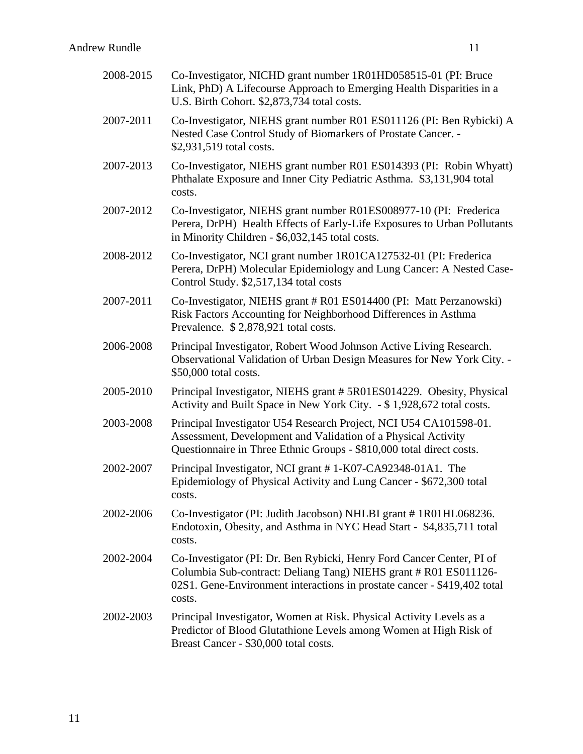| 2008-2015 | Co-Investigator, NICHD grant number 1R01HD058515-01 (PI: Bruce<br>Link, PhD) A Lifecourse Approach to Emerging Health Disparities in a<br>U.S. Birth Cohort. \$2,873,734 total costs.                                           |
|-----------|---------------------------------------------------------------------------------------------------------------------------------------------------------------------------------------------------------------------------------|
| 2007-2011 | Co-Investigator, NIEHS grant number R01 ES011126 (PI: Ben Rybicki) A<br>Nested Case Control Study of Biomarkers of Prostate Cancer. -<br>\$2,931,519 total costs.                                                               |
| 2007-2013 | Co-Investigator, NIEHS grant number R01 ES014393 (PI: Robin Whyatt)<br>Phthalate Exposure and Inner City Pediatric Asthma. \$3,131,904 total<br>costs.                                                                          |
| 2007-2012 | Co-Investigator, NIEHS grant number R01ES008977-10 (PI: Frederica<br>Perera, DrPH) Health Effects of Early-Life Exposures to Urban Pollutants<br>in Minority Children - \$6,032,145 total costs.                                |
| 2008-2012 | Co-Investigator, NCI grant number 1R01CA127532-01 (PI: Frederica<br>Perera, DrPH) Molecular Epidemiology and Lung Cancer: A Nested Case-<br>Control Study. \$2,517,134 total costs                                              |
| 2007-2011 | Co-Investigator, NIEHS grant # R01 ES014400 (PI: Matt Perzanowski)<br>Risk Factors Accounting for Neighborhood Differences in Asthma<br>Prevalence. \$2,878,921 total costs.                                                    |
| 2006-2008 | Principal Investigator, Robert Wood Johnson Active Living Research.<br>Observational Validation of Urban Design Measures for New York City. -<br>\$50,000 total costs.                                                          |
| 2005-2010 | Principal Investigator, NIEHS grant #5R01ES014229. Obesity, Physical<br>Activity and Built Space in New York City. - \$1,928,672 total costs.                                                                                   |
| 2003-2008 | Principal Investigator U54 Research Project, NCI U54 CA101598-01.<br>Assessment, Development and Validation of a Physical Activity<br>Questionnaire in Three Ethnic Groups - \$810,000 total direct costs.                      |
| 2002-2007 | Principal Investigator, NCI grant #1-K07-CA92348-01A1. The<br>Epidemiology of Physical Activity and Lung Cancer - \$672,300 total<br>costs                                                                                      |
| 2002-2006 | Co-Investigator (PI: Judith Jacobson) NHLBI grant #1R01HL068236.<br>Endotoxin, Obesity, and Asthma in NYC Head Start - \$4,835,711 total<br>costs.                                                                              |
| 2002-2004 | Co-Investigator (PI: Dr. Ben Rybicki, Henry Ford Cancer Center, PI of<br>Columbia Sub-contract: Deliang Tang) NIEHS grant # R01 ES011126-<br>02S1. Gene-Environment interactions in prostate cancer - \$419,402 total<br>costs. |
| 2002-2003 | Principal Investigator, Women at Risk. Physical Activity Levels as a<br>Predictor of Blood Glutathione Levels among Women at High Risk of<br>Breast Cancer - \$30,000 total costs.                                              |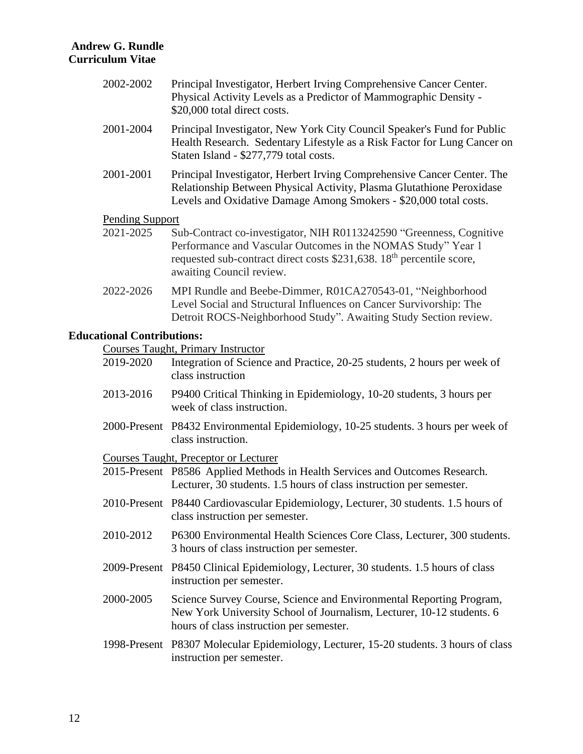| 2002-2002                         | Principal Investigator, Herbert Irving Comprehensive Cancer Center.<br>Physical Activity Levels as a Predictor of Mammographic Density -<br>\$20,000 total direct costs.                                                                             |
|-----------------------------------|------------------------------------------------------------------------------------------------------------------------------------------------------------------------------------------------------------------------------------------------------|
| 2001-2004                         | Principal Investigator, New York City Council Speaker's Fund for Public<br>Health Research. Sedentary Lifestyle as a Risk Factor for Lung Cancer on<br>Staten Island - \$277,779 total costs.                                                        |
| 2001-2001                         | Principal Investigator, Herbert Irving Comprehensive Cancer Center. The<br>Relationship Between Physical Activity, Plasma Glutathione Peroxidase<br>Levels and Oxidative Damage Among Smokers - \$20,000 total costs.                                |
| <b>Pending Support</b>            |                                                                                                                                                                                                                                                      |
| 2021-2025                         | Sub-Contract co-investigator, NIH R0113242590 "Greenness, Cognitive<br>Performance and Vascular Outcomes in the NOMAS Study" Year 1<br>requested sub-contract direct costs \$231,638. 18 <sup>th</sup> percentile score,<br>awaiting Council review. |
| 2022-2026                         | MPI Rundle and Beebe-Dimmer, R01CA270543-01, "Neighborhood<br>Level Social and Structural Influences on Cancer Survivorship: The<br>Detroit ROCS-Neighborhood Study". Awaiting Study Section review.                                                 |
| <b>Educational Contributions:</b> |                                                                                                                                                                                                                                                      |
|                                   | <b>Courses Taught, Primary Instructor</b>                                                                                                                                                                                                            |
| 2019-2020                         | Integration of Science and Practice, 20-25 students, 2 hours per week of<br>class instruction                                                                                                                                                        |
| 2013-2016                         | P9400 Critical Thinking in Epidemiology, 10-20 students, 3 hours per<br>week of class instruction.                                                                                                                                                   |

2000-Present P8432 Environmental Epidemiology, 10-25 students. 3 hours per week of class instruction.

Courses Taught, Preceptor or Lecturer

2015-Present P8586 Applied Methods in Health Services and Outcomes Research. Lecturer, 30 students. 1.5 hours of class instruction per semester.

- 2010-Present P8440 Cardiovascular Epidemiology, Lecturer, 30 students. 1.5 hours of class instruction per semester.
- 2010-2012 P6300 Environmental Health Sciences Core Class, Lecturer, 300 students. 3 hours of class instruction per semester.
- 2009-Present P8450 Clinical Epidemiology, Lecturer, 30 students. 1.5 hours of class instruction per semester.
- 2000-2005 Science Survey Course, Science and Environmental Reporting Program, New York University School of Journalism, Lecturer, 10-12 students. 6 hours of class instruction per semester.
- 1998-Present P8307 Molecular Epidemiology, Lecturer, 15-20 students. 3 hours of class instruction per semester.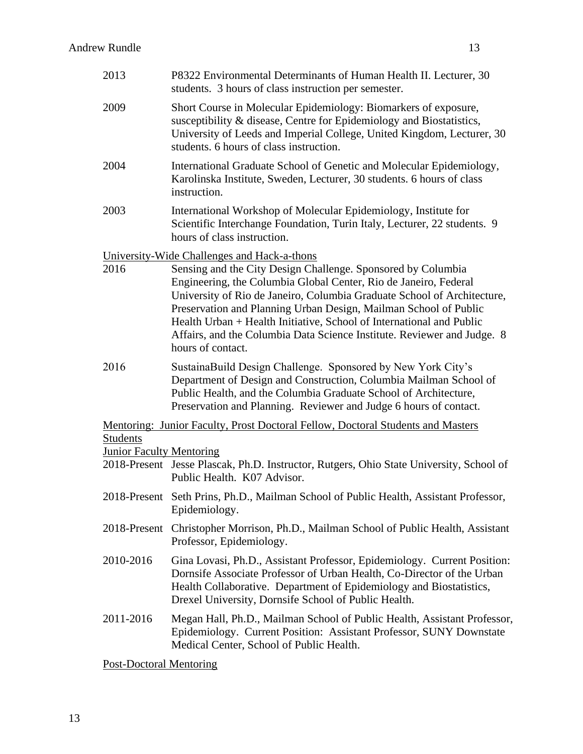| 2013                            | P8322 Environmental Determinants of Human Health II. Lecturer, 30<br>students. 3 hours of class instruction per semester.                                                                                                                                                                                                                                                                                                                                                                              |
|---------------------------------|--------------------------------------------------------------------------------------------------------------------------------------------------------------------------------------------------------------------------------------------------------------------------------------------------------------------------------------------------------------------------------------------------------------------------------------------------------------------------------------------------------|
| 2009                            | Short Course in Molecular Epidemiology: Biomarkers of exposure,<br>susceptibility & disease, Centre for Epidemiology and Biostatistics,<br>University of Leeds and Imperial College, United Kingdom, Lecturer, 30<br>students. 6 hours of class instruction.                                                                                                                                                                                                                                           |
| 2004                            | International Graduate School of Genetic and Molecular Epidemiology,<br>Karolinska Institute, Sweden, Lecturer, 30 students. 6 hours of class<br>instruction.                                                                                                                                                                                                                                                                                                                                          |
| 2003                            | International Workshop of Molecular Epidemiology, Institute for<br>Scientific Interchange Foundation, Turin Italy, Lecturer, 22 students. 9<br>hours of class instruction.                                                                                                                                                                                                                                                                                                                             |
| 2016                            | University-Wide Challenges and Hack-a-thons<br>Sensing and the City Design Challenge. Sponsored by Columbia<br>Engineering, the Columbia Global Center, Rio de Janeiro, Federal<br>University of Rio de Janeiro, Columbia Graduate School of Architecture,<br>Preservation and Planning Urban Design, Mailman School of Public<br>Health Urban + Health Initiative, School of International and Public<br>Affairs, and the Columbia Data Science Institute. Reviewer and Judge. 8<br>hours of contact. |
| 2016                            | SustainaBuild Design Challenge. Sponsored by New York City's<br>Department of Design and Construction, Columbia Mailman School of<br>Public Health, and the Columbia Graduate School of Architecture,<br>Preservation and Planning. Reviewer and Judge 6 hours of contact.                                                                                                                                                                                                                             |
| <b>Students</b>                 | Mentoring: Junior Faculty, Prost Doctoral Fellow, Doctoral Students and Masters                                                                                                                                                                                                                                                                                                                                                                                                                        |
| <b>Junior Faculty Mentoring</b> |                                                                                                                                                                                                                                                                                                                                                                                                                                                                                                        |
|                                 | 2018-Present Jesse Plascak, Ph.D. Instructor, Rutgers, Ohio State University, School of<br>Public Health. K07 Advisor.                                                                                                                                                                                                                                                                                                                                                                                 |
|                                 | 2018-Present Seth Prins, Ph.D., Mailman School of Public Health, Assistant Professor,<br>Epidemiology.                                                                                                                                                                                                                                                                                                                                                                                                 |
|                                 | 2018-Present Christopher Morrison, Ph.D., Mailman School of Public Health, Assistant<br>Professor, Epidemiology.                                                                                                                                                                                                                                                                                                                                                                                       |
| 2010-2016                       | Gina Lovasi, Ph.D., Assistant Professor, Epidemiology. Current Position:<br>Dornsife Associate Professor of Urban Health, Co-Director of the Urban<br>Health Collaborative. Department of Epidemiology and Biostatistics,<br>Drexel University, Dornsife School of Public Health.                                                                                                                                                                                                                      |
| 2011-2016                       | Megan Hall, Ph.D., Mailman School of Public Health, Assistant Professor,<br>Epidemiology. Current Position: Assistant Professor, SUNY Downstate<br>Medical Center, School of Public Health.                                                                                                                                                                                                                                                                                                            |
| <b>Post-Doctoral Mentoring</b>  |                                                                                                                                                                                                                                                                                                                                                                                                                                                                                                        |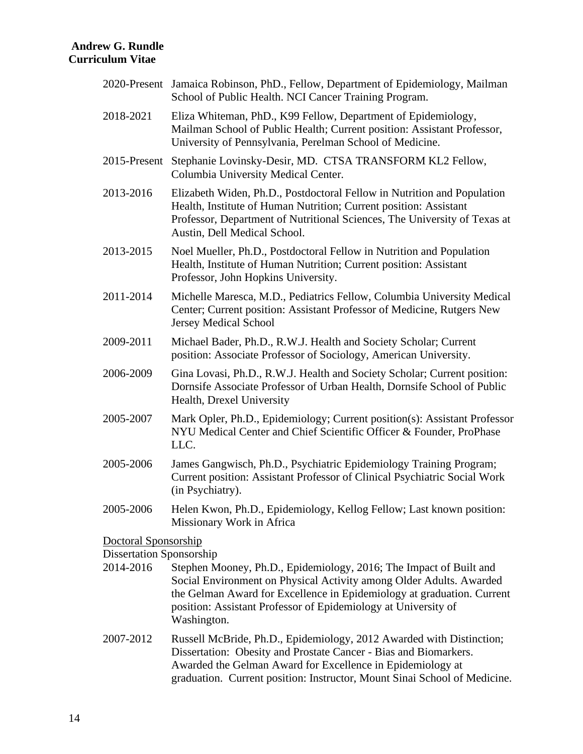|                                              | 2020-Present Jamaica Robinson, PhD., Fellow, Department of Epidemiology, Mailman<br>School of Public Health. NCI Cancer Training Program.                                                                                                                                                            |
|----------------------------------------------|------------------------------------------------------------------------------------------------------------------------------------------------------------------------------------------------------------------------------------------------------------------------------------------------------|
| 2018-2021                                    | Eliza Whiteman, PhD., K99 Fellow, Department of Epidemiology,<br>Mailman School of Public Health; Current position: Assistant Professor,<br>University of Pennsylvania, Perelman School of Medicine.                                                                                                 |
| 2015-Present                                 | Stephanie Lovinsky-Desir, MD. CTSA TRANSFORM KL2 Fellow,<br>Columbia University Medical Center.                                                                                                                                                                                                      |
| 2013-2016                                    | Elizabeth Widen, Ph.D., Postdoctoral Fellow in Nutrition and Population<br>Health, Institute of Human Nutrition; Current position: Assistant<br>Professor, Department of Nutritional Sciences, The University of Texas at<br>Austin, Dell Medical School.                                            |
| 2013-2015                                    | Noel Mueller, Ph.D., Postdoctoral Fellow in Nutrition and Population<br>Health, Institute of Human Nutrition; Current position: Assistant<br>Professor, John Hopkins University.                                                                                                                     |
| 2011-2014                                    | Michelle Maresca, M.D., Pediatrics Fellow, Columbia University Medical<br>Center; Current position: Assistant Professor of Medicine, Rutgers New<br><b>Jersey Medical School</b>                                                                                                                     |
| 2009-2011                                    | Michael Bader, Ph.D., R.W.J. Health and Society Scholar; Current<br>position: Associate Professor of Sociology, American University.                                                                                                                                                                 |
| 2006-2009                                    | Gina Lovasi, Ph.D., R.W.J. Health and Society Scholar; Current position:<br>Dornsife Associate Professor of Urban Health, Dornsife School of Public<br>Health, Drexel University                                                                                                                     |
| 2005-2007                                    | Mark Opler, Ph.D., Epidemiology; Current position(s): Assistant Professor<br>NYU Medical Center and Chief Scientific Officer & Founder, ProPhase<br>LLC.                                                                                                                                             |
| 2005-2006                                    | James Gangwisch, Ph.D., Psychiatric Epidemiology Training Program;<br>Current position: Assistant Professor of Clinical Psychiatric Social Work<br>(in Psychiatry).                                                                                                                                  |
| 2005-2006                                    | Helen Kwon, Ph.D., Epidemiology, Kellog Fellow; Last known position:<br>Missionary Work in Africa                                                                                                                                                                                                    |
| <u>Doctoral Sponsorship</u>                  |                                                                                                                                                                                                                                                                                                      |
| <b>Dissertation Sponsorship</b><br>2014-2016 | Stephen Mooney, Ph.D., Epidemiology, 2016; The Impact of Built and<br>Social Environment on Physical Activity among Older Adults. Awarded<br>the Gelman Award for Excellence in Epidemiology at graduation. Current<br>position: Assistant Professor of Epidemiology at University of<br>Washington. |
| 2007-2012                                    | Russell McBride, Ph.D., Epidemiology, 2012 Awarded with Distinction;<br>Dissertation: Obesity and Prostate Cancer - Bias and Biomarkers.<br>Awarded the Gelman Award for Excellence in Epidemiology at<br>graduation. Current position: Instructor, Mount Sinai School of Medicine.                  |
|                                              |                                                                                                                                                                                                                                                                                                      |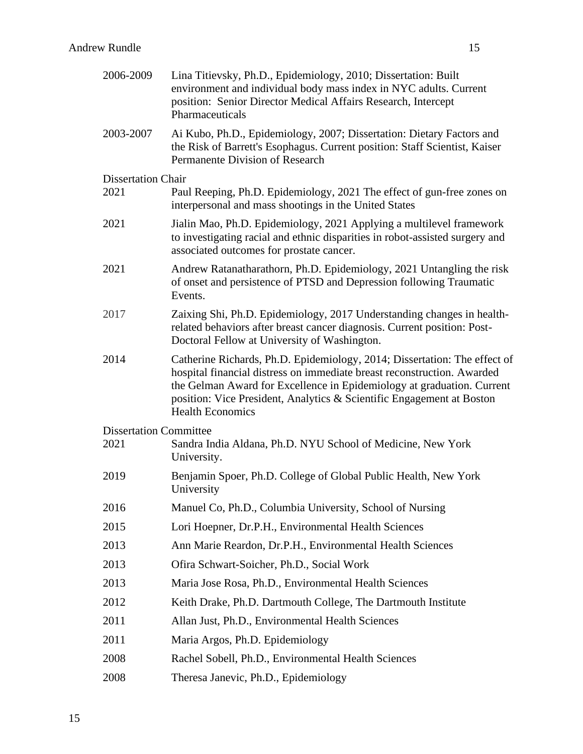| 2006-2009                     | Lina Titievsky, Ph.D., Epidemiology, 2010; Dissertation: Built<br>environment and individual body mass index in NYC adults. Current<br>position: Senior Director Medical Affairs Research, Intercept<br>Pharmaceuticals                                                                                                            |
|-------------------------------|------------------------------------------------------------------------------------------------------------------------------------------------------------------------------------------------------------------------------------------------------------------------------------------------------------------------------------|
| 2003-2007                     | Ai Kubo, Ph.D., Epidemiology, 2007; Dissertation: Dietary Factors and<br>the Risk of Barrett's Esophagus. Current position: Staff Scientist, Kaiser<br>Permanente Division of Research                                                                                                                                             |
| <b>Dissertation Chair</b>     |                                                                                                                                                                                                                                                                                                                                    |
| 2021                          | Paul Reeping, Ph.D. Epidemiology, 2021 The effect of gun-free zones on<br>interpersonal and mass shootings in the United States                                                                                                                                                                                                    |
| 2021                          | Jialin Mao, Ph.D. Epidemiology, 2021 Applying a multilevel framework<br>to investigating racial and ethnic disparities in robot-assisted surgery and<br>associated outcomes for prostate cancer.                                                                                                                                   |
| 2021                          | Andrew Ratanatharathorn, Ph.D. Epidemiology, 2021 Untangling the risk<br>of onset and persistence of PTSD and Depression following Traumatic<br>Events.                                                                                                                                                                            |
| 2017                          | Zaixing Shi, Ph.D. Epidemiology, 2017 Understanding changes in health-<br>related behaviors after breast cancer diagnosis. Current position: Post-<br>Doctoral Fellow at University of Washington.                                                                                                                                 |
| 2014                          | Catherine Richards, Ph.D. Epidemiology, 2014; Dissertation: The effect of<br>hospital financial distress on immediate breast reconstruction. Awarded<br>the Gelman Award for Excellence in Epidemiology at graduation. Current<br>position: Vice President, Analytics & Scientific Engagement at Boston<br><b>Health Economics</b> |
| <b>Dissertation Committee</b> |                                                                                                                                                                                                                                                                                                                                    |
| 2021                          | Sandra India Aldana, Ph.D. NYU School of Medicine, New York<br>University.                                                                                                                                                                                                                                                         |
| 2019                          | Benjamin Spoer, Ph.D. College of Global Public Health, New York<br>University                                                                                                                                                                                                                                                      |
| 2016                          | Manuel Co, Ph.D., Columbia University, School of Nursing                                                                                                                                                                                                                                                                           |
| 2015                          | Lori Hoepner, Dr.P.H., Environmental Health Sciences                                                                                                                                                                                                                                                                               |
| 2013                          | Ann Marie Reardon, Dr.P.H., Environmental Health Sciences                                                                                                                                                                                                                                                                          |
| 2013                          | Ofira Schwart-Soicher, Ph.D., Social Work                                                                                                                                                                                                                                                                                          |
| 2013                          | Maria Jose Rosa, Ph.D., Environmental Health Sciences                                                                                                                                                                                                                                                                              |
| 2012                          | Keith Drake, Ph.D. Dartmouth College, The Dartmouth Institute                                                                                                                                                                                                                                                                      |
| 2011                          | Allan Just, Ph.D., Environmental Health Sciences                                                                                                                                                                                                                                                                                   |
| 2011                          | Maria Argos, Ph.D. Epidemiology                                                                                                                                                                                                                                                                                                    |
| 2008                          | Rachel Sobell, Ph.D., Environmental Health Sciences                                                                                                                                                                                                                                                                                |
| 2008                          | Theresa Janevic, Ph.D., Epidemiology                                                                                                                                                                                                                                                                                               |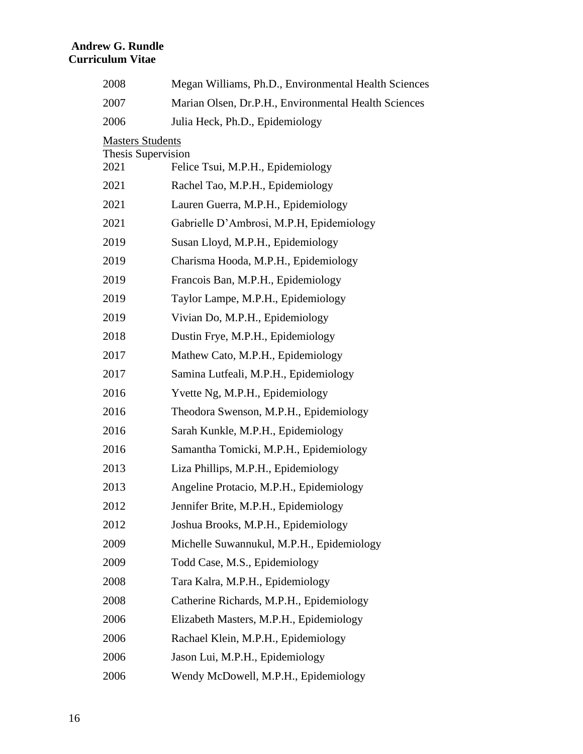| 2008                       | Megan Williams, Ph.D., Environmental Health Sciences |
|----------------------------|------------------------------------------------------|
| 2007                       | Marian Olsen, Dr.P.H., Environmental Health Sciences |
| 2006                       | Julia Heck, Ph.D., Epidemiology                      |
| <b>Masters Students</b>    |                                                      |
| Thesis Supervision<br>2021 | Felice Tsui, M.P.H., Epidemiology                    |
| 2021                       | Rachel Tao, M.P.H., Epidemiology                     |
| 2021                       | Lauren Guerra, M.P.H., Epidemiology                  |
| 2021                       | Gabrielle D'Ambrosi, M.P.H, Epidemiology             |
| 2019                       | Susan Lloyd, M.P.H., Epidemiology                    |
| 2019                       | Charisma Hooda, M.P.H., Epidemiology                 |
| 2019                       | Francois Ban, M.P.H., Epidemiology                   |
| 2019                       | Taylor Lampe, M.P.H., Epidemiology                   |
| 2019                       | Vivian Do, M.P.H., Epidemiology                      |
| 2018                       | Dustin Frye, M.P.H., Epidemiology                    |
| 2017                       | Mathew Cato, M.P.H., Epidemiology                    |
| 2017                       | Samina Lutfeali, M.P.H., Epidemiology                |
| 2016                       | Yvette Ng, M.P.H., Epidemiology                      |
| 2016                       | Theodora Swenson, M.P.H., Epidemiology               |
| 2016                       | Sarah Kunkle, M.P.H., Epidemiology                   |
| 2016                       | Samantha Tomicki, M.P.H., Epidemiology               |
| 2013                       | Liza Phillips, M.P.H., Epidemiology                  |
| 2013                       | Angeline Protacio, M.P.H., Epidemiology              |
| 2012                       | Jennifer Brite, M.P.H., Epidemiology                 |
| 2012                       | Joshua Brooks, M.P.H., Epidemiology                  |
| 2009                       | Michelle Suwannukul, M.P.H., Epidemiology            |
| 2009                       | Todd Case, M.S., Epidemiology                        |
| 2008                       | Tara Kalra, M.P.H., Epidemiology                     |
| 2008                       | Catherine Richards, M.P.H., Epidemiology             |
| 2006                       | Elizabeth Masters, M.P.H., Epidemiology              |
| 2006                       | Rachael Klein, M.P.H., Epidemiology                  |
| 2006                       | Jason Lui, M.P.H., Epidemiology                      |
| 2006                       | Wendy McDowell, M.P.H., Epidemiology                 |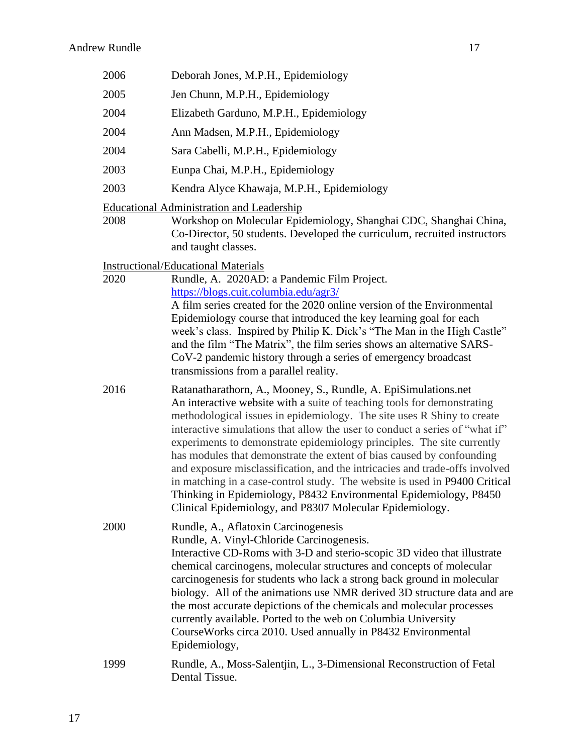| 2006 | Deborah Jones, M.P.H., Epidemiology                                                                                                                                                                                                                                                                                                                                                                                                                                                                                                                                                                                                                                                                                                                   |
|------|-------------------------------------------------------------------------------------------------------------------------------------------------------------------------------------------------------------------------------------------------------------------------------------------------------------------------------------------------------------------------------------------------------------------------------------------------------------------------------------------------------------------------------------------------------------------------------------------------------------------------------------------------------------------------------------------------------------------------------------------------------|
| 2005 | Jen Chunn, M.P.H., Epidemiology                                                                                                                                                                                                                                                                                                                                                                                                                                                                                                                                                                                                                                                                                                                       |
| 2004 | Elizabeth Garduno, M.P.H., Epidemiology                                                                                                                                                                                                                                                                                                                                                                                                                                                                                                                                                                                                                                                                                                               |
| 2004 | Ann Madsen, M.P.H., Epidemiology                                                                                                                                                                                                                                                                                                                                                                                                                                                                                                                                                                                                                                                                                                                      |
| 2004 | Sara Cabelli, M.P.H., Epidemiology                                                                                                                                                                                                                                                                                                                                                                                                                                                                                                                                                                                                                                                                                                                    |
| 2003 | Eunpa Chai, M.P.H., Epidemiology                                                                                                                                                                                                                                                                                                                                                                                                                                                                                                                                                                                                                                                                                                                      |
| 2003 | Kendra Alyce Khawaja, M.P.H., Epidemiology                                                                                                                                                                                                                                                                                                                                                                                                                                                                                                                                                                                                                                                                                                            |
| 2008 | <b>Educational Administration and Leadership</b><br>Workshop on Molecular Epidemiology, Shanghai CDC, Shanghai China,<br>Co-Director, 50 students. Developed the curriculum, recruited instructors<br>and taught classes.                                                                                                                                                                                                                                                                                                                                                                                                                                                                                                                             |
| 2020 | <b>Instructional/Educational Materials</b><br>Rundle, A. 2020AD: a Pandemic Film Project.<br>https://blogs.cuit.columbia.edu/agr3/<br>A film series created for the 2020 online version of the Environmental<br>Epidemiology course that introduced the key learning goal for each<br>week's class. Inspired by Philip K. Dick's "The Man in the High Castle"<br>and the film "The Matrix", the film series shows an alternative SARS-<br>CoV-2 pandemic history through a series of emergency broadcast<br>transmissions from a parallel reality.                                                                                                                                                                                                    |
| 2016 | Ratanatharathorn, A., Mooney, S., Rundle, A. EpiSimulations.net<br>An interactive website with a suite of teaching tools for demonstrating<br>methodological issues in epidemiology. The site uses R Shiny to create<br>interactive simulations that allow the user to conduct a series of "what if"<br>experiments to demonstrate epidemiology principles. The site currently<br>has modules that demonstrate the extent of bias caused by confounding<br>and exposure misclassification, and the intricacies and trade-offs involved<br>in matching in a case-control study. The website is used in P9400 Critical<br>Thinking in Epidemiology, P8432 Environmental Epidemiology, P8450<br>Clinical Epidemiology, and P8307 Molecular Epidemiology. |
| 2000 | Rundle, A., Aflatoxin Carcinogenesis<br>Rundle, A. Vinyl-Chloride Carcinogenesis.<br>Interactive CD-Roms with 3-D and sterio-scopic 3D video that illustrate<br>chemical carcinogens, molecular structures and concepts of molecular<br>carcinogenesis for students who lack a strong back ground in molecular<br>biology. All of the animations use NMR derived 3D structure data and are<br>the most accurate depictions of the chemicals and molecular processes<br>currently available. Ported to the web on Columbia University<br>Course Works circa 2010. Used annually in P8432 Environmental<br>Epidemiology,                                                                                                                                |
| 1999 | Rundle, A., Moss-Salentjin, L., 3-Dimensional Reconstruction of Fetal<br>Dental Tissue.                                                                                                                                                                                                                                                                                                                                                                                                                                                                                                                                                                                                                                                               |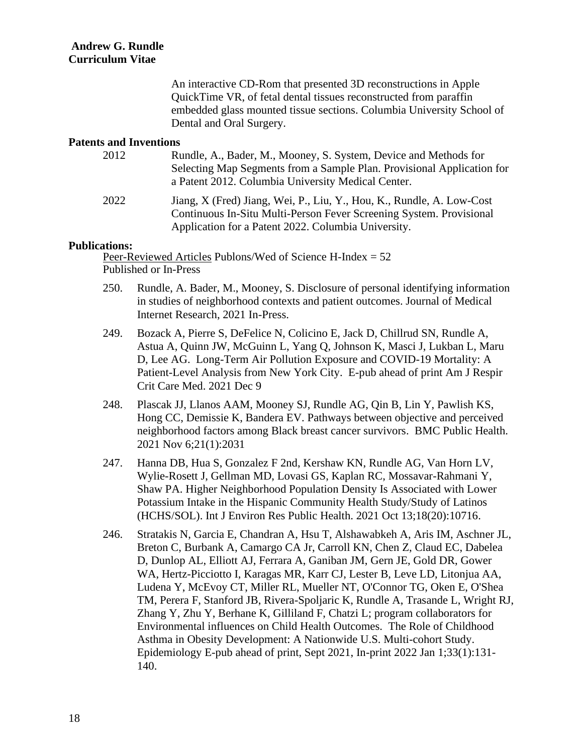An interactive CD-Rom that presented 3D reconstructions in Apple QuickTime VR, of fetal dental tissues reconstructed from paraffin embedded glass mounted tissue sections. Columbia University School of Dental and Oral Surgery.

#### **Patents and Inventions**

| 2012 | Rundle, A., Bader, M., Mooney, S. System, Device and Methods for<br>Selecting Map Segments from a Sample Plan. Provisional Application for<br>a Patent 2012. Columbia University Medical Center.    |
|------|-----------------------------------------------------------------------------------------------------------------------------------------------------------------------------------------------------|
| 2022 | Jiang, X (Fred) Jiang, Wei, P., Liu, Y., Hou, K., Rundle, A. Low-Cost<br>Continuous In-Situ Multi-Person Fever Screening System. Provisional<br>Application for a Patent 2022. Columbia University. |

#### **Publications:**

Peer-Reviewed Articles Publons/Wed of Science H-Index = 52 Published or In-Press

- 250. Rundle, A. Bader, M., Mooney, S. Disclosure of personal identifying information in studies of neighborhood contexts and patient outcomes. Journal of Medical Internet Research, 2021 In-Press.
- 249. Bozack A, Pierre S, DeFelice N, Colicino E, Jack D, Chillrud SN, Rundle A, Astua A, Quinn JW, McGuinn L, Yang Q, Johnson K, Masci J, Lukban L, Maru D, Lee AG. Long-Term Air Pollution Exposure and COVID-19 Mortality: A Patient-Level Analysis from New York City. E-pub ahead of print Am J Respir Crit Care Med. 2021 Dec 9
- 248. Plascak JJ, Llanos AAM, Mooney SJ, Rundle AG, Qin B, Lin Y, Pawlish KS, Hong CC, Demissie K, Bandera EV. Pathways between objective and perceived neighborhood factors among Black breast cancer survivors. BMC Public Health. 2021 Nov 6;21(1):2031
- 247. Hanna DB, Hua S, Gonzalez F 2nd, Kershaw KN, Rundle AG, Van Horn LV, Wylie-Rosett J, Gellman MD, Lovasi GS, Kaplan RC, Mossavar-Rahmani Y, Shaw PA. Higher Neighborhood Population Density Is Associated with Lower Potassium Intake in the Hispanic Community Health Study/Study of Latinos (HCHS/SOL). Int J Environ Res Public Health. 2021 Oct 13;18(20):10716.
- 246. Stratakis N, Garcia E, Chandran A, Hsu T, Alshawabkeh A, Aris IM, Aschner JL, Breton C, Burbank A, Camargo CA Jr, Carroll KN, Chen Z, Claud EC, Dabelea D, Dunlop AL, Elliott AJ, Ferrara A, Ganiban JM, Gern JE, Gold DR, Gower WA, Hertz-Picciotto I, Karagas MR, Karr CJ, Lester B, Leve LD, Litonjua AA, Ludena Y, McEvoy CT, Miller RL, Mueller NT, O'Connor TG, Oken E, O'Shea TM, Perera F, Stanford JB, Rivera-Spoljaric K, Rundle A, Trasande L, Wright RJ, Zhang Y, Zhu Y, Berhane K, Gilliland F, Chatzi L; program collaborators for Environmental influences on Child Health Outcomes. The Role of Childhood Asthma in Obesity Development: A Nationwide U.S. Multi-cohort Study. Epidemiology E-pub ahead of print, Sept 2021, In-print 2022 Jan 1;33(1):131- 140.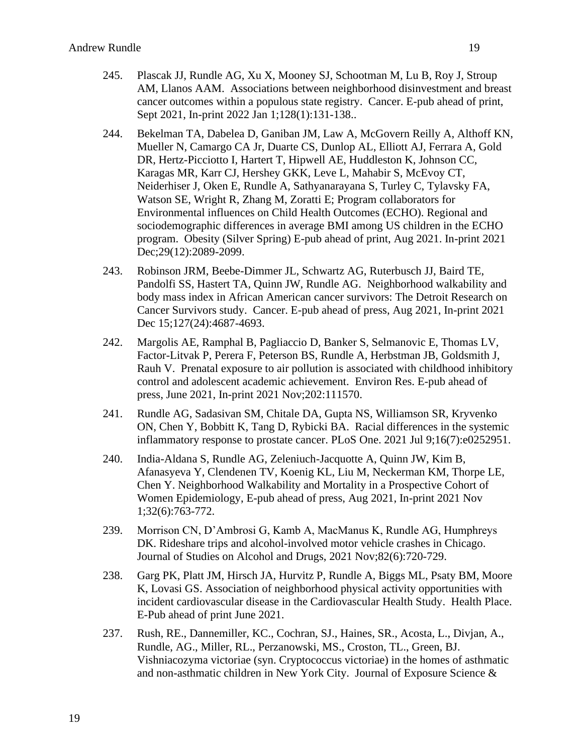- 245. Plascak JJ, Rundle AG, Xu X, Mooney SJ, Schootman M, Lu B, Roy J, Stroup AM, Llanos AAM. Associations between neighborhood disinvestment and breast cancer outcomes within a populous state registry. Cancer. E-pub ahead of print, Sept 2021, In-print 2022 Jan 1;128(1):131-138..
- 244. Bekelman TA, Dabelea D, Ganiban JM, Law A, McGovern Reilly A, Althoff KN, Mueller N, Camargo CA Jr, Duarte CS, Dunlop AL, Elliott AJ, Ferrara A, Gold DR, Hertz-Picciotto I, Hartert T, Hipwell AE, Huddleston K, Johnson CC, Karagas MR, Karr CJ, Hershey GKK, Leve L, Mahabir S, McEvoy CT, Neiderhiser J, Oken E, Rundle A, Sathyanarayana S, Turley C, Tylavsky FA, Watson SE, Wright R, Zhang M, Zoratti E; Program collaborators for Environmental influences on Child Health Outcomes (ECHO). Regional and sociodemographic differences in average BMI among US children in the ECHO program. Obesity (Silver Spring) E-pub ahead of print, Aug 2021. In-print 2021 Dec;29(12):2089-2099.
- 243. Robinson JRM, Beebe-Dimmer JL, Schwartz AG, Ruterbusch JJ, Baird TE, Pandolfi SS, Hastert TA, Quinn JW, Rundle AG. Neighborhood walkability and body mass index in African American cancer survivors: The Detroit Research on Cancer Survivors study. Cancer. E-pub ahead of press, Aug 2021, In-print 2021 Dec 15;127(24):4687-4693.
- 242. Margolis AE, Ramphal B, Pagliaccio D, Banker S, Selmanovic E, Thomas LV, Factor-Litvak P, Perera F, Peterson BS, Rundle A, Herbstman JB, Goldsmith J, Rauh V. Prenatal exposure to air pollution is associated with childhood inhibitory control and adolescent academic achievement. Environ Res. E-pub ahead of press, June 2021, In-print 2021 Nov;202:111570.
- 241. Rundle AG, Sadasivan SM, Chitale DA, Gupta NS, Williamson SR, Kryvenko ON, Chen Y, Bobbitt K, Tang D, Rybicki BA. Racial differences in the systemic inflammatory response to prostate cancer. PLoS One. 2021 Jul 9;16(7):e0252951.
- 240. India-Aldana S, Rundle AG, Zeleniuch-Jacquotte A, Quinn JW, Kim B, Afanasyeva Y, Clendenen TV, Koenig KL, Liu M, Neckerman KM, Thorpe LE, Chen Y. Neighborhood Walkability and Mortality in a Prospective Cohort of Women Epidemiology, E-pub ahead of press, Aug 2021, In-print 2021 Nov 1;32(6):763-772.
- 239. Morrison CN, D'Ambrosi G, Kamb A, MacManus K, Rundle AG, Humphreys DK. Rideshare trips and alcohol-involved motor vehicle crashes in Chicago. Journal of Studies on Alcohol and Drugs, 2021 Nov;82(6):720-729.
- 238. Garg PK, Platt JM, Hirsch JA, Hurvitz P, Rundle A, Biggs ML, Psaty BM, Moore K, Lovasi GS. Association of neighborhood physical activity opportunities with incident cardiovascular disease in the Cardiovascular Health Study. Health Place. E-Pub ahead of print June 2021.
- 237. Rush, RE., Dannemiller, KC., Cochran, SJ., Haines, SR., Acosta, L., Divjan, A., Rundle, AG., Miller, RL., Perzanowski, MS., Croston, TL., Green, BJ. Vishniacozyma victoriae (syn. Cryptococcus victoriae) in the homes of asthmatic and non-asthmatic children in New York City. Journal of Exposure Science &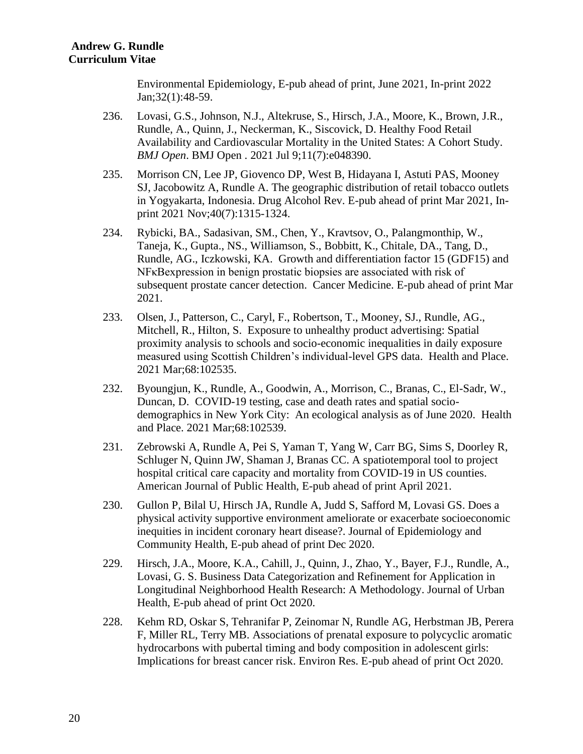Environmental Epidemiology, E-pub ahead of print, June 2021, In-print 2022 Jan;32(1):48-59.

- 236. Lovasi, G.S., Johnson, N.J., Altekruse, S., Hirsch, J.A., Moore, K., Brown, J.R., Rundle, A., Quinn, J., Neckerman, K., Siscovick, D. Healthy Food Retail Availability and Cardiovascular Mortality in the United States: A Cohort Study. *BMJ Open*. BMJ Open . 2021 Jul 9;11(7):e048390.
- 235. Morrison CN, Lee JP, Giovenco DP, West B, Hidayana I, Astuti PAS, Mooney SJ, Jacobowitz A, Rundle A. The geographic distribution of retail tobacco outlets in Yogyakarta, Indonesia. Drug Alcohol Rev. E-pub ahead of print Mar 2021, Inprint 2021 Nov;40(7):1315-1324.
- 234. Rybicki, BA., Sadasivan, SM., Chen, Y., Kravtsov, O., Palangmonthip, W., Taneja, K., Gupta., NS., Williamson, S., Bobbitt, K., Chitale, DA., Tang, D., Rundle, AG., Iczkowski, KA. Growth and differentiation factor 15 (GDF15) and NFκBexpression in benign prostatic biopsies are associated with risk of subsequent prostate cancer detection. Cancer Medicine. E-pub ahead of print Mar 2021.
- 233. Olsen, J., Patterson, C., Caryl, F., Robertson, T., Mooney, SJ., Rundle, AG., Mitchell, R., Hilton, S. Exposure to unhealthy product advertising: Spatial proximity analysis to schools and socio-economic inequalities in daily exposure measured using Scottish Children's individual-level GPS data. Health and Place. 2021 Mar;68:102535.
- 232. Byoungjun, K., Rundle, A., Goodwin, A., Morrison, C., Branas, C., El-Sadr, W., Duncan, D. COVID-19 testing, case and death rates and spatial sociodemographics in New York City: An ecological analysis as of June 2020. Health and Place. 2021 Mar;68:102539.
- 231. Zebrowski A, Rundle A, Pei S, Yaman T, Yang W, Carr BG, Sims S, Doorley R, Schluger N, Quinn JW, Shaman J, Branas CC. A spatiotemporal tool to project hospital critical care capacity and mortality from COVID-19 in US counties. American Journal of Public Health, E-pub ahead of print April 2021.
- 230. Gullon P, Bilal U, Hirsch JA, Rundle A, Judd S, Safford M, Lovasi GS. Does a physical activity supportive environment ameliorate or exacerbate socioeconomic inequities in incident coronary heart disease?. Journal of Epidemiology and Community Health, E-pub ahead of print Dec 2020.
- 229. Hirsch, J.A., Moore, K.A., Cahill, J., Quinn, J., Zhao, Y., Bayer, F.J., Rundle, A., Lovasi, G. S. Business Data Categorization and Refinement for Application in Longitudinal Neighborhood Health Research: A Methodology. Journal of Urban Health, E-pub ahead of print Oct 2020.
- 228. Kehm RD, Oskar S, Tehranifar P, Zeinomar N, Rundle AG, Herbstman JB, Perera F, Miller RL, Terry MB. Associations of prenatal exposure to polycyclic aromatic hydrocarbons with pubertal timing and body composition in adolescent girls: Implications for breast cancer risk. Environ Res. E-pub ahead of print Oct 2020.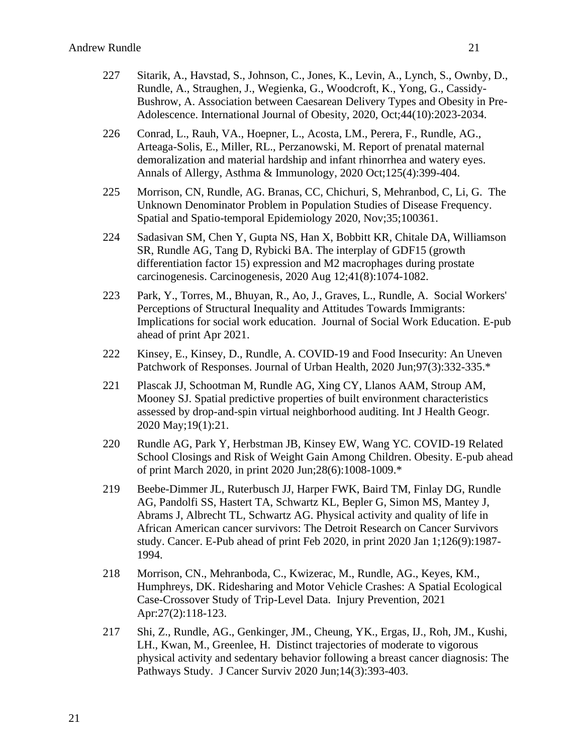- 227 Sitarik, A., Havstad, S., Johnson, C., Jones, K., Levin, A., Lynch, S., Ownby, D., Rundle, A., Straughen, J., Wegienka, G., Woodcroft, K., Yong, G., Cassidy-Bushrow, A. Association between Caesarean Delivery Types and Obesity in Pre-Adolescence. International Journal of Obesity, 2020, Oct;44(10):2023-2034.
- 226 Conrad, L., Rauh, VA., Hoepner, L., Acosta, LM., Perera, F., Rundle, AG., Arteaga-Solis, E., Miller, RL., Perzanowski, M. Report of prenatal maternal demoralization and material hardship and infant rhinorrhea and watery eyes. Annals of Allergy, Asthma & Immunology, 2020 Oct;125(4):399-404.
- 225 Morrison, CN, Rundle, AG. Branas, CC, Chichuri, S, Mehranbod, C, Li, G. The Unknown Denominator Problem in Population Studies of Disease Frequency. Spatial and Spatio-temporal Epidemiology 2020, Nov;35;100361.
- 224 Sadasivan SM, Chen Y, Gupta NS, Han X, Bobbitt KR, Chitale DA, Williamson SR, Rundle AG, Tang D, Rybicki BA. The interplay of GDF15 (growth differentiation factor 15) expression and M2 macrophages during prostate carcinogenesis. Carcinogenesis, 2020 Aug 12;41(8):1074-1082.
- 223 Park, Y., Torres, M., Bhuyan, R., Ao, J., Graves, L., Rundle, A. Social Workers' Perceptions of Structural Inequality and Attitudes Towards Immigrants: Implications for social work education. Journal of Social Work Education. E-pub ahead of print Apr 2021.
- 222 Kinsey, E., Kinsey, D., Rundle, A. COVID-19 and Food Insecurity: An Uneven Patchwork of Responses. Journal of Urban Health, 2020 Jun;97(3):332-335.\*
- 221 Plascak JJ, Schootman M, Rundle AG, Xing CY, Llanos AAM, Stroup AM, Mooney SJ. Spatial predictive properties of built environment characteristics assessed by drop-and-spin virtual neighborhood auditing. Int J Health Geogr. 2020 May;19(1):21.
- 220 Rundle AG, Park Y, Herbstman JB, Kinsey EW, Wang YC. COVID-19 Related School Closings and Risk of Weight Gain Among Children. Obesity. E-pub ahead of print March 2020, in print 2020 Jun;28(6):1008-1009.\*
- 219 Beebe-Dimmer JL, Ruterbusch JJ, Harper FWK, Baird TM, Finlay DG, Rundle AG, Pandolfi SS, Hastert TA, Schwartz KL, Bepler G, Simon MS, Mantey J, Abrams J, Albrecht TL, Schwartz AG. Physical activity and quality of life in African American cancer survivors: The Detroit Research on Cancer Survivors study. Cancer. E-Pub ahead of print Feb 2020, in print 2020 Jan 1;126(9):1987- 1994.
- 218 Morrison, CN., Mehranboda, C., Kwizerac, M., Rundle, AG., Keyes, KM., Humphreys, DK. Ridesharing and Motor Vehicle Crashes: A Spatial Ecological Case-Crossover Study of Trip-Level Data. Injury Prevention, 2021 Apr:27(2):118-123.
- 217 Shi, Z., Rundle, AG., Genkinger, JM., Cheung, YK., Ergas, IJ., Roh, JM., Kushi, LH., Kwan, M., Greenlee, H. Distinct trajectories of moderate to vigorous physical activity and sedentary behavior following a breast cancer diagnosis: The Pathways Study. J Cancer Surviv 2020 Jun;14(3):393-403.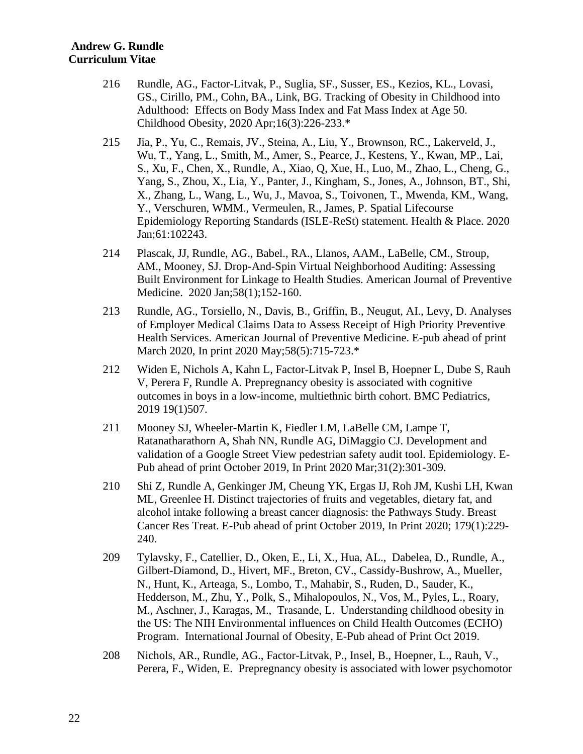- 216 Rundle, AG., Factor-Litvak, P., Suglia, SF., Susser, ES., Kezios, KL., Lovasi, GS., Cirillo, PM., Cohn, BA., Link, BG. Tracking of Obesity in Childhood into Adulthood: Effects on Body Mass Index and Fat Mass Index at Age 50. Childhood Obesity, 2020 Apr;16(3):226-233.\*
- 215 Jia, P., Yu, C., Remais, JV., Steina, A., Liu, Y., Brownson, RC., Lakerveld, J., Wu, T., Yang, L., Smith, M., Amer, S., Pearce, J., Kestens, Y., Kwan, MP., Lai, S., Xu, F., Chen, X., Rundle, A., Xiao, Q, Xue, H., Luo, M., Zhao, L., Cheng, G., Yang, S., Zhou, X., Lia, Y., Panter, J., Kingham, S., Jones, A., Johnson, BT., Shi, X., Zhang, L., Wang, L., Wu, J., Mavoa, S., Toivonen, T., Mwenda, KM., Wang, Y., Verschuren, WMM., Vermeulen, R., James, P. Spatial Lifecourse Epidemiology Reporting Standards (ISLE-ReSt) statement. Health & Place. 2020 Jan;61:102243.
- 214 Plascak, JJ, Rundle, AG., Babel., RA., Llanos, AAM., LaBelle, CM., Stroup, AM., Mooney, SJ. Drop-And-Spin Virtual Neighborhood Auditing: Assessing Built Environment for Linkage to Health Studies. American Journal of Preventive Medicine. 2020 Jan;58(1);152-160.
- 213 Rundle, AG., Torsiello, N., Davis, B., Griffin, B., Neugut, AI., Levy, D. Analyses of Employer Medical Claims Data to Assess Receipt of High Priority Preventive Health Services. American Journal of Preventive Medicine. E-pub ahead of print March 2020, In print 2020 May; 58(5): 715-723.\*
- 212 Widen E, Nichols A, Kahn L, Factor-Litvak P, Insel B, Hoepner L, Dube S, Rauh V, Perera F, Rundle A. Prepregnancy obesity is associated with cognitive outcomes in boys in a low-income, multiethnic birth cohort. BMC Pediatrics, 2019 19(1)507.
- 211 Mooney SJ, Wheeler-Martin K, Fiedler LM, LaBelle CM, Lampe T, Ratanatharathorn A, Shah NN, Rundle AG, DiMaggio CJ. Development and validation of a Google Street View pedestrian safety audit tool. Epidemiology. E-Pub ahead of print October 2019, In Print 2020 Mar;31(2):301-309.
- 210 Shi Z, Rundle A, Genkinger JM, Cheung YK, Ergas IJ, Roh JM, Kushi LH, Kwan ML, Greenlee H. Distinct trajectories of fruits and vegetables, dietary fat, and alcohol intake following a breast cancer diagnosis: the Pathways Study. Breast Cancer Res Treat. E-Pub ahead of print October 2019, In Print 2020; 179(1):229- 240.
- 209 Tylavsky, F., Catellier, D., Oken, E., Li, X., Hua, AL., Dabelea, D., Rundle, A., Gilbert-Diamond, D., Hivert, MF., Breton, CV., Cassidy-Bushrow, A., Mueller, N., Hunt, K., Arteaga, S., Lombo, T., Mahabir, S., Ruden, D., Sauder, K., Hedderson, M., Zhu, Y., Polk, S., Mihalopoulos, N., Vos, M., Pyles, L., Roary, M., Aschner, J., Karagas, M., Trasande, L. Understanding childhood obesity in the US: The NIH Environmental influences on Child Health Outcomes (ECHO) Program. International Journal of Obesity, E-Pub ahead of Print Oct 2019.
- 208 Nichols, AR., Rundle, AG., Factor-Litvak, P., Insel, B., Hoepner, L., Rauh, V., Perera, F., Widen, E. Prepregnancy obesity is associated with lower psychomotor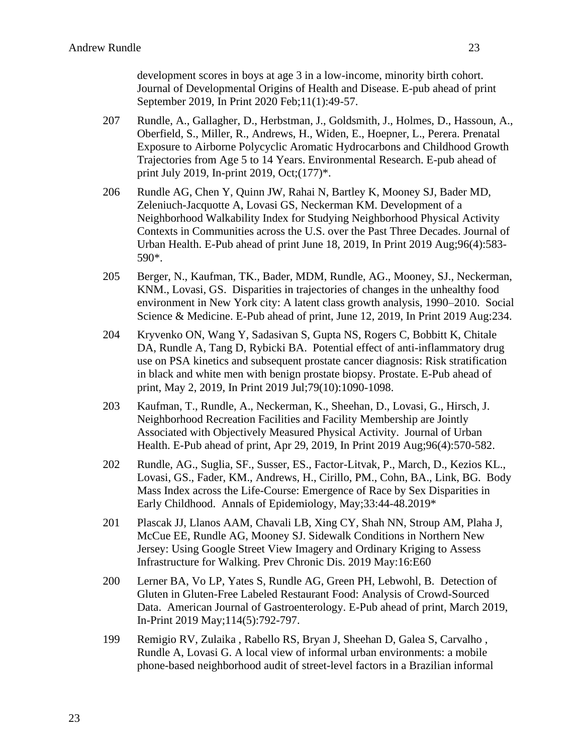development scores in boys at age 3 in a low-income, minority birth cohort. Journal of Developmental Origins of Health and Disease. E-pub ahead of print September 2019, In Print 2020 Feb;11(1):49-57.

- 207 Rundle, A., Gallagher, D., Herbstman, J., Goldsmith, J., Holmes, D., Hassoun, A., Oberfield, S., Miller, R., Andrews, H., Widen, E., Hoepner, L., Perera. Prenatal Exposure to Airborne Polycyclic Aromatic Hydrocarbons and Childhood Growth Trajectories from Age 5 to 14 Years. Environmental Research. E-pub ahead of print July 2019, In-print 2019, Oct;(177)\*.
- 206 Rundle AG, Chen Y, Quinn JW, Rahai N, Bartley K, Mooney SJ, Bader MD, Zeleniuch-Jacquotte A, Lovasi GS, Neckerman KM. Development of a Neighborhood Walkability Index for Studying Neighborhood Physical Activity Contexts in Communities across the U.S. over the Past Three Decades. Journal of Urban Health. E-Pub ahead of print June 18, 2019, In Print 2019 Aug;96(4):583- 590\*.
- 205 Berger, N., Kaufman, TK., Bader, MDM, Rundle, AG., Mooney, SJ., Neckerman, KNM., Lovasi, GS. Disparities in trajectories of changes in the unhealthy food environment in New York city: A latent class growth analysis, 1990–2010. Social Science & Medicine. E-Pub ahead of print, June 12, 2019, In Print 2019 Aug:234.
- 204 Kryvenko ON, Wang Y, Sadasivan S, Gupta NS, Rogers C, Bobbitt K, Chitale DA, Rundle A, Tang D, Rybicki BA. Potential effect of anti-inflammatory drug use on PSA kinetics and subsequent prostate cancer diagnosis: Risk stratification in black and white men with benign prostate biopsy. Prostate. E-Pub ahead of print, May 2, 2019, In Print 2019 Jul;79(10):1090-1098.
- 203 Kaufman, T., Rundle, A., Neckerman, K., Sheehan, D., Lovasi, G., Hirsch, J. Neighborhood Recreation Facilities and Facility Membership are Jointly Associated with Objectively Measured Physical Activity. Journal of Urban Health. E-Pub ahead of print, Apr 29, 2019, In Print 2019 Aug;96(4):570-582.
- 202 Rundle, AG., Suglia, SF., Susser, ES., Factor-Litvak, P., March, D., Kezios KL., Lovasi, GS., Fader, KM., Andrews, H., Cirillo, PM., Cohn, BA., Link, BG. Body Mass Index across the Life-Course: Emergence of Race by Sex Disparities in Early Childhood. Annals of Epidemiology, May;33:44-48.2019\*
- 201 Plascak JJ, Llanos AAM, Chavali LB, Xing CY, Shah NN, Stroup AM, Plaha J, McCue EE, Rundle AG, Mooney SJ. Sidewalk Conditions in Northern New Jersey: Using Google Street View Imagery and Ordinary Kriging to Assess Infrastructure for Walking. Prev Chronic Dis. 2019 May:16:E60
- 200 Lerner BA, Vo LP, Yates S, Rundle AG, Green PH, Lebwohl, B. Detection of Gluten in Gluten-Free Labeled Restaurant Food: Analysis of Crowd-Sourced Data. American Journal of Gastroenterology. E-Pub ahead of print, March 2019, In-Print 2019 May;114(5):792-797.
- 199 Remigio RV, Zulaika , Rabello RS, Bryan J, Sheehan D, Galea S, Carvalho , Rundle A, Lovasi G. A local view of informal urban environments: a mobile phone-based neighborhood audit of street-level factors in a Brazilian informal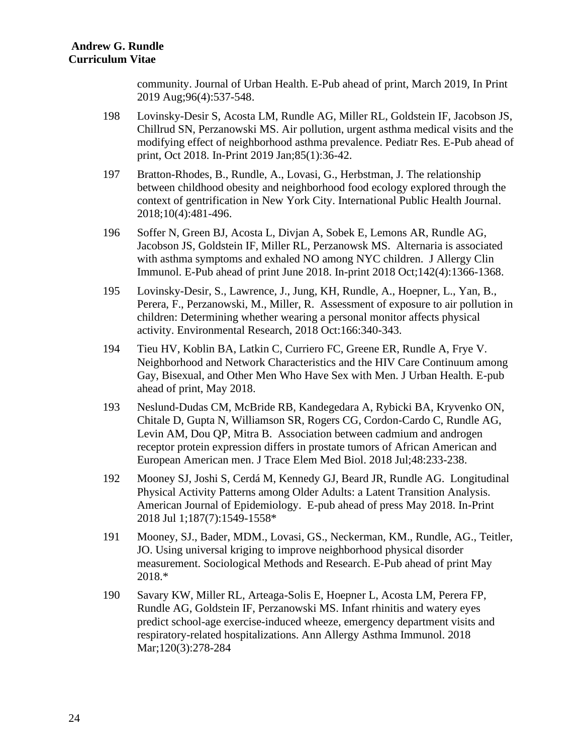community. Journal of Urban Health. E-Pub ahead of print, March 2019, In Print 2019 Aug;96(4):537-548.

- 198 Lovinsky-Desir S, Acosta LM, Rundle AG, Miller RL, Goldstein IF, Jacobson JS, Chillrud SN, Perzanowski MS. Air pollution, urgent asthma medical visits and the modifying effect of neighborhood asthma prevalence. Pediatr Res. E-Pub ahead of print, Oct 2018. In-Print 2019 Jan;85(1):36-42.
- 197 Bratton-Rhodes, B., Rundle, A., Lovasi, G., Herbstman, J. The relationship between childhood obesity and neighborhood food ecology explored through the context of gentrification in New York City. International Public Health Journal. 2018;10(4):481-496.
- 196 Soffer N, Green BJ, Acosta L, Divjan A, Sobek E, Lemons AR, Rundle AG, Jacobson JS, Goldstein IF, Miller RL, Perzanowsk MS. Alternaria is associated with asthma symptoms and exhaled NO among NYC children. J Allergy Clin Immunol. E-Pub ahead of print June 2018. In-print 2018 Oct;142(4):1366-1368.
- 195 Lovinsky-Desir, S., Lawrence, J., Jung, KH, Rundle, A., Hoepner, L., Yan, B., Perera, F., Perzanowski, M., Miller, R. Assessment of exposure to air pollution in children: Determining whether wearing a personal monitor affects physical activity. Environmental Research, 2018 Oct:166:340-343.
- 194 Tieu HV, Koblin BA, Latkin C, Curriero FC, Greene ER, Rundle A, Frye V. Neighborhood and Network Characteristics and the HIV Care Continuum among Gay, Bisexual, and Other Men Who Have Sex with Men. J Urban Health. E-pub ahead of print, May 2018.
- 193 Neslund-Dudas CM, McBride RB, Kandegedara A, Rybicki BA, Kryvenko ON, Chitale D, Gupta N, Williamson SR, Rogers CG, Cordon-Cardo C, Rundle AG, Levin AM, Dou QP, Mitra B. Association between cadmium and androgen receptor protein expression differs in prostate tumors of African American and European American men. J Trace Elem Med Biol. 2018 Jul;48:233-238.
- 192 Mooney SJ, Joshi S, Cerdá M, Kennedy GJ, Beard JR, Rundle AG. Longitudinal Physical Activity Patterns among Older Adults: a Latent Transition Analysis. American Journal of Epidemiology. E-pub ahead of press May 2018. In-Print 2018 Jul 1;187(7):1549-1558\*
- 191 Mooney, SJ., Bader, MDM., Lovasi, GS., Neckerman, KM., Rundle, AG., Teitler, JO. Using universal kriging to improve neighborhood physical disorder measurement. Sociological Methods and Research. E-Pub ahead of print May 2018.\*
- 190 Savary KW, Miller RL, Arteaga-Solis E, Hoepner L, Acosta LM, Perera FP, Rundle AG, Goldstein IF, Perzanowski MS. Infant rhinitis and watery eyes predict school-age exercise-induced wheeze, emergency department visits and respiratory-related hospitalizations. Ann Allergy Asthma Immunol. 2018 Mar;120(3):278-284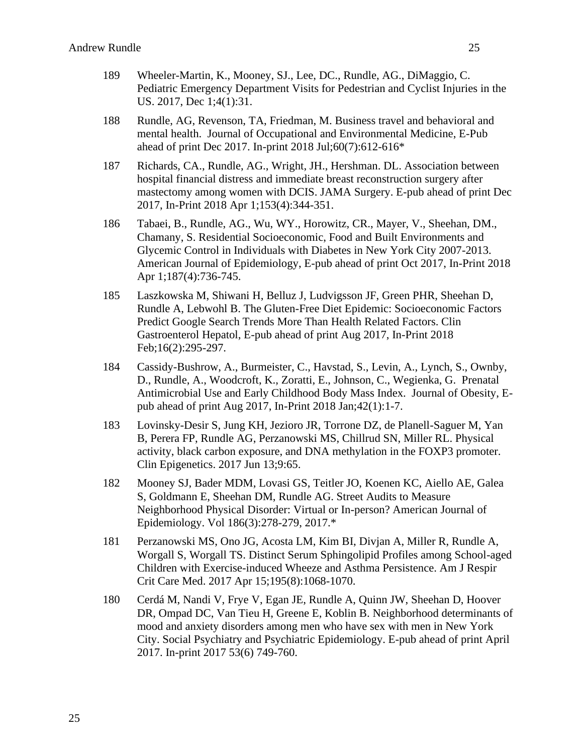- 189 Wheeler-Martin, K., Mooney, SJ., Lee, DC., Rundle, AG., DiMaggio, C. Pediatric Emergency Department Visits for Pedestrian and Cyclist Injuries in the US. 2017, Dec 1;4(1):31.
- 188 Rundle, AG, Revenson, TA, Friedman, M. Business travel and behavioral and mental health. Journal of Occupational and Environmental Medicine, E-Pub ahead of print Dec 2017. In-print 2018 Jul;60(7):612-616\*
- 187 Richards, CA., Rundle, AG., Wright, JH., Hershman. DL. Association between hospital financial distress and immediate breast reconstruction surgery after mastectomy among women with DCIS. JAMA Surgery. E-pub ahead of print Dec 2017, In-Print 2018 Apr 1;153(4):344-351.
- 186 Tabaei, B., Rundle, AG., Wu, WY., Horowitz, CR., Mayer, V., Sheehan, DM., Chamany, S. Residential Socioeconomic, Food and Built Environments and Glycemic Control in Individuals with Diabetes in New York City 2007-2013. American Journal of Epidemiology, E-pub ahead of print Oct 2017, In-Print 2018 Apr 1;187(4):736-745.
- 185 Laszkowska M, Shiwani H, Belluz J, Ludvigsson JF, Green PHR, Sheehan D, Rundle A, Lebwohl B. The Gluten-Free Diet Epidemic: Socioeconomic Factors Predict Google Search Trends More Than Health Related Factors. Clin Gastroenterol Hepatol, E-pub ahead of print Aug 2017, In-Print 2018 Feb;16(2):295-297.
- 184 Cassidy-Bushrow, A., Burmeister, C., Havstad, S., Levin, A., Lynch, S., Ownby, D., Rundle, A., Woodcroft, K., Zoratti, E., Johnson, C., Wegienka, G. Prenatal Antimicrobial Use and Early Childhood Body Mass Index. Journal of Obesity, Epub ahead of print Aug 2017, In-Print 2018 Jan;42(1):1-7.
- 183 Lovinsky-Desir S, Jung KH, Jezioro JR, Torrone DZ, de Planell-Saguer M, Yan B, Perera FP, Rundle AG, Perzanowski MS, Chillrud SN, Miller RL. Physical activity, black carbon exposure, and DNA methylation in the FOXP3 promoter. Clin Epigenetics. 2017 Jun 13;9:65.
- 182 Mooney SJ, Bader MDM, Lovasi GS, Teitler JO, Koenen KC, Aiello AE, Galea S, Goldmann E, Sheehan DM, Rundle AG. Street Audits to Measure Neighborhood Physical Disorder: Virtual or In-person? American Journal of Epidemiology. Vol 186(3):278-279, 2017.\*
- 181 Perzanowski MS, Ono JG, Acosta LM, Kim BI, Divjan A, Miller R, Rundle A, Worgall S, Worgall TS. Distinct Serum Sphingolipid Profiles among School-aged Children with Exercise-induced Wheeze and Asthma Persistence. Am J Respir Crit Care Med. 2017 Apr 15;195(8):1068-1070.
- 180 Cerdá M, Nandi V, Frye V, Egan JE, Rundle A, Quinn JW, Sheehan D, Hoover DR, Ompad DC, Van Tieu H, Greene E, Koblin B. Neighborhood determinants of mood and anxiety disorders among men who have sex with men in New York City. Social Psychiatry and Psychiatric Epidemiology. E-pub ahead of print April 2017. In-print 2017 53(6) 749-760.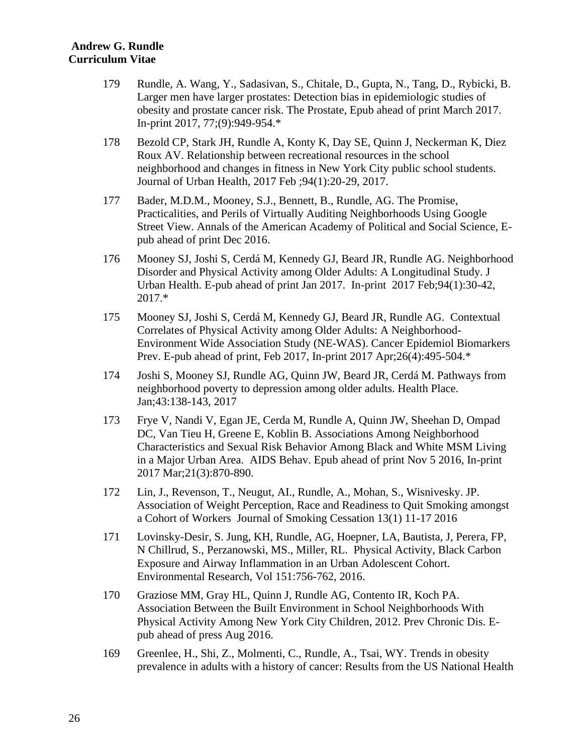- 179 Rundle, A. Wang, Y., Sadasivan, S., Chitale, D., Gupta, N., Tang, D., Rybicki, B. Larger men have larger prostates: Detection bias in epidemiologic studies of obesity and prostate cancer risk. The Prostate, Epub ahead of print March 2017. In-print 2017, 77;(9):949-954.\*
- 178 Bezold CP, Stark JH, Rundle A, Konty K, Day SE, Quinn J, Neckerman K, Diez Roux AV. Relationship between recreational resources in the school neighborhood and changes in fitness in New York City public school students. Journal of Urban Health, 2017 Feb ;94(1):20-29, 2017.
- 177 Bader, M.D.M., Mooney, S.J., Bennett, B., Rundle, AG. The Promise, Practicalities, and Perils of Virtually Auditing Neighborhoods Using Google Street View. Annals of the American Academy of Political and Social Science, Epub ahead of print Dec 2016.
- 176 Mooney SJ, Joshi S, Cerdá M, Kennedy GJ, Beard JR, Rundle AG. Neighborhood Disorder and Physical Activity among Older Adults: A Longitudinal Study. J Urban Health. E-pub ahead of print Jan 2017. In-print 2017 Feb;94(1):30-42, 2017.\*
- 175 Mooney SJ, Joshi S, Cerdá M, Kennedy GJ, Beard JR, Rundle AG. Contextual Correlates of Physical Activity among Older Adults: A Neighborhood-Environment Wide Association Study (NE-WAS). Cancer Epidemiol Biomarkers Prev. E-pub ahead of print, Feb 2017, In-print 2017 Apr;26(4):495-504.\*
- 174 Joshi S, Mooney SJ, Rundle AG, Quinn JW, Beard JR, Cerdá M. Pathways from neighborhood poverty to depression among older adults. Health Place. Jan;43:138-143, 2017
- 173 Frye V, Nandi V, Egan JE, Cerda M, Rundle A, Quinn JW, Sheehan D, Ompad DC, Van Tieu H, Greene E, Koblin B. Associations Among Neighborhood Characteristics and Sexual Risk Behavior Among Black and White MSM Living in a Major Urban Area. AIDS Behav. Epub ahead of print Nov 5 2016, In-print 2017 Mar;21(3):870-890.
- 172 Lin, J., Revenson, T., Neugut, AI., Rundle, A., Mohan, S., Wisnivesky. JP. Association of Weight Perception, Race and Readiness to Quit Smoking amongst a Cohort of Workers Journal of Smoking Cessation 13(1) 11-17 2016
- 171 Lovinsky-Desir, S. Jung, KH, Rundle, AG, Hoepner, LA, Bautista, J, Perera, FP, N Chillrud, S., Perzanowski, MS., Miller, RL. Physical Activity, Black Carbon Exposure and Airway Inflammation in an Urban Adolescent Cohort. Environmental Research, Vol 151:756-762, 2016.
- 170 Graziose MM, Gray HL, Quinn J, Rundle AG, Contento IR, Koch PA. Association Between the Built Environment in School Neighborhoods With Physical Activity Among New York City Children, 2012. Prev Chronic Dis. Epub ahead of press Aug 2016.
- 169 Greenlee, H., Shi, Z., Molmenti, C., Rundle, A., Tsai, WY. Trends in obesity prevalence in adults with a history of cancer: Results from the US National Health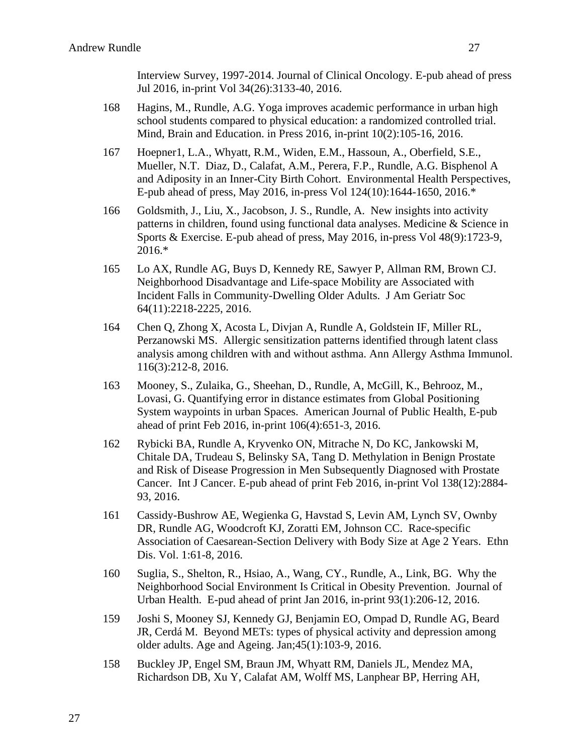Interview Survey, 1997-2014. Journal of Clinical Oncology. E-pub ahead of press Jul 2016, in-print Vol 34(26):3133-40, 2016.

- 168 Hagins, M., Rundle, A.G. Yoga improves academic performance in urban high school students compared to physical education: a randomized controlled trial. Mind, Brain and Education. in Press 2016, in-print 10(2):105-16, 2016.
- 167 Hoepner1, L.A., Whyatt, R.M., Widen, E.M., Hassoun, A., Oberfield, S.E., Mueller, N.T. Diaz, D., Calafat, A.M., Perera, F.P., Rundle, A.G. Bisphenol A and Adiposity in an Inner-City Birth Cohort. Environmental Health Perspectives, E-pub ahead of press, May 2016, in-press Vol 124(10):1644-1650, 2016.\*
- 166 Goldsmith, J., Liu, X., Jacobson, J. S., Rundle, A. New insights into activity patterns in children, found using functional data analyses. Medicine & Science in Sports & Exercise. E-pub ahead of press, May 2016, in-press Vol 48(9):1723-9, 2016.\*
- 165 Lo AX, Rundle AG, Buys D, Kennedy RE, Sawyer P, Allman RM, Brown CJ. Neighborhood Disadvantage and Life-space Mobility are Associated with Incident Falls in Community-Dwelling Older Adults. J Am Geriatr Soc 64(11):2218-2225, 2016.
- 164 Chen Q, Zhong X, Acosta L, Divjan A, Rundle A, Goldstein IF, Miller RL, Perzanowski MS. Allergic sensitization patterns identified through latent class analysis among children with and without asthma. Ann Allergy Asthma Immunol. 116(3):212-8, 2016.
- 163 Mooney, S., Zulaika, G., Sheehan, D., Rundle, A, McGill, K., Behrooz, M., Lovasi, G. Quantifying error in distance estimates from Global Positioning System waypoints in urban Spaces. American Journal of Public Health, E-pub ahead of print Feb 2016, in-print 106(4):651-3, 2016.
- 162 Rybicki BA, Rundle A, Kryvenko ON, Mitrache N, Do KC, Jankowski M, Chitale DA, Trudeau S, Belinsky SA, Tang D. Methylation in Benign Prostate and Risk of Disease Progression in Men Subsequently Diagnosed with Prostate Cancer. Int J Cancer. E-pub ahead of print Feb 2016, in-print Vol 138(12):2884- 93, 2016.
- 161 Cassidy-Bushrow AE, Wegienka G, Havstad S, Levin AM, Lynch SV, Ownby DR, Rundle AG, Woodcroft KJ, Zoratti EM, Johnson CC. Race-specific Association of Caesarean-Section Delivery with Body Size at Age 2 Years. Ethn Dis. Vol. 1:61-8, 2016.
- 160 Suglia, S., Shelton, R., Hsiao, A., Wang, CY., Rundle, A., Link, BG. Why the Neighborhood Social Environment Is Critical in Obesity Prevention. Journal of Urban Health. E-pud ahead of print Jan 2016, in-print 93(1):206-12, 2016.
- 159 Joshi S, Mooney SJ, Kennedy GJ, Benjamin EO, Ompad D, Rundle AG, Beard JR, Cerdá M. Beyond METs: types of physical activity and depression among older adults. Age and Ageing. Jan;45(1):103-9, 2016.
- 158 Buckley JP, Engel SM, Braun JM, Whyatt RM, Daniels JL, Mendez MA, Richardson DB, Xu Y, Calafat AM, Wolff MS, Lanphear BP, Herring AH,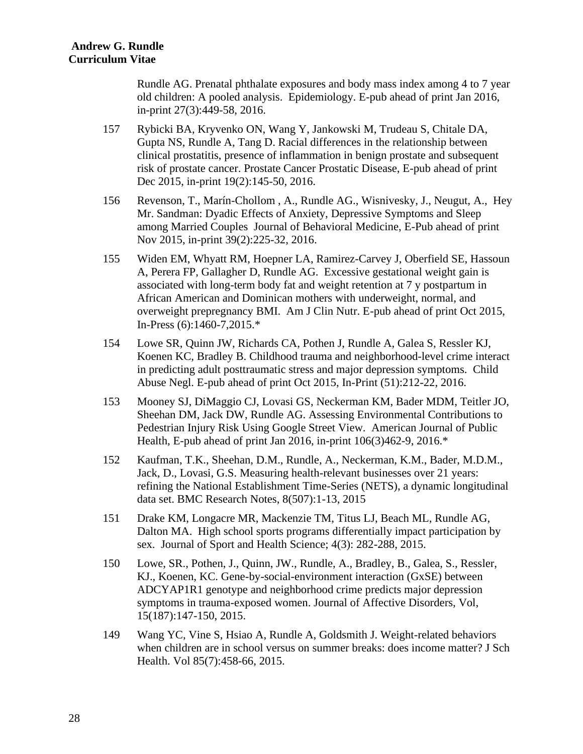Rundle AG. Prenatal phthalate exposures and body mass index among 4 to 7 year old children: A pooled analysis. Epidemiology. E-pub ahead of print Jan 2016, in-print 27(3):449-58, 2016.

- 157 Rybicki BA, Kryvenko ON, Wang Y, Jankowski M, Trudeau S, Chitale DA, Gupta NS, Rundle A, Tang D. Racial differences in the relationship between clinical prostatitis, presence of inflammation in benign prostate and subsequent risk of prostate cancer. Prostate Cancer Prostatic Disease, E-pub ahead of print Dec 2015, in-print 19(2):145-50, 2016.
- 156 Revenson, T., Marín-Chollom , A., Rundle AG., Wisnivesky, J., Neugut, A., Hey Mr. Sandman: Dyadic Effects of Anxiety, Depressive Symptoms and Sleep among Married Couples Journal of Behavioral Medicine, E-Pub ahead of print Nov 2015, in-print 39(2):225-32, 2016.
- 155 Widen EM, Whyatt RM, Hoepner LA, Ramirez-Carvey J, Oberfield SE, Hassoun A, Perera FP, Gallagher D, Rundle AG. Excessive gestational weight gain is associated with long-term body fat and weight retention at 7 y postpartum in African American and Dominican mothers with underweight, normal, and overweight prepregnancy BMI. Am J Clin Nutr. E-pub ahead of print Oct 2015, In-Press (6):1460-7,2015.\*
- 154 Lowe SR, Quinn JW, Richards CA, Pothen J, Rundle A, Galea S, Ressler KJ, Koenen KC, Bradley B. Childhood trauma and neighborhood-level crime interact in predicting adult posttraumatic stress and major depression symptoms. Child Abuse Negl. E-pub ahead of print Oct 2015, In-Print (51):212-22, 2016.
- 153 Mooney SJ, DiMaggio CJ, Lovasi GS, Neckerman KM, Bader MDM, Teitler JO, Sheehan DM, Jack DW, Rundle AG. Assessing Environmental Contributions to Pedestrian Injury Risk Using Google Street View. American Journal of Public Health, E-pub ahead of print Jan 2016, in-print 106(3)462-9, 2016.\*
- 152 Kaufman, T.K., Sheehan, D.M., Rundle, A., Neckerman, K.M., Bader, M.D.M., Jack, D., Lovasi, G.S. Measuring health-relevant businesses over 21 years: refining the National Establishment Time-Series (NETS), a dynamic longitudinal data set. BMC Research Notes, 8(507):1-13, 2015
- 151 Drake KM, Longacre MR, Mackenzie TM, Titus LJ, Beach ML, Rundle AG, Dalton MA. High school sports programs differentially impact participation by sex. Journal of Sport and Health Science; 4(3): 282-288, 2015.
- 150 Lowe, SR., Pothen, J., Quinn, JW., Rundle, A., Bradley, B., Galea, S., Ressler, KJ., Koenen, KC. Gene-by-social-environment interaction (GxSE) between ADCYAP1R1 genotype and neighborhood crime predicts major depression symptoms in trauma-exposed women. Journal of Affective Disorders, Vol, 15(187):147-150, 2015.
- 149 Wang YC, Vine S, Hsiao A, Rundle A, Goldsmith J. Weight-related behaviors when children are in school versus on summer breaks: does income matter? J Sch Health. Vol 85(7):458-66, 2015.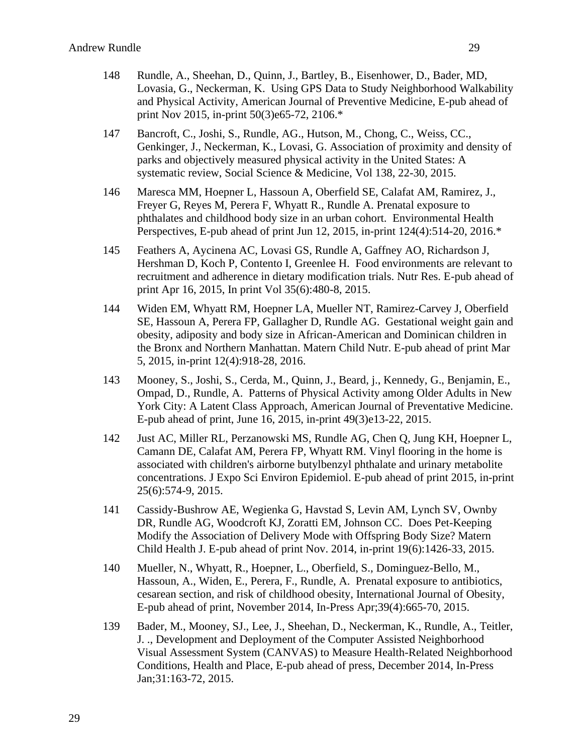- 148 Rundle, A., Sheehan, D., Quinn, J., Bartley, B., Eisenhower, D., Bader, MD, Lovasia, G., Neckerman, K. Using GPS Data to Study Neighborhood Walkability and Physical Activity, American Journal of Preventive Medicine, E-pub ahead of print Nov 2015, in-print 50(3)e65-72, 2106.\*
- 147 Bancroft, C., Joshi, S., Rundle, AG., Hutson, M., Chong, C., Weiss, CC., Genkinger, J., Neckerman, K., Lovasi, G. Association of proximity and density of parks and objectively measured physical activity in the United States: A systematic review, Social Science & Medicine, Vol 138, 22-30, 2015.
- 146 Maresca MM, Hoepner L, Hassoun A, Oberfield SE, Calafat AM, Ramirez, J., Freyer G, Reyes M, Perera F, Whyatt R., Rundle A. Prenatal exposure to phthalates and childhood body size in an urban cohort. Environmental Health Perspectives, E-pub ahead of print Jun 12, 2015, in-print 124(4):514-20, 2016.\*
- 145 Feathers A, Aycinena AC, Lovasi GS, Rundle A, Gaffney AO, Richardson J, Hershman D, Koch P, Contento I, Greenlee H. Food environments are relevant to recruitment and adherence in dietary modification trials. Nutr Res. E-pub ahead of print Apr 16, 2015, In print Vol 35(6):480-8, 2015.
- 144 Widen EM, Whyatt RM, Hoepner LA, Mueller NT, Ramirez-Carvey J, Oberfield SE, Hassoun A, Perera FP, Gallagher D, Rundle AG. Gestational weight gain and obesity, adiposity and body size in African-American and Dominican children in the Bronx and Northern Manhattan. Matern Child Nutr. E-pub ahead of print Mar 5, 2015, in-print 12(4):918-28, 2016.
- 143 Mooney, S., Joshi, S., Cerda, M., Quinn, J., Beard, j., Kennedy, G., Benjamin, E., Ompad, D., Rundle, A. Patterns of Physical Activity among Older Adults in New York City: A Latent Class Approach, American Journal of Preventative Medicine. E-pub ahead of print, June 16, 2015, in-print 49(3)e13-22, 2015.
- 142 Just AC, Miller RL, Perzanowski MS, Rundle AG, Chen Q, Jung KH, Hoepner L, Camann DE, Calafat AM, Perera FP, Whyatt RM. Vinyl flooring in the home is associated with children's airborne butylbenzyl phthalate and urinary metabolite concentrations. J Expo Sci Environ Epidemiol. E-pub ahead of print 2015, in-print 25(6):574-9, 2015.
- 141 Cassidy-Bushrow AE, Wegienka G, Havstad S, Levin AM, Lynch SV, Ownby DR, Rundle AG, Woodcroft KJ, Zoratti EM, Johnson CC. Does Pet-Keeping Modify the Association of Delivery Mode with Offspring Body Size? Matern Child Health J. E-pub ahead of print Nov. 2014, in-print 19(6):1426-33, 2015.
- 140 Mueller, N., Whyatt, R., Hoepner, L., Oberfield, S., Dominguez-Bello, M., Hassoun, A., Widen, E., Perera, F., Rundle, A. Prenatal exposure to antibiotics, cesarean section, and risk of childhood obesity, International Journal of Obesity, E-pub ahead of print, November 2014, In-Press Apr;39(4):665-70, 2015.
- 139 Bader, M., Mooney, SJ., Lee, J., Sheehan, D., Neckerman, K., Rundle, A., Teitler, J. ., Development and Deployment of the Computer Assisted Neighborhood Visual Assessment System (CANVAS) to Measure Health-Related Neighborhood Conditions, Health and Place, E-pub ahead of press, December 2014, In-Press Jan;31:163-72, 2015.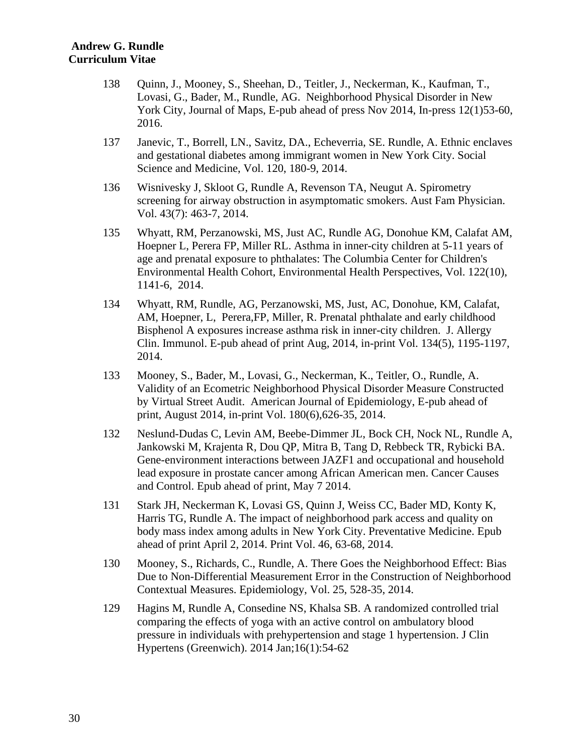- 138 Quinn, J., Mooney, S., Sheehan, D., Teitler, J., Neckerman, K., Kaufman, T., Lovasi, G., Bader, M., Rundle, AG. Neighborhood Physical Disorder in New York City, Journal of Maps, E-pub ahead of press Nov 2014, In-press 12(1)53-60, 2016.
- 137 Janevic, T., Borrell, LN., Savitz, DA., Echeverria, SE. Rundle, A. Ethnic enclaves and gestational diabetes among immigrant women in New York City. Social Science and Medicine, Vol. 120, 180-9, 2014.
- 136 Wisnivesky J, Skloot G, Rundle A, Revenson TA, Neugut A. Spirometry screening for airway obstruction in asymptomatic smokers. Aust Fam Physician. Vol. 43(7): 463-7, 2014.
- 135 Whyatt, RM, Perzanowski, MS, Just AC, Rundle AG, Donohue KM, Calafat AM, Hoepner L, Perera FP, Miller RL. Asthma in inner-city children at 5-11 years of age and prenatal exposure to phthalates: The Columbia Center for Children's Environmental Health Cohort, Environmental Health Perspectives, Vol. 122(10), 1141-6, 2014.
- 134 Whyatt, RM, Rundle, AG, Perzanowski, MS, Just, AC, Donohue, KM, Calafat, AM, Hoepner, L, Perera,FP, Miller, R. Prenatal phthalate and early childhood Bisphenol A exposures increase asthma risk in inner-city children. J. Allergy Clin. Immunol. E-pub ahead of print Aug, 2014, in-print Vol. 134(5), 1195-1197, 2014.
- 133 Mooney, S., Bader, M., Lovasi, G., Neckerman, K., Teitler, O., Rundle, A. Validity of an Ecometric Neighborhood Physical Disorder Measure Constructed by Virtual Street Audit. American Journal of Epidemiology, E-pub ahead of print, August 2014, in-print Vol. 180(6),626-35, 2014.
- 132 Neslund-Dudas C, Levin AM, Beebe-Dimmer JL, Bock CH, Nock NL, Rundle A, Jankowski M, Krajenta R, Dou QP, Mitra B, Tang D, Rebbeck TR, Rybicki BA. Gene-environment interactions between JAZF1 and occupational and household lead exposure in prostate cancer among African American men. Cancer Causes and Control. Epub ahead of print, May 7 2014.
- 131 Stark JH, Neckerman K, Lovasi GS, Quinn J, Weiss CC, Bader MD, Konty K, Harris TG, Rundle A. The impact of neighborhood park access and quality on body mass index among adults in New York City. Preventative Medicine. Epub ahead of print April 2, 2014. Print Vol. 46, 63-68, 2014.
- 130 Mooney, S., Richards, C., Rundle, A. There Goes the Neighborhood Effect: Bias Due to Non-Differential Measurement Error in the Construction of Neighborhood Contextual Measures. Epidemiology, Vol. 25, 528-35, 2014.
- 129 Hagins M, Rundle A, Consedine NS, Khalsa SB. A randomized controlled trial comparing the effects of yoga with an active control on ambulatory blood pressure in individuals with prehypertension and stage 1 hypertension. J Clin Hypertens (Greenwich). 2014 Jan;16(1):54-62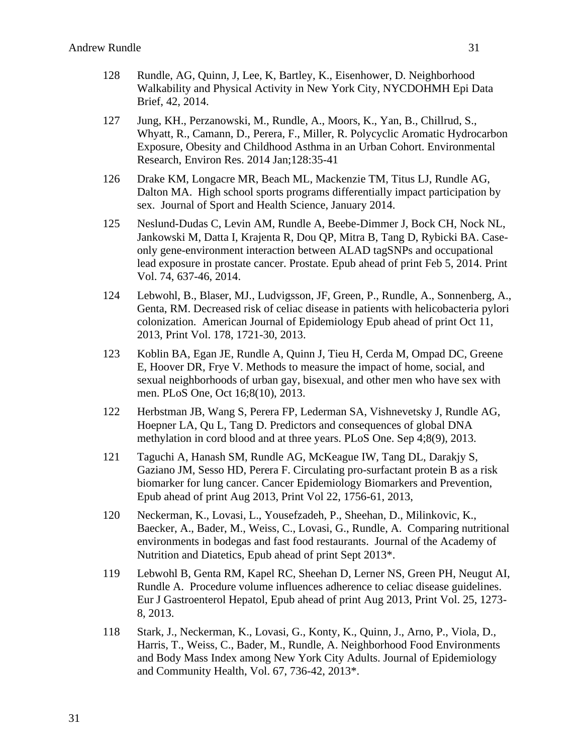- 128 Rundle, AG, Quinn, J, Lee, K, Bartley, K., Eisenhower, D. Neighborhood Walkability and Physical Activity in New York City, NYCDOHMH Epi Data Brief, 42, 2014.
- 127 Jung, KH., Perzanowski, M., Rundle, A., Moors, K., Yan, B., Chillrud, S., Whyatt, R., Camann, D., Perera, F., Miller, R. Polycyclic Aromatic Hydrocarbon Exposure, Obesity and Childhood Asthma in an Urban Cohort. Environmental Research, Environ Res. 2014 Jan;128:35-41
- 126 Drake KM, Longacre MR, Beach ML, Mackenzie TM, Titus LJ, Rundle AG, Dalton MA. High school sports programs differentially impact participation by sex. Journal of Sport and Health Science, January 2014.
- 125 Neslund-Dudas C, Levin AM, Rundle A, Beebe-Dimmer J, Bock CH, Nock NL, Jankowski M, Datta I, Krajenta R, Dou QP, Mitra B, Tang D, Rybicki BA. Caseonly gene-environment interaction between ALAD tagSNPs and occupational lead exposure in prostate cancer. Prostate. Epub ahead of print Feb 5, 2014. Print Vol. 74, 637-46, 2014.
- 124 Lebwohl, B., Blaser, MJ., Ludvigsson, JF, Green, P., Rundle, A., Sonnenberg, A., Genta, RM. Decreased risk of celiac disease in patients with helicobacteria pylori colonization. American Journal of Epidemiology Epub ahead of print Oct 11, 2013, Print Vol. 178, 1721-30, 2013.
- 123 Koblin BA, Egan JE, Rundle A, Quinn J, Tieu H, Cerda M, Ompad DC, Greene E, Hoover DR, Frye V. Methods to measure the impact of home, social, and sexual neighborhoods of urban gay, bisexual, and other men who have sex with men. PLoS One, Oct 16;8(10), 2013.
- 122 Herbstman JB, Wang S, Perera FP, Lederman SA, Vishnevetsky J, Rundle AG, Hoepner LA, Qu L, Tang D. Predictors and consequences of global DNA methylation in cord blood and at three years. PLoS One. Sep 4;8(9), 2013.
- 121 Taguchi A, Hanash SM, Rundle AG, McKeague IW, Tang DL, Darakjy S, Gaziano JM, Sesso HD, Perera F. Circulating pro-surfactant protein B as a risk biomarker for lung cancer. Cancer Epidemiology Biomarkers and Prevention, Epub ahead of print Aug 2013, Print Vol 22, 1756-61, 2013,
- 120 Neckerman, K., Lovasi, L., Yousefzadeh, P., Sheehan, D., Milinkovic, K., Baecker, A., Bader, M., Weiss, C., Lovasi, G., Rundle, A. Comparing nutritional environments in bodegas and fast food restaurants. Journal of the Academy of Nutrition and Diatetics, Epub ahead of print Sept 2013\*.
- 119 Lebwohl B, Genta RM, Kapel RC, Sheehan D, Lerner NS, Green PH, Neugut AI, Rundle A. Procedure volume influences adherence to celiac disease guidelines. Eur J Gastroenterol Hepatol, Epub ahead of print Aug 2013, Print Vol. 25, 1273- 8, 2013.
- 118 Stark, J., Neckerman, K., Lovasi, G., Konty, K., Quinn, J., Arno, P., Viola, D., Harris, T., Weiss, C., Bader, M., Rundle, A. Neighborhood Food Environments and Body Mass Index among New York City Adults. Journal of Epidemiology and Community Health, Vol. 67, 736-42, 2013\*.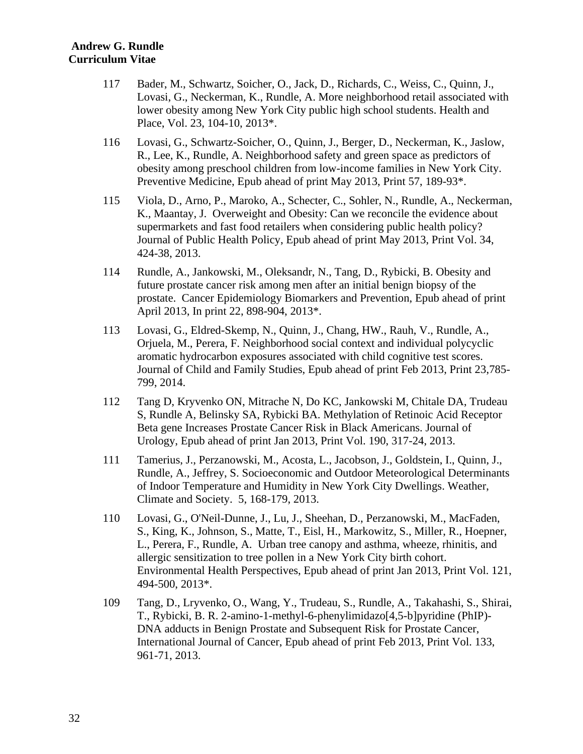- 117 Bader, M., Schwartz, Soicher, O., Jack, D., Richards, C., Weiss, C., Quinn, J., Lovasi, G., Neckerman, K., Rundle, A. More neighborhood retail associated with lower obesity among New York City public high school students. Health and Place, Vol. 23, 104-10, 2013\*.
- 116 Lovasi, G., Schwartz-Soicher, O., Quinn, J., Berger, D., Neckerman, K., Jaslow, R., Lee, K., Rundle, A. Neighborhood safety and green space as predictors of obesity among preschool children from low-income families in New York City. Preventive Medicine, Epub ahead of print May 2013, Print 57, 189-93\*.
- 115 Viola, D., Arno, P., Maroko, A., Schecter, C., Sohler, N., Rundle, A., Neckerman, K., Maantay, J. Overweight and Obesity: Can we reconcile the evidence about supermarkets and fast food retailers when considering public health policy? Journal of Public Health Policy, Epub ahead of print May 2013, Print Vol. 34, 424-38, 2013.
- 114 Rundle, A., Jankowski, M., Oleksandr, N., Tang, D., Rybicki, B. Obesity and future prostate cancer risk among men after an initial benign biopsy of the prostate. Cancer Epidemiology Biomarkers and Prevention, Epub ahead of print April 2013, In print 22, 898-904, 2013\*.
- 113 Lovasi, G., Eldred-Skemp, N., Quinn, J., Chang, HW., Rauh, V., Rundle, A., Orjuela, M., Perera, F. Neighborhood social context and individual polycyclic aromatic hydrocarbon exposures associated with child cognitive test scores. Journal of Child and Family Studies, Epub ahead of print Feb 2013, Print 23,785- 799, 2014.
- 112 Tang D, Kryvenko ON, Mitrache N, Do KC, Jankowski M, Chitale DA, Trudeau S, Rundle A, Belinsky SA, Rybicki BA. Methylation of Retinoic Acid Receptor Beta gene Increases Prostate Cancer Risk in Black Americans. Journal of Urology, Epub ahead of print Jan 2013, Print Vol. 190, 317-24, 2013.
- 111 Tamerius, J., Perzanowski, M., Acosta, L., Jacobson, J., Goldstein, I., Quinn, J., Rundle, A., Jeffrey, S. Socioeconomic and Outdoor Meteorological Determinants of Indoor Temperature and Humidity in New York City Dwellings. Weather, Climate and Society. 5, 168-179, 2013.
- 110 Lovasi, G., O'Neil-Dunne, J., Lu, J., Sheehan, D., Perzanowski, M., MacFaden, S., King, K., Johnson, S., Matte, T., Eisl, H., Markowitz, S., Miller, R., Hoepner, L., Perera, F., Rundle, A. Urban tree canopy and asthma, wheeze, rhinitis, and allergic sensitization to tree pollen in a New York City birth cohort. Environmental Health Perspectives, Epub ahead of print Jan 2013, Print Vol. 121, 494-500, 2013\*.
- 109 Tang, D., Lryvenko, O., Wang, Y., Trudeau, S., Rundle, A., Takahashi, S., Shirai, T., Rybicki, B. R. 2-amino-1-methyl-6-phenylimidazo[4,5-b]pyridine (PhIP)- DNA adducts in Benign Prostate and Subsequent Risk for Prostate Cancer, International Journal of Cancer, Epub ahead of print Feb 2013, Print Vol. 133, 961-71, 2013.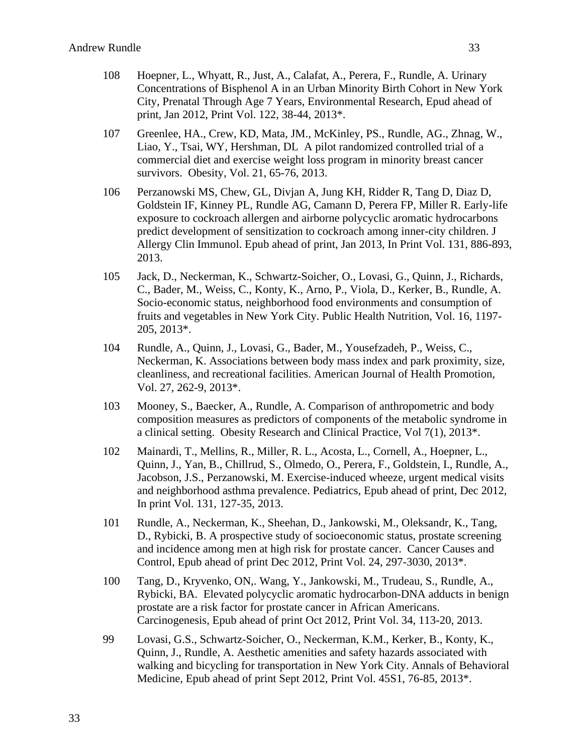- 108 Hoepner, L., Whyatt, R., Just, A., Calafat, A., Perera, F., Rundle, A. Urinary Concentrations of Bisphenol A in an Urban Minority Birth Cohort in New York City, Prenatal Through Age 7 Years, Environmental Research, Epud ahead of print, Jan 2012, Print Vol. 122, 38-44, 2013\*.
- 107 Greenlee, HA., Crew, KD, Mata, JM., McKinley, PS., Rundle, AG., Zhnag, W., Liao, Y., Tsai, WY, Hershman, DL A pilot randomized controlled trial of a commercial diet and exercise weight loss program in minority breast cancer survivors. Obesity, Vol. 21, 65-76, 2013.
- 106 Perzanowski MS, Chew, GL, Divjan A, Jung KH, Ridder R, Tang D, Diaz D, Goldstein IF, Kinney PL, Rundle AG, Camann D, Perera FP, Miller R. Early-life exposure to cockroach allergen and airborne polycyclic aromatic hydrocarbons predict development of sensitization to cockroach among inner-city children. J Allergy Clin Immunol. Epub ahead of print, Jan 2013, In Print Vol. 131, 886-893, 2013.
- 105 Jack, D., Neckerman, K., Schwartz-Soicher, O., Lovasi, G., Quinn, J., Richards, C., Bader, M., Weiss, C., Konty, K., Arno, P., Viola, D., Kerker, B., Rundle, A. Socio-economic status, neighborhood food environments and consumption of fruits and vegetables in New York City. Public Health Nutrition, Vol. 16, 1197- 205, 2013\*.
- 104 Rundle, A., Quinn, J., Lovasi, G., Bader, M., Yousefzadeh, P., Weiss, C., Neckerman, K. Associations between body mass index and park proximity, size, cleanliness, and recreational facilities. American Journal of Health Promotion, Vol. 27, 262-9, 2013\*.
- 103 Mooney, S., Baecker, A., Rundle, A. Comparison of anthropometric and body composition measures as predictors of components of the metabolic syndrome in a clinical setting. Obesity Research and Clinical Practice, Vol 7(1), 2013\*.
- 102 Mainardi, T., Mellins, R., Miller, R. L., Acosta, L., Cornell, A., Hoepner, L., Quinn, J., Yan, B., Chillrud, S., Olmedo, O., Perera, F., Goldstein, I., Rundle, A., Jacobson, J.S., Perzanowski, M. Exercise-induced wheeze, urgent medical visits and neighborhood asthma prevalence. Pediatrics, Epub ahead of print, Dec 2012, In print Vol. 131, 127-35, 2013.
- 101 Rundle, A., Neckerman, K., Sheehan, D., Jankowski, M., Oleksandr, K., Tang, D., Rybicki, B. A prospective study of socioeconomic status, prostate screening and incidence among men at high risk for prostate cancer. Cancer Causes and Control, Epub ahead of print Dec 2012, Print Vol. 24, 297-3030, 2013\*.
- 100 Tang, D., Kryvenko, ON,. Wang, Y., Jankowski, M., Trudeau, S., Rundle, A., Rybicki, BA. Elevated polycyclic aromatic hydrocarbon-DNA adducts in benign prostate are a risk factor for prostate cancer in African Americans. Carcinogenesis, Epub ahead of print Oct 2012, Print Vol. 34, 113-20, 2013.
- 99 Lovasi, G.S., Schwartz-Soicher, O., Neckerman, K.M., Kerker, B., Konty, K., Quinn, J., Rundle, A. Aesthetic amenities and safety hazards associated with walking and bicycling for transportation in New York City. Annals of Behavioral Medicine, Epub ahead of print Sept 2012, Print Vol. 45S1, 76-85, 2013\*.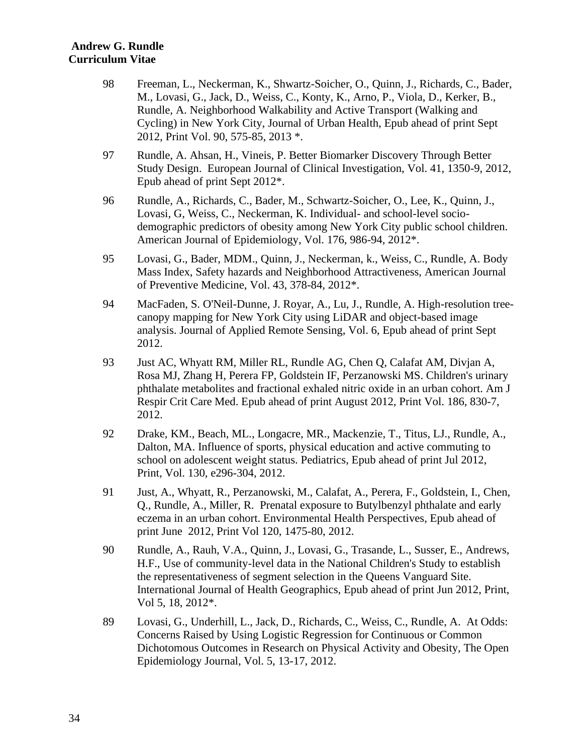- 98 Freeman, L., Neckerman, K., Shwartz-Soicher, O., Quinn, J., Richards, C., Bader, M., Lovasi, G., Jack, D., Weiss, C., Konty, K., Arno, P., Viola, D., Kerker, B., Rundle, A. Neighborhood Walkability and Active Transport (Walking and Cycling) in New York City, Journal of Urban Health, Epub ahead of print Sept 2012, Print Vol. 90, 575-85, 2013 \*.
- 97 Rundle, A. Ahsan, H., Vineis, P. Better Biomarker Discovery Through Better Study Design. European Journal of Clinical Investigation, Vol. 41, 1350-9, 2012, Epub ahead of print Sept 2012\*.
- 96 Rundle, A., Richards, C., Bader, M., Schwartz-Soicher, O., Lee, K., Quinn, J., Lovasi, G, Weiss, C., Neckerman, K. Individual- and school-level sociodemographic predictors of obesity among New York City public school children. American Journal of Epidemiology, Vol. 176, 986-94, 2012\*.
- 95 Lovasi, G., Bader, MDM., Quinn, J., Neckerman, k., Weiss, C., Rundle, A. Body Mass Index, Safety hazards and Neighborhood Attractiveness, American Journal of Preventive Medicine, Vol. 43, 378-84, 2012\*.
- 94 MacFaden, S. O'Neil-Dunne, J. Royar, A., Lu, J., Rundle, A. High-resolution treecanopy mapping for New York City using LiDAR and object-based image analysis. Journal of Applied Remote Sensing, Vol. 6, Epub ahead of print Sept 2012.
- 93 Just AC, Whyatt RM, Miller RL, Rundle AG, Chen Q, Calafat AM, Divjan A, Rosa MJ, Zhang H, Perera FP, Goldstein IF, Perzanowski MS. Children's urinary phthalate metabolites and fractional exhaled nitric oxide in an urban cohort. Am J Respir Crit Care Med. Epub ahead of print August 2012, Print Vol. 186, 830-7, 2012.
- 92 Drake, KM., Beach, ML., Longacre, MR., Mackenzie, T., Titus, LJ., Rundle, A., Dalton, MA. Influence of sports, physical education and active commuting to school on adolescent weight status. Pediatrics, Epub ahead of print Jul 2012, Print, Vol. 130, e296-304, 2012.
- 91 Just, A., Whyatt, R., Perzanowski, M., Calafat, A., Perera, F., Goldstein, I., Chen, Q., Rundle, A., Miller, R. Prenatal exposure to Butylbenzyl phthalate and early eczema in an urban cohort. Environmental Health Perspectives, Epub ahead of print June 2012, Print Vol 120, 1475-80, 2012.
- 90 Rundle, A., Rauh, V.A., Quinn, J., Lovasi, G., Trasande, L., Susser, E., Andrews, H.F., Use of community-level data in the National Children's Study to establish the representativeness of segment selection in the Queens Vanguard Site. International Journal of Health Geographics, Epub ahead of print Jun 2012, Print, Vol 5, 18, 2012\*.
- 89 Lovasi, G., Underhill, L., Jack, D., Richards, C., Weiss, C., Rundle, A. At Odds: Concerns Raised by Using Logistic Regression for Continuous or Common Dichotomous Outcomes in Research on Physical Activity and Obesity, The Open Epidemiology Journal, Vol. 5, 13-17, 2012.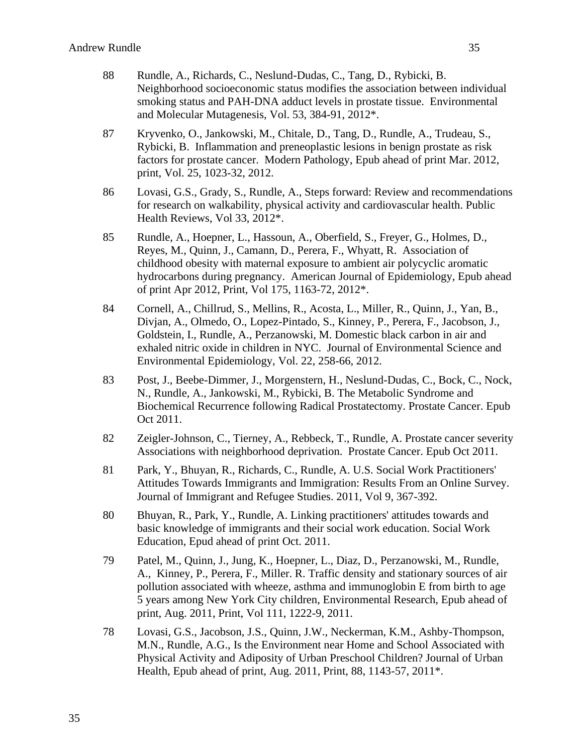- 88 Rundle, A., Richards, C., Neslund-Dudas, C., Tang, D., Rybicki, B. Neighborhood socioeconomic status modifies the association between individual smoking status and PAH-DNA adduct levels in prostate tissue. Environmental and Molecular Mutagenesis, Vol. 53, 384-91, 2012\*.
- 87 Kryvenko, O., Jankowski, M., Chitale, D., Tang, D., Rundle, A., Trudeau, S., Rybicki, B. Inflammation and preneoplastic lesions in benign prostate as risk factors for prostate cancer. Modern Pathology, Epub ahead of print Mar. 2012, print, Vol. 25, 1023-32, 2012.
- 86 Lovasi, G.S., Grady, S., Rundle, A., Steps forward: Review and recommendations for research on walkability, physical activity and cardiovascular health. Public Health Reviews, Vol 33, 2012\*.
- 85 Rundle, A., Hoepner, L., Hassoun, A., Oberfield, S., Freyer, G., Holmes, D., Reyes, M., Quinn, J., Camann, D., Perera, F., Whyatt, R. Association of childhood obesity with maternal exposure to ambient air polycyclic aromatic hydrocarbons during pregnancy. American Journal of Epidemiology, Epub ahead of print Apr 2012, Print, Vol 175, 1163-72, 2012\*.
- 84 Cornell, A., Chillrud, S., Mellins, R., Acosta, L., Miller, R., Quinn, J., Yan, B., Divjan, A., Olmedo, O., Lopez-Pintado, S., Kinney, P., Perera, F., Jacobson, J., Goldstein, I., Rundle, A., Perzanowski, M. Domestic black carbon in air and exhaled nitric oxide in children in NYC. Journal of Environmental Science and Environmental Epidemiology, Vol. 22, 258-66, 2012.
- 83 Post, J., Beebe-Dimmer, J., Morgenstern, H., Neslund-Dudas, C., Bock, C., Nock, N., Rundle, A., Jankowski, M., Rybicki, B. The Metabolic Syndrome and Biochemical Recurrence following Radical Prostatectomy. Prostate Cancer. Epub Oct 2011.
- 82 Zeigler-Johnson, C., Tierney, A., Rebbeck, T., Rundle, A. Prostate cancer severity Associations with neighborhood deprivation. Prostate Cancer. Epub Oct 2011.
- 81 Park, Y., Bhuyan, R., Richards, C., Rundle, A. U.S. Social Work Practitioners' Attitudes Towards Immigrants and Immigration: Results From an Online Survey. Journal of Immigrant and Refugee Studies. 2011, Vol 9, 367-392.
- 80 Bhuyan, R., Park, Y., Rundle, A. Linking practitioners' attitudes towards and basic knowledge of immigrants and their social work education. Social Work Education, Epud ahead of print Oct. 2011.
- 79 Patel, M., Quinn, J., Jung, K., Hoepner, L., Diaz, D., Perzanowski, M., Rundle, A., Kinney, P., Perera, F., Miller. R. Traffic density and stationary sources of air pollution associated with wheeze, asthma and immunoglobin E from birth to age 5 years among New York City children, Environmental Research, Epub ahead of print, Aug. 2011, Print, Vol 111, 1222-9, 2011.
- 78 Lovasi, G.S., Jacobson, J.S., Quinn, J.W., Neckerman, K.M., Ashby-Thompson, M.N., Rundle, A.G., Is the Environment near Home and School Associated with Physical Activity and Adiposity of Urban Preschool Children? Journal of Urban Health, Epub ahead of print, Aug. 2011, Print, 88, 1143-57, 2011\*.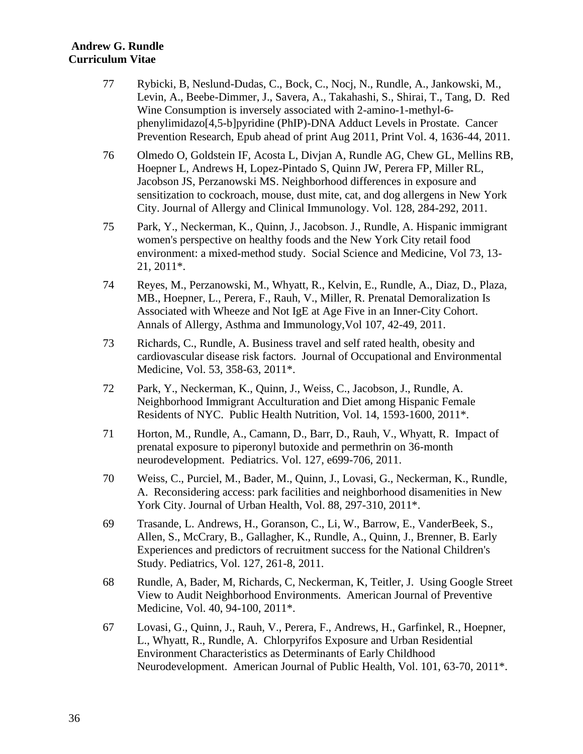- 77 Rybicki, B, Neslund-Dudas, C., Bock, C., Nocj, N., Rundle, A., Jankowski, M., Levin, A., Beebe-Dimmer, J., Savera, A., Takahashi, S., Shirai, T., Tang, D. Red Wine Consumption is inversely associated with 2-amino-1-methyl-6 phenylimidazo[4,5-b]pyridine (PhIP)-DNA Adduct Levels in Prostate. Cancer Prevention Research, Epub ahead of print Aug 2011, Print Vol. 4, 1636-44, 2011.
- 76 Olmedo O, Goldstein IF, Acosta L, Divjan A, Rundle AG, Chew GL, Mellins RB, Hoepner L, Andrews H, Lopez-Pintado S, Quinn JW, Perera FP, Miller RL, Jacobson JS, Perzanowski MS. Neighborhood differences in exposure and sensitization to cockroach, mouse, dust mite, cat, and dog allergens in New York City. Journal of Allergy and Clinical Immunology. Vol. 128, 284-292, 2011.
- 75 Park, Y., Neckerman, K., Quinn, J., Jacobson. J., Rundle, A. Hispanic immigrant women's perspective on healthy foods and the New York City retail food environment: a mixed-method study. Social Science and Medicine, Vol 73, 13- 21, 2011\*.
- 74 Reyes, M., Perzanowski, M., Whyatt, R., Kelvin, E., Rundle, A., Diaz, D., Plaza, MB., Hoepner, L., Perera, F., Rauh, V., Miller, R. Prenatal Demoralization Is Associated with Wheeze and Not IgE at Age Five in an Inner-City Cohort. Annals of Allergy, Asthma and Immunology,Vol 107, 42-49, 2011.
- 73 Richards, C., Rundle, A. Business travel and self rated health, obesity and cardiovascular disease risk factors. Journal of Occupational and Environmental Medicine, Vol. 53, 358-63, 2011\*.
- 72 Park, Y., Neckerman, K., Quinn, J., Weiss, C., Jacobson, J., Rundle, A. Neighborhood Immigrant Acculturation and Diet among Hispanic Female Residents of NYC. Public Health Nutrition, Vol. 14, 1593-1600, 2011\*.
- 71 Horton, M., Rundle, A., Camann, D., Barr, D., Rauh, V., Whyatt, R. Impact of prenatal exposure to piperonyl butoxide and permethrin on 36-month neurodevelopment. Pediatrics. Vol. 127, e699-706, 2011.
- 70 Weiss, C., Purciel, M., Bader, M., Quinn, J., Lovasi, G., Neckerman, K., Rundle, A. Reconsidering access: park facilities and neighborhood disamenities in New York City. Journal of Urban Health, Vol. 88, 297-310, 2011\*.
- 69 Trasande, L. Andrews, H., Goranson, C., Li, W., Barrow, E., VanderBeek, S., Allen, S., McCrary, B., Gallagher, K., Rundle, A., Quinn, J., Brenner, B. Early Experiences and predictors of recruitment success for the National Children's Study. Pediatrics, Vol. 127, 261-8, 2011.
- 68 Rundle, A, Bader, M, Richards, C, Neckerman, K, Teitler, J. Using Google Street View to Audit Neighborhood Environments. American Journal of Preventive Medicine, Vol. 40, 94-100, 2011\*.
- 67 Lovasi, G., Quinn, J., Rauh, V., Perera, F., Andrews, H., Garfinkel, R., Hoepner, L., Whyatt, R., Rundle, A. Chlorpyrifos Exposure and Urban Residential Environment Characteristics as Determinants of Early Childhood Neurodevelopment. American Journal of Public Health, Vol. 101, 63-70, 2011\*.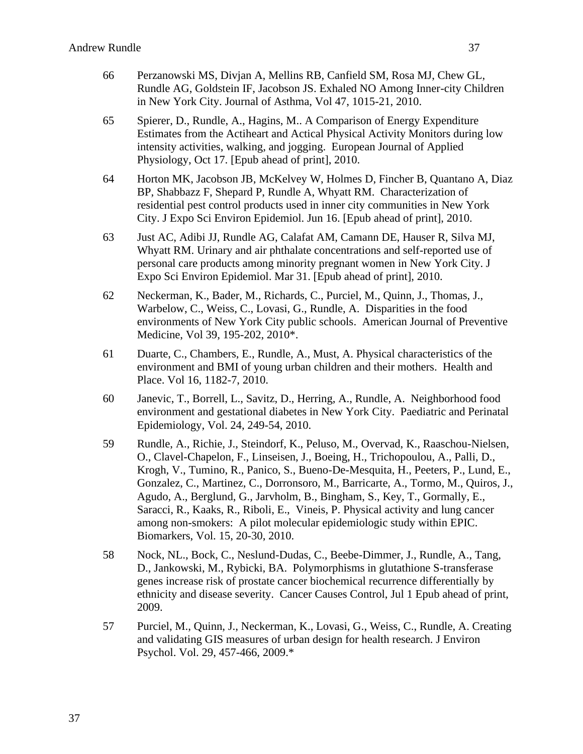- 66 Perzanowski MS, Divjan A, Mellins RB, Canfield SM, Rosa MJ, Chew GL, Rundle AG, Goldstein IF, Jacobson JS. Exhaled NO Among Inner-city Children
- 65 Spierer, D., Rundle, A., Hagins, M.. A Comparison of Energy Expenditure Estimates from the Actiheart and Actical Physical Activity Monitors during low intensity activities, walking, and jogging. European Journal of Applied Physiology, Oct 17. [Epub ahead of print], 2010.

in New York City. Journal of Asthma, Vol 47, 1015-21, 2010.

- 64 Horton MK, Jacobson JB, McKelvey W, Holmes D, Fincher B, Quantano A, Diaz BP, Shabbazz F, Shepard P, Rundle A, Whyatt RM. Characterization of residential pest control products used in inner city communities in New York City. J Expo Sci Environ Epidemiol. Jun 16. [Epub ahead of print], 2010.
- 63 Just AC, Adibi JJ, Rundle AG, Calafat AM, Camann DE, Hauser R, Silva MJ, Whyatt RM. Urinary and air phthalate concentrations and self-reported use of personal care products among minority pregnant women in New York City. J Expo Sci Environ Epidemiol. Mar 31. [Epub ahead of print], 2010.
- 62 Neckerman, K., Bader, M., Richards, C., Purciel, M., Quinn, J., Thomas, J., Warbelow, C., Weiss, C., Lovasi, G., Rundle, A. Disparities in the food environments of New York City public schools. American Journal of Preventive Medicine, Vol 39, 195-202, 2010\*.
- 61 Duarte, C., Chambers, E., Rundle, A., Must, A. Physical characteristics of the environment and BMI of young urban children and their mothers. Health and Place. Vol 16, 1182-7, 2010.
- 60 Janevic, T., Borrell, L., Savitz, D., Herring, A., Rundle, A. Neighborhood food environment and gestational diabetes in New York City. Paediatric and Perinatal Epidemiology, Vol. 24, 249-54, 2010.
- 59 Rundle, A., Richie, J., Steindorf, K., Peluso, M., Overvad, K., Raaschou-Nielsen, O., Clavel-Chapelon, F., Linseisen, J., Boeing, H., Trichopoulou, A., Palli, D., Krogh, V., Tumino, R., Panico, S., Bueno-De-Mesquita, H., Peeters, P., Lund, E., Gonzalez, C., Martinez, C., Dorronsoro, M., Barricarte, A., Tormo, M., Quiros, J., Agudo, A., Berglund, G., Jarvholm, B., Bingham, S., Key, T., Gormally, E., Saracci, R., Kaaks, R., Riboli, E., Vineis, P. Physical activity and lung cancer among non-smokers: A pilot molecular epidemiologic study within EPIC. Biomarkers, Vol. 15, 20-30, 2010.
- 58 Nock, NL., Bock, C., Neslund-Dudas, C., Beebe-Dimmer, J., Rundle, A., Tang, D., Jankowski, M., Rybicki, BA. Polymorphisms in glutathione S-transferase genes increase risk of prostate cancer biochemical recurrence differentially by ethnicity and disease severity. Cancer Causes Control, Jul 1 Epub ahead of print, 2009.
- 57 Purciel, M., Quinn, J., Neckerman, K., Lovasi, G., Weiss, C., Rundle, A. Creating and validating GIS measures of urban design for health research. J Environ Psychol. Vol. 29, 457-466, 2009.\*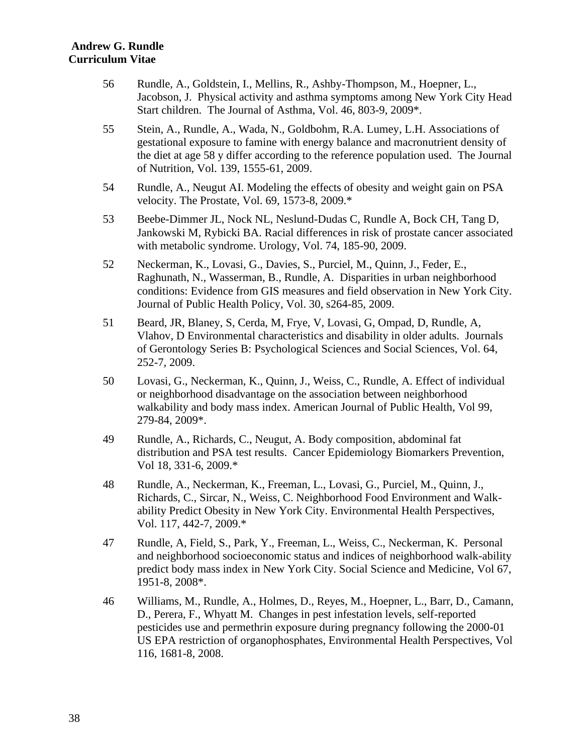- 56 Rundle, A., Goldstein, I., Mellins, R., Ashby-Thompson, M., Hoepner, L., Jacobson, J. Physical activity and asthma symptoms among New York City Head Start children. The Journal of Asthma, Vol. 46, 803-9, 2009\*.
- 55 Stein, A., Rundle, A., Wada, N., Goldbohm, R.A. Lumey, L.H. Associations of gestational exposure to famine with energy balance and macronutrient density of the diet at age 58 y differ according to the reference population used. The Journal of Nutrition, Vol. 139, 1555-61, 2009.
- 54 Rundle, A., Neugut AI. Modeling the effects of obesity and weight gain on PSA velocity. The Prostate, Vol. 69, 1573-8, 2009.\*
- 53 Beebe-Dimmer JL, Nock NL, Neslund-Dudas C, Rundle A, Bock CH, Tang D, Jankowski M, Rybicki BA. Racial differences in risk of prostate cancer associated with metabolic syndrome. Urology, Vol. 74, 185-90, 2009.
- 52 Neckerman, K., Lovasi, G., Davies, S., Purciel, M., Quinn, J., Feder, E., Raghunath, N., Wasserman, B., Rundle, A. Disparities in urban neighborhood conditions: Evidence from GIS measures and field observation in New York City. Journal of Public Health Policy, Vol. 30, s264-85, 2009.
- 51 Beard, JR, Blaney, S, Cerda, M, Frye, V, Lovasi, G, Ompad, D, Rundle, A, Vlahov, D Environmental characteristics and disability in older adults. Journals of Gerontology Series B: Psychological Sciences and Social Sciences, Vol. 64, 252-7, 2009.
- 50 Lovasi, G., Neckerman, K., Quinn, J., Weiss, C., Rundle, A. Effect of individual or neighborhood disadvantage on the association between neighborhood walkability and body mass index. American Journal of Public Health, Vol 99, 279-84, 2009\*.
- 49 Rundle, A., Richards, C., Neugut, A. Body composition, abdominal fat distribution and PSA test results. Cancer Epidemiology Biomarkers Prevention, Vol 18, 331-6, 2009.\*
- 48 Rundle, A., Neckerman, K., Freeman, L., Lovasi, G., Purciel, M., Quinn, J., Richards, C., Sircar, N., Weiss, C. Neighborhood Food Environment and Walkability Predict Obesity in New York City. Environmental Health Perspectives, Vol. 117, 442-7, 2009.\*
- 47 Rundle, A, Field, S., Park, Y., Freeman, L., Weiss, C., Neckerman, K. Personal and neighborhood socioeconomic status and indices of neighborhood walk-ability predict body mass index in New York City. Social Science and Medicine, Vol 67, 1951-8, 2008\*.
- 46 Williams, M., Rundle, A., Holmes, D., Reyes, M., Hoepner, L., Barr, D., Camann, D., Perera, F., Whyatt M. Changes in pest infestation levels, self-reported pesticides use and permethrin exposure during pregnancy following the 2000-01 US EPA restriction of organophosphates, Environmental Health Perspectives, Vol 116, 1681-8, 2008.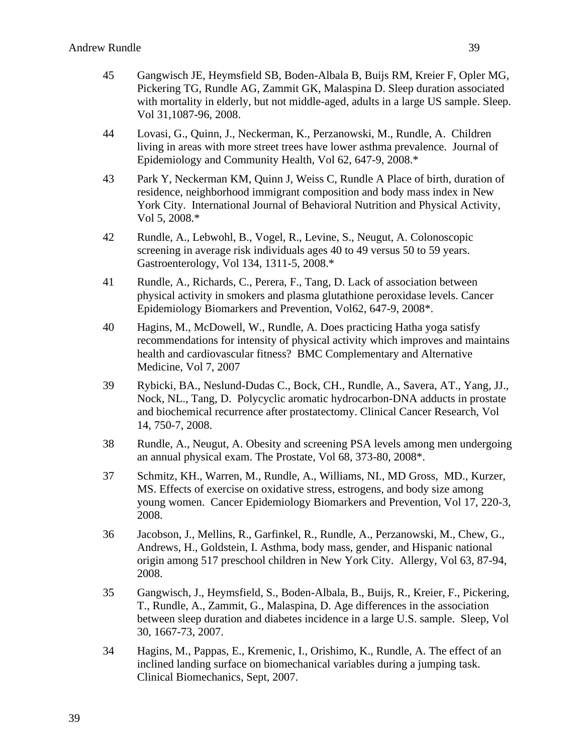- 45 Gangwisch JE, Heymsfield SB, Boden-Albala B, Buijs RM, Kreier F, Opler MG, Pickering TG, Rundle AG, Zammit GK, Malaspina D. Sleep duration associated with mortality in elderly, but not middle-aged, adults in a large US sample. Sleep. Vol 31,1087-96, 2008.
- 44 Lovasi, G., Quinn, J., Neckerman, K., Perzanowski, M., Rundle, A. Children living in areas with more street trees have lower asthma prevalence. Journal of Epidemiology and Community Health, Vol 62, 647-9, 2008.\*
- 43 Park Y, Neckerman KM, Quinn J, Weiss C, Rundle A Place of birth, duration of residence, neighborhood immigrant composition and body mass index in New York City. International Journal of Behavioral Nutrition and Physical Activity, Vol 5, 2008.\*
- 42 Rundle, A., Lebwohl, B., Vogel, R., Levine, S., Neugut, A. Colonoscopic screening in average risk individuals ages 40 to 49 versus 50 to 59 years. Gastroenterology, Vol 134, 1311-5, 2008.\*
- 41 Rundle, A., Richards, C., Perera, F., Tang, D. Lack of association between physical activity in smokers and plasma glutathione peroxidase levels. Cancer Epidemiology Biomarkers and Prevention, Vol62, 647-9, 2008\*.
- 40 Hagins, M., McDowell, W., Rundle, A. Does practicing Hatha yoga satisfy recommendations for intensity of physical activity which improves and maintains health and cardiovascular fitness? BMC Complementary and Alternative Medicine, Vol 7, 2007
- 39 Rybicki, BA., Neslund-Dudas C., Bock, CH., Rundle, A., Savera, AT., Yang, JJ., Nock, NL., Tang, D. Polycyclic aromatic hydrocarbon-DNA adducts in prostate and biochemical recurrence after prostatectomy. Clinical Cancer Research, Vol 14, 750-7, 2008.
- 38 Rundle, A., Neugut, A. Obesity and screening PSA levels among men undergoing an annual physical exam. The Prostate, Vol 68, 373-80, 2008\*.
- 37 Schmitz, KH., Warren, M., Rundle, A., Williams, NI., MD Gross, MD., Kurzer, MS. Effects of exercise on oxidative stress, estrogens, and body size among young women. Cancer Epidemiology Biomarkers and Prevention, Vol 17, 220-3, 2008.
- 36 Jacobson, J., Mellins, R., Garfinkel, R., Rundle, A., Perzanowski, M., Chew, G., Andrews, H., Goldstein, I. Asthma, body mass, gender, and Hispanic national origin among 517 preschool children in New York City. Allergy, Vol 63, 87-94, 2008.
- 35 Gangwisch, J., Heymsfield, S., Boden-Albala, B., Buijs, R., Kreier, F., Pickering, T., Rundle, A., Zammit, G., Malaspina, D. Age differences in the association between sleep duration and diabetes incidence in a large U.S. sample. Sleep, Vol 30, 1667-73, 2007.
- 34 Hagins, M., Pappas, E., Kremenic, I., Orishimo, K., Rundle, A. The effect of an inclined landing surface on biomechanical variables during a jumping task. Clinical Biomechanics, Sept, 2007.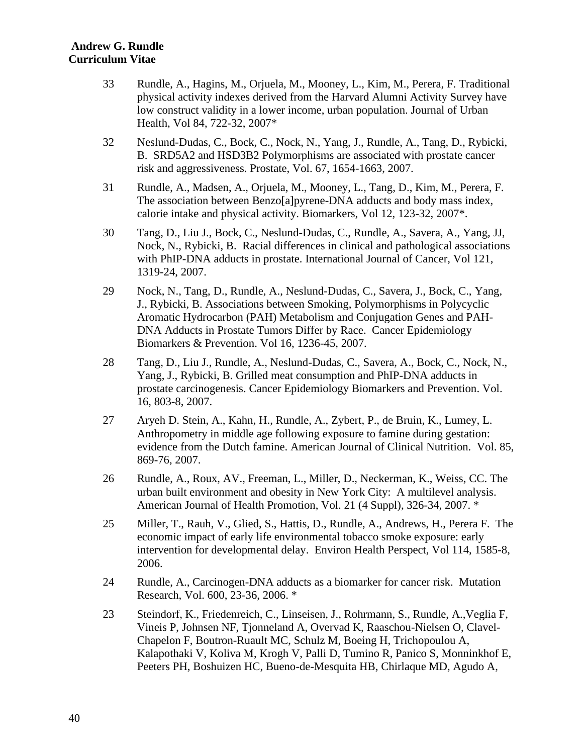- 33 Rundle, A., Hagins, M., Orjuela, M., Mooney, L., Kim, M., Perera, F. Traditional physical activity indexes derived from the Harvard Alumni Activity Survey have low construct validity in a lower income, urban population. Journal of Urban Health, Vol 84, 722-32, 2007\*
- 32 Neslund-Dudas, C., Bock, C., Nock, N., Yang, J., Rundle, A., Tang, D., Rybicki, B. SRD5A2 and HSD3B2 Polymorphisms are associated with prostate cancer risk and aggressiveness. Prostate, Vol. 67, 1654-1663, 2007.
- 31 Rundle, A., Madsen, A., Orjuela, M., Mooney, L., Tang, D., Kim, M., Perera, F. The association between Benzo[a]pyrene-DNA adducts and body mass index, calorie intake and physical activity. Biomarkers, Vol 12, 123-32, 2007\*.
- 30 Tang, D., Liu J., Bock, C., Neslund-Dudas, C., Rundle, A., Savera, A., Yang, JJ, Nock, N., Rybicki, B. Racial differences in clinical and pathological associations with PhIP-DNA adducts in prostate. International Journal of Cancer, Vol 121, 1319-24, 2007.
- 29 Nock, N., Tang, D., Rundle, A., Neslund-Dudas, C., Savera, J., Bock, C., Yang, J., Rybicki, B. Associations between Smoking, Polymorphisms in Polycyclic Aromatic Hydrocarbon (PAH) Metabolism and Conjugation Genes and PAH-DNA Adducts in Prostate Tumors Differ by Race. Cancer Epidemiology Biomarkers & Prevention. Vol 16, 1236-45, 2007.
- 28 Tang, D., Liu J., Rundle, A., Neslund-Dudas, C., Savera, A., Bock, C., Nock, N., Yang, J., Rybicki, B. Grilled meat consumption and PhIP-DNA adducts in prostate carcinogenesis. Cancer Epidemiology Biomarkers and Prevention. Vol. 16, 803-8, 2007.
- 27 Aryeh D. Stein, A., Kahn, H., Rundle, A., Zybert, P., de Bruin, K., Lumey, L. Anthropometry in middle age following exposure to famine during gestation: evidence from the Dutch famine. American Journal of Clinical Nutrition. Vol. 85, 869-76, 2007.
- 26 Rundle, A., Roux, AV., Freeman, L., Miller, D., Neckerman, K., Weiss, CC. The urban built environment and obesity in New York City: A multilevel analysis. American Journal of Health Promotion, Vol. 21 (4 Suppl), 326-34, 2007. \*
- 25 Miller, T., Rauh, V., Glied, S., Hattis, D., Rundle, A., Andrews, H., Perera F. The economic impact of early life environmental tobacco smoke exposure: early intervention for developmental delay. Environ Health Perspect, Vol 114, 1585-8, 2006.
- 24 Rundle, A., Carcinogen-DNA adducts as a biomarker for cancer risk. Mutation Research, Vol. 600, 23-36, 2006. \*
- 23 Steindorf, K., Friedenreich, C., Linseisen, J., Rohrmann, S., Rundle, A.,Veglia F, Vineis P, Johnsen NF, Tjonneland A, Overvad K, Raaschou-Nielsen O, Clavel-Chapelon F, Boutron-Ruault MC, Schulz M, Boeing H, Trichopoulou A, Kalapothaki V, Koliva M, Krogh V, Palli D, Tumino R, Panico S, Monninkhof E, Peeters PH, Boshuizen HC, Bueno-de-Mesquita HB, Chirlaque MD, Agudo A,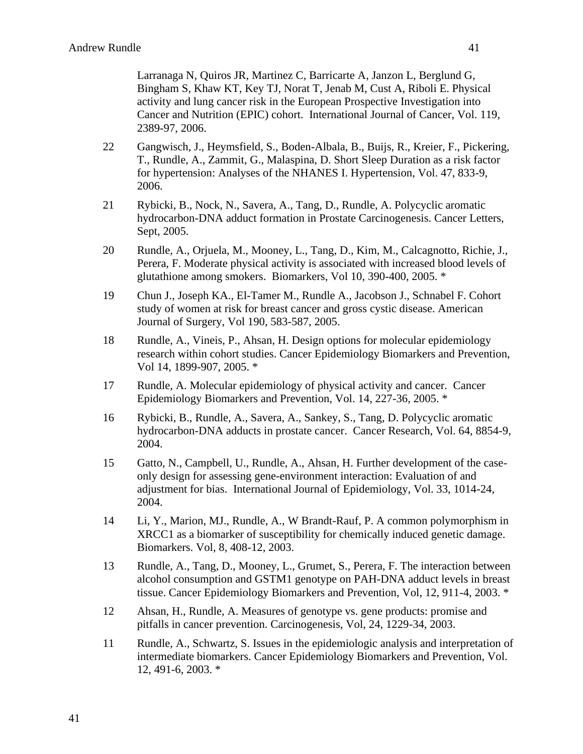Larranaga N, Quiros JR, Martinez C, Barricarte A, Janzon L, Berglund G, Bingham S, Khaw KT, Key TJ, Norat T, Jenab M, Cust A, Riboli E. Physical activity and lung cancer risk in the European Prospective Investigation into Cancer and Nutrition (EPIC) cohort. International Journal of Cancer, Vol. 119, 2389-97, 2006.

- 22 Gangwisch, J., Heymsfield, S., Boden-Albala, B., Buijs, R., Kreier, F., Pickering, T., Rundle, A., Zammit, G., Malaspina, D. Short Sleep Duration as a risk factor for hypertension: Analyses of the NHANES I. Hypertension, Vol. 47, 833-9, 2006.
- 21 Rybicki, B., Nock, N., Savera, A., Tang, D., Rundle, A. Polycyclic aromatic hydrocarbon-DNA adduct formation in Prostate Carcinogenesis. Cancer Letters, Sept, 2005.
- 20 Rundle, A., Orjuela, M., Mooney, L., Tang, D., Kim, M., Calcagnotto, Richie, J., Perera, F. Moderate physical activity is associated with increased blood levels of glutathione among smokers. Biomarkers, Vol 10, 390-400, 2005. \*
- 19 Chun J., Joseph KA., El-Tamer M., Rundle A., Jacobson J., Schnabel F. Cohort study of women at risk for breast cancer and gross cystic disease. American Journal of Surgery, Vol 190, 583-587, 2005.
- 18 Rundle, A., Vineis, P., Ahsan, H. Design options for molecular epidemiology research within cohort studies. Cancer Epidemiology Biomarkers and Prevention, Vol 14, 1899-907, 2005. \*
- 17 Rundle, A. Molecular epidemiology of physical activity and cancer. Cancer Epidemiology Biomarkers and Prevention, Vol. 14, 227-36, 2005. \*
- 16 Rybicki, B., Rundle, A., Savera, A., Sankey, S., Tang, D. Polycyclic aromatic hydrocarbon-DNA adducts in prostate cancer. Cancer Research, Vol. 64, 8854-9, 2004.
- 15 Gatto, N., Campbell, U., Rundle, A., Ahsan, H. Further development of the caseonly design for assessing gene-environment interaction: Evaluation of and adjustment for bias. International Journal of Epidemiology, Vol. 33, 1014-24, 2004.
- 14 Li, Y., Marion, MJ., Rundle, A., W Brandt-Rauf, P. A common polymorphism in XRCC1 as a biomarker of susceptibility for chemically induced genetic damage. Biomarkers. Vol, 8, 408-12, 2003.
- 13 Rundle, A., Tang, D., Mooney, L., Grumet, S., Perera, F. The interaction between alcohol consumption and GSTM1 genotype on PAH-DNA adduct levels in breast tissue. Cancer Epidemiology Biomarkers and Prevention, Vol, 12, 911-4, 2003. \*
- 12 Ahsan, H., Rundle, A. Measures of genotype vs. gene products: promise and pitfalls in cancer prevention. Carcinogenesis, Vol, 24, 1229-34, 2003.
- 11 Rundle, A., Schwartz, S. Issues in the epidemiologic analysis and interpretation of intermediate biomarkers. Cancer Epidemiology Biomarkers and Prevention, Vol. 12, 491-6, 2003. \*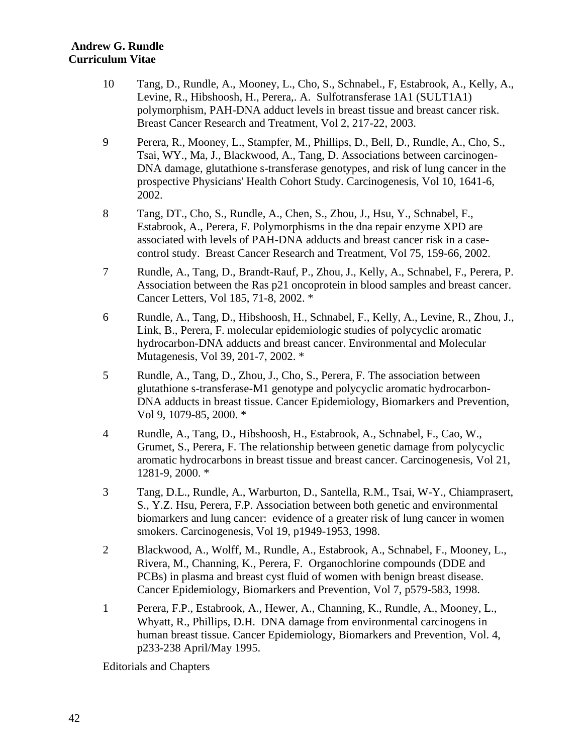- 10 Tang, D., Rundle, A., Mooney, L., Cho, S., Schnabel., F, Estabrook, A., Kelly, A., Levine, R., Hibshoosh, H., Perera,. A. Sulfotransferase 1A1 (SULT1A1) polymorphism, PAH-DNA adduct levels in breast tissue and breast cancer risk. Breast Cancer Research and Treatment, Vol 2, 217-22, 2003.
- 9 Perera, R., Mooney, L., Stampfer, M., Phillips, D., Bell, D., Rundle, A., Cho, S., Tsai, WY., Ma, J., Blackwood, A., Tang, D. Associations between carcinogen-DNA damage, glutathione s-transferase genotypes, and risk of lung cancer in the prospective Physicians' Health Cohort Study. Carcinogenesis, Vol 10, 1641-6, 2002.
- 8 Tang, DT., Cho, S., Rundle, A., Chen, S., Zhou, J., Hsu, Y., Schnabel, F., Estabrook, A., Perera, F. Polymorphisms in the dna repair enzyme XPD are associated with levels of PAH-DNA adducts and breast cancer risk in a casecontrol study. Breast Cancer Research and Treatment, Vol 75, 159-66, 2002.
- 7 Rundle, A., Tang, D., Brandt-Rauf, P., Zhou, J., Kelly, A., Schnabel, F., Perera, P. Association between the Ras p21 oncoprotein in blood samples and breast cancer. Cancer Letters, Vol 185, 71-8, 2002. \*
- 6 Rundle, A., Tang, D., Hibshoosh, H., Schnabel, F., Kelly, A., Levine, R., Zhou, J., Link, B., Perera, F. molecular epidemiologic studies of polycyclic aromatic hydrocarbon-DNA adducts and breast cancer. Environmental and Molecular Mutagenesis, Vol 39, 201-7, 2002. \*
- 5 Rundle, A., Tang, D., Zhou, J., Cho, S., Perera, F. The association between glutathione s-transferase-M1 genotype and polycyclic aromatic hydrocarbon-DNA adducts in breast tissue. Cancer Epidemiology, Biomarkers and Prevention, Vol 9, 1079-85, 2000. \*
- 4 Rundle, A., Tang, D., Hibshoosh, H., Estabrook, A., Schnabel, F., Cao, W., Grumet, S., Perera, F. The relationship between genetic damage from polycyclic aromatic hydrocarbons in breast tissue and breast cancer. Carcinogenesis, Vol 21, 1281-9, 2000. \*
- 3 Tang, D.L., Rundle, A., Warburton, D., Santella, R.M., Tsai, W-Y., Chiamprasert, S., Y.Z. Hsu, Perera, F.P. Association between both genetic and environmental biomarkers and lung cancer: evidence of a greater risk of lung cancer in women smokers. Carcinogenesis, Vol 19, p1949-1953, 1998.
- 2 Blackwood, A., Wolff, M., Rundle, A., Estabrook, A., Schnabel, F., Mooney, L., Rivera, M., Channing, K., Perera, F. Organochlorine compounds (DDE and PCBs) in plasma and breast cyst fluid of women with benign breast disease. Cancer Epidemiology, Biomarkers and Prevention, Vol 7, p579-583, 1998.
- 1 Perera, F.P., Estabrook, A., Hewer, A., Channing, K., Rundle, A., Mooney, L., Whyatt, R., Phillips, D.H. DNA damage from environmental carcinogens in human breast tissue. Cancer Epidemiology, Biomarkers and Prevention, Vol. 4, p233-238 April/May 1995.

Editorials and Chapters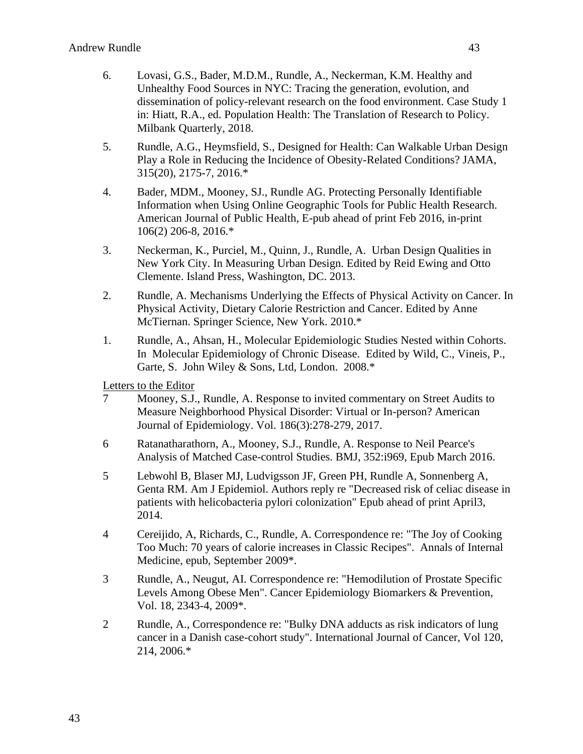- 6. Lovasi, G.S., Bader, M.D.M., Rundle, A., Neckerman, K.M. Healthy and Unhealthy Food Sources in NYC: Tracing the generation, evolution, and dissemination of policy-relevant research on the food environment. Case Study 1 in: Hiatt, R.A., ed. Population Health: The Translation of Research to Policy. Milbank Quarterly, 2018.
- 5. Rundle, A.G., Heymsfield, S., Designed for Health: Can Walkable Urban Design Play a Role in Reducing the Incidence of Obesity-Related Conditions? JAMA, 315(20), 2175-7, 2016.\*
- 4. Bader, MDM., Mooney, SJ., Rundle AG. Protecting Personally Identifiable Information when Using Online Geographic Tools for Public Health Research. American Journal of Public Health, E-pub ahead of print Feb 2016, in-print 106(2) 206-8, 2016.\*
- 3. Neckerman, K., Purciel, M., Quinn, J., Rundle, A. Urban Design Qualities in New York City. In Measuring Urban Design. Edited by Reid Ewing and Otto Clemente. Island Press, Washington, DC. 2013.
- 2. Rundle, A. Mechanisms Underlying the Effects of Physical Activity on Cancer. In Physical Activity, Dietary Calorie Restriction and Cancer. Edited by Anne McTiernan. Springer Science, New York. 2010.\*
- 1. Rundle, A., Ahsan, H., Molecular Epidemiologic Studies Nested within Cohorts. In Molecular Epidemiology of Chronic Disease. Edited by Wild, C., Vineis, P., Garte, S. John Wiley & Sons, Ltd, London. 2008.\*

Letters to the Editor

- 7 Mooney, S.J., Rundle, A. Response to invited commentary on Street Audits to Measure Neighborhood Physical Disorder: Virtual or In-person? American Journal of Epidemiology. Vol. 186(3):278-279, 2017.
- 6 Ratanatharathorn, A., Mooney, S.J., Rundle, A. Response to Neil Pearce's Analysis of Matched Case-control Studies. BMJ, 352:i969, Epub March 2016.
- 5 Lebwohl B, Blaser MJ, Ludvigsson JF, Green PH, Rundle A, Sonnenberg A, Genta RM. Am J Epidemiol. Authors reply re "Decreased risk of celiac disease in patients with helicobacteria pylori colonization" Epub ahead of print April3, 2014.
- 4 Cereijido, A, Richards, C., Rundle, A. Correspondence re: "The Joy of Cooking Too Much: 70 years of calorie increases in Classic Recipes". Annals of Internal Medicine, epub, September 2009\*.
- 3 Rundle, A., Neugut, AI. Correspondence re: "Hemodilution of Prostate Specific Levels Among Obese Men". Cancer Epidemiology Biomarkers & Prevention, Vol. 18, 2343-4, 2009\*.
- 2 Rundle, A., Correspondence re: "Bulky DNA adducts as risk indicators of lung cancer in a Danish case-cohort study". International Journal of Cancer, Vol 120, 214, 2006.\*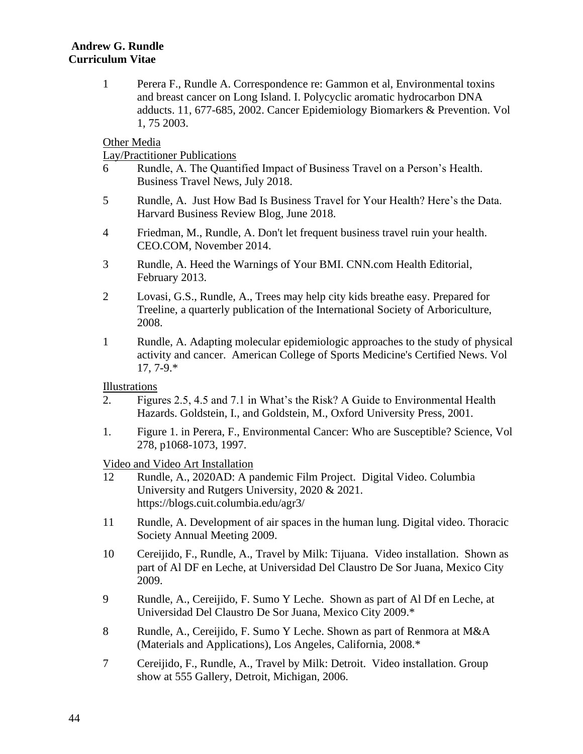1 Perera F., Rundle A. Correspondence re: Gammon et al, Environmental toxins and breast cancer on Long Island. I. Polycyclic aromatic hydrocarbon DNA adducts. 11, 677-685, 2002. Cancer Epidemiology Biomarkers & Prevention. Vol 1, 75 2003.

## Other Media

Lay/Practitioner Publications

- 6 Rundle, A. The Quantified Impact of Business Travel on a Person's Health. Business Travel News, July 2018.
- 5 Rundle, A. Just How Bad Is Business Travel for Your Health? Here's the Data. Harvard Business Review Blog, June 2018.
- 4 Friedman, M., Rundle, A. Don't let frequent business travel ruin your health. CEO.COM, November 2014.
- 3 Rundle, A. Heed the Warnings of Your BMI. CNN.com Health Editorial, February 2013.
- 2 Lovasi, G.S., Rundle, A., Trees may help city kids breathe easy. Prepared for Treeline, a quarterly publication of the International Society of Arboriculture, 2008.
- 1 Rundle, A. Adapting molecular epidemiologic approaches to the study of physical activity and cancer. American College of Sports Medicine's Certified News. Vol 17, 7-9.\*

Illustrations

- 2. Figures 2.5, 4.5 and 7.1 in What's the Risk? A Guide to Environmental Health Hazards. Goldstein, I., and Goldstein, M., Oxford University Press, 2001.
- 1. Figure 1. in Perera, F., Environmental Cancer: Who are Susceptible? Science, Vol 278, p1068-1073, 1997.

Video and Video Art Installation

- 12 Rundle, A., 2020AD: A pandemic Film Project. Digital Video. Columbia University and Rutgers University, 2020 & 2021. https://blogs.cuit.columbia.edu/agr3/
- 11 Rundle, A. Development of air spaces in the human lung. Digital video. Thoracic Society Annual Meeting 2009.
- 10 Cereijido, F., Rundle, A., Travel by Milk: Tijuana. Video installation. Shown as part of Al DF en Leche, at Universidad Del Claustro De Sor Juana, Mexico City 2009.
- 9 Rundle, A., Cereijido, F. Sumo Y Leche. Shown as part of Al Df en Leche, at Universidad Del Claustro De Sor Juana, Mexico City 2009.\*
- 8 Rundle, A., Cereijido, F. Sumo Y Leche. Shown as part of Renmora at M&A (Materials and Applications), Los Angeles, California, 2008.\*
- 7 Cereijido, F., Rundle, A., Travel by Milk: Detroit. Video installation. Group show at 555 Gallery, Detroit, Michigan, 2006.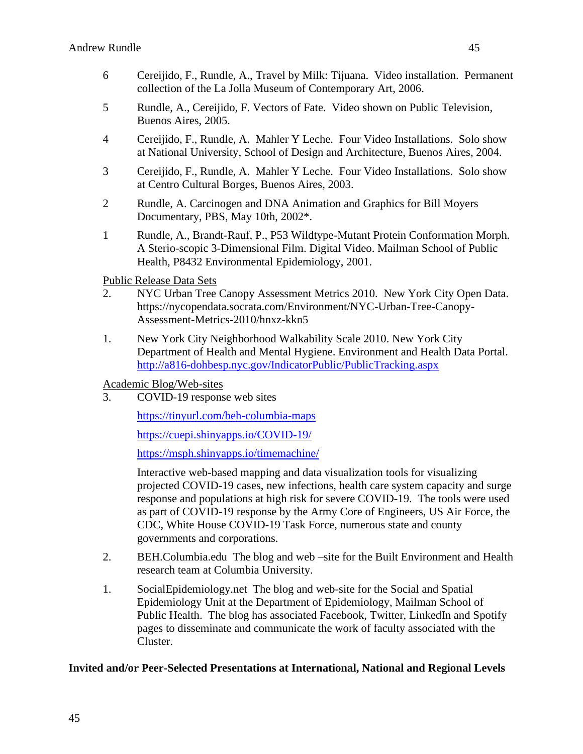- 6 Cereijido, F., Rundle, A., Travel by Milk: Tijuana. Video installation. Permanent collection of the La Jolla Museum of Contemporary Art, 2006.
- 5 Rundle, A., Cereijido, F. Vectors of Fate. Video shown on Public Television, Buenos Aires, 2005.
- 4 Cereijido, F., Rundle, A. Mahler Y Leche. Four Video Installations. Solo show at National University, School of Design and Architecture, Buenos Aires, 2004.
- 3 Cereijido, F., Rundle, A. Mahler Y Leche. Four Video Installations. Solo show at Centro Cultural Borges, Buenos Aires, 2003.
- 2 Rundle, A. Carcinogen and DNA Animation and Graphics for Bill Moyers Documentary, PBS, May 10th, 2002\*.
- 1 Rundle, A., Brandt-Rauf, P., P53 Wildtype-Mutant Protein Conformation Morph. A Sterio-scopic 3-Dimensional Film. Digital Video. Mailman School of Public Health, P8432 Environmental Epidemiology, 2001.

Public Release Data Sets

- 2. NYC Urban Tree Canopy Assessment Metrics 2010. New York City Open Data. https://nycopendata.socrata.com/Environment/NYC-Urban-Tree-Canopy-Assessment-Metrics-2010/hnxz-kkn5
- 1. New York City Neighborhood Walkability Scale 2010. New York City Department of Health and Mental Hygiene. Environment and Health Data Portal. <http://a816-dohbesp.nyc.gov/IndicatorPublic/PublicTracking.aspx>

Academic Blog/Web-sites

3. COVID-19 response web sites

<https://tinyurl.com/beh-columbia-maps>

<https://cuepi.shinyapps.io/COVID-19/>

<https://msph.shinyapps.io/timemachine/>

Interactive web-based mapping and data visualization tools for visualizing projected COVID-19 cases, new infections, health care system capacity and surge response and populations at high risk for severe COVID-19. The tools were used as part of COVID-19 response by the Army Core of Engineers, US Air Force, the CDC, White House COVID-19 Task Force, numerous state and county governments and corporations.

- 2. BEH.Columbia.edu The blog and web –site for the Built Environment and Health research team at Columbia University.
- 1. SocialEpidemiology.net The blog and web-site for the Social and Spatial Epidemiology Unit at the Department of Epidemiology, Mailman School of Public Health. The blog has associated Facebook, Twitter, LinkedIn and Spotify pages to disseminate and communicate the work of faculty associated with the Cluster.

# **Invited and/or Peer-Selected Presentations at International, National and Regional Levels**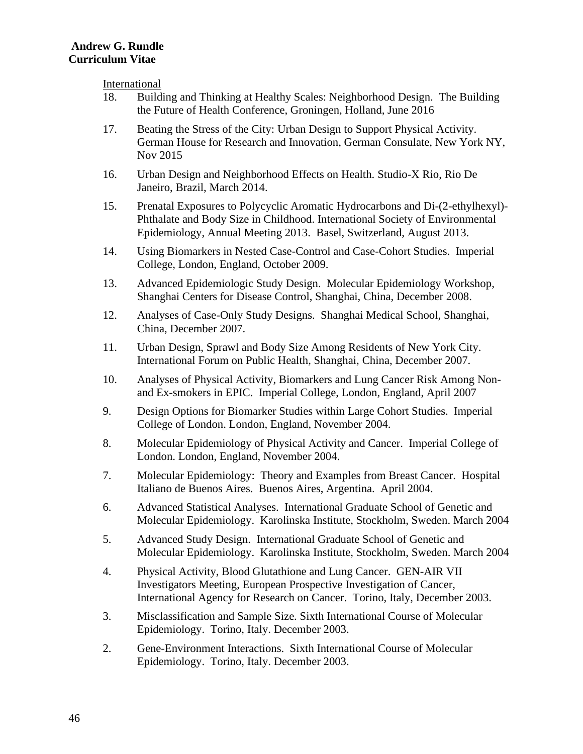International

- 18. Building and Thinking at Healthy Scales: Neighborhood Design. The Building the Future of Health Conference, Groningen, Holland, June 2016
- 17. Beating the Stress of the City: Urban Design to Support Physical Activity. German House for Research and Innovation, German Consulate, New York NY, Nov 2015
- 16. Urban Design and Neighborhood Effects on Health. Studio-X Rio, Rio De Janeiro, Brazil, March 2014.
- 15. Prenatal Exposures to Polycyclic Aromatic Hydrocarbons and Di-(2-ethylhexyl)- Phthalate and Body Size in Childhood. International Society of Environmental Epidemiology, Annual Meeting 2013. Basel, Switzerland, August 2013.
- 14. Using Biomarkers in Nested Case-Control and Case-Cohort Studies. Imperial College, London, England, October 2009.
- 13. Advanced Epidemiologic Study Design. Molecular Epidemiology Workshop, Shanghai Centers for Disease Control, Shanghai, China, December 2008.
- 12. Analyses of Case-Only Study Designs. Shanghai Medical School, Shanghai, China, December 2007.
- 11. Urban Design, Sprawl and Body Size Among Residents of New York City. International Forum on Public Health, Shanghai, China, December 2007.
- 10. Analyses of Physical Activity, Biomarkers and Lung Cancer Risk Among Nonand Ex-smokers in EPIC. Imperial College, London, England, April 2007
- 9. Design Options for Biomarker Studies within Large Cohort Studies. Imperial College of London. London, England, November 2004.
- 8. Molecular Epidemiology of Physical Activity and Cancer. Imperial College of London. London, England, November 2004.
- 7. Molecular Epidemiology: Theory and Examples from Breast Cancer. Hospital Italiano de Buenos Aires. Buenos Aires, Argentina. April 2004.
- 6. Advanced Statistical Analyses. International Graduate School of Genetic and Molecular Epidemiology. Karolinska Institute, Stockholm, Sweden. March 2004
- 5. Advanced Study Design. International Graduate School of Genetic and Molecular Epidemiology. Karolinska Institute, Stockholm, Sweden. March 2004
- 4. Physical Activity, Blood Glutathione and Lung Cancer. GEN-AIR VII Investigators Meeting, European Prospective Investigation of Cancer, International Agency for Research on Cancer. Torino, Italy, December 2003.
- 3. Misclassification and Sample Size. Sixth International Course of Molecular Epidemiology. Torino, Italy. December 2003.
- 2. Gene-Environment Interactions. Sixth International Course of Molecular Epidemiology. Torino, Italy. December 2003.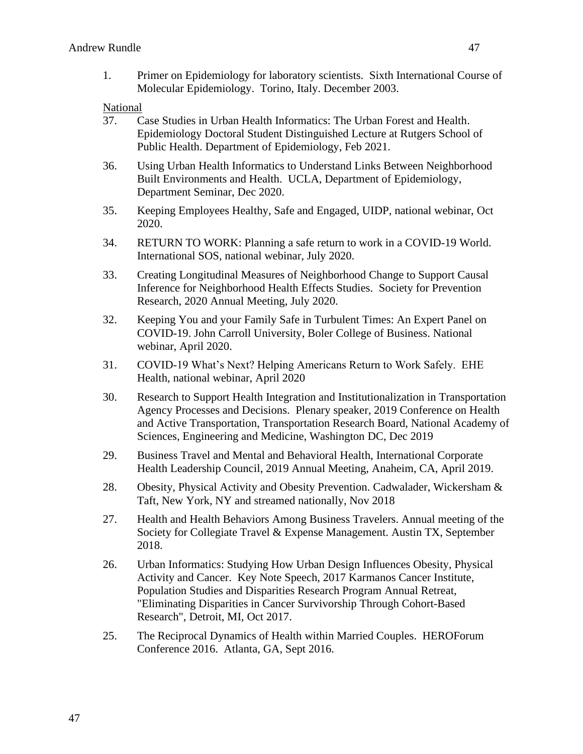1. Primer on Epidemiology for laboratory scientists. Sixth International Course of Molecular Epidemiology. Torino, Italy. December 2003.

National

- 37. Case Studies in Urban Health Informatics: The Urban Forest and Health. Epidemiology Doctoral Student Distinguished Lecture at Rutgers School of Public Health. Department of Epidemiology, Feb 2021.
- 36. Using Urban Health Informatics to Understand Links Between Neighborhood Built Environments and Health. UCLA, Department of Epidemiology, Department Seminar, Dec 2020.
- 35. Keeping Employees Healthy, Safe and Engaged, UIDP, national webinar, Oct 2020.
- 34. RETURN TO WORK: Planning a safe return to work in a COVID-19 World. International SOS, national webinar, July 2020.
- 33. Creating Longitudinal Measures of Neighborhood Change to Support Causal Inference for Neighborhood Health Effects Studies. Society for Prevention Research, 2020 Annual Meeting, July 2020.
- 32. Keeping You and your Family Safe in Turbulent Times: An Expert Panel on COVID-19. John Carroll University, Boler College of Business. National webinar, April 2020.
- 31. COVID-19 What's Next? Helping Americans Return to Work Safely. EHE Health, national webinar, April 2020
- 30. Research to Support Health Integration and Institutionalization in Transportation Agency Processes and Decisions. Plenary speaker, 2019 Conference on Health and Active Transportation, Transportation Research Board, National Academy of Sciences, Engineering and Medicine, Washington DC, Dec 2019
- 29. Business Travel and Mental and Behavioral Health, International Corporate Health Leadership Council, 2019 Annual Meeting, Anaheim, CA, April 2019.
- 28. Obesity, Physical Activity and Obesity Prevention. Cadwalader, Wickersham & Taft, New York, NY and streamed nationally, Nov 2018
- 27. Health and Health Behaviors Among Business Travelers. Annual meeting of the Society for Collegiate Travel & Expense Management. Austin TX, September 2018.
- 26. Urban Informatics: Studying How Urban Design Influences Obesity, Physical Activity and Cancer. Key Note Speech, 2017 Karmanos Cancer Institute, Population Studies and Disparities Research Program Annual Retreat, "Eliminating Disparities in Cancer Survivorship Through Cohort-Based Research", Detroit, MI, Oct 2017.
- 25. The Reciprocal Dynamics of Health within Married Couples. HEROForum Conference 2016. Atlanta, GA, Sept 2016.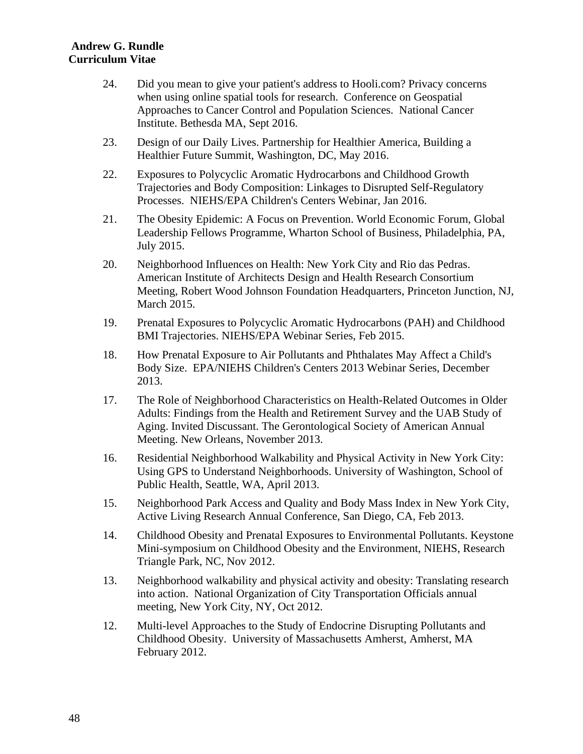- 24. Did you mean to give your patient's address to Hooli.com? Privacy concerns when using online spatial tools for research. Conference on Geospatial Approaches to Cancer Control and Population Sciences. National Cancer Institute. Bethesda MA, Sept 2016.
- 23. Design of our Daily Lives. Partnership for Healthier America, Building a Healthier Future Summit, Washington, DC, May 2016.
- 22. Exposures to Polycyclic Aromatic Hydrocarbons and Childhood Growth Trajectories and Body Composition: Linkages to Disrupted Self-Regulatory Processes. NIEHS/EPA Children's Centers Webinar, Jan 2016.
- 21. The Obesity Epidemic: A Focus on Prevention. World Economic Forum, Global Leadership Fellows Programme, Wharton School of Business, Philadelphia, PA, July 2015.
- 20. Neighborhood Influences on Health: New York City and Rio das Pedras. American Institute of Architects Design and Health Research Consortium Meeting, Robert Wood Johnson Foundation Headquarters, Princeton Junction, NJ, March 2015.
- 19. Prenatal Exposures to Polycyclic Aromatic Hydrocarbons (PAH) and Childhood BMI Trajectories. NIEHS/EPA Webinar Series, Feb 2015.
- 18. How Prenatal Exposure to Air Pollutants and Phthalates May Affect a Child's Body Size. EPA/NIEHS Children's Centers 2013 Webinar Series, December 2013.
- 17. The Role of Neighborhood Characteristics on Health-Related Outcomes in Older Adults: Findings from the Health and Retirement Survey and the UAB Study of Aging. Invited Discussant. The Gerontological Society of American Annual Meeting. New Orleans, November 2013.
- 16. Residential Neighborhood Walkability and Physical Activity in New York City: Using GPS to Understand Neighborhoods. University of Washington, School of Public Health, Seattle, WA, April 2013.
- 15. Neighborhood Park Access and Quality and Body Mass Index in New York City, Active Living Research Annual Conference, San Diego, CA, Feb 2013.
- 14. Childhood Obesity and Prenatal Exposures to Environmental Pollutants. Keystone Mini-symposium on Childhood Obesity and the Environment, NIEHS, Research Triangle Park, NC, Nov 2012.
- 13. Neighborhood walkability and physical activity and obesity: Translating research into action. National Organization of City Transportation Officials annual meeting, New York City, NY, Oct 2012.
- 12. Multi-level Approaches to the Study of Endocrine Disrupting Pollutants and Childhood Obesity. University of Massachusetts Amherst, Amherst, MA February 2012.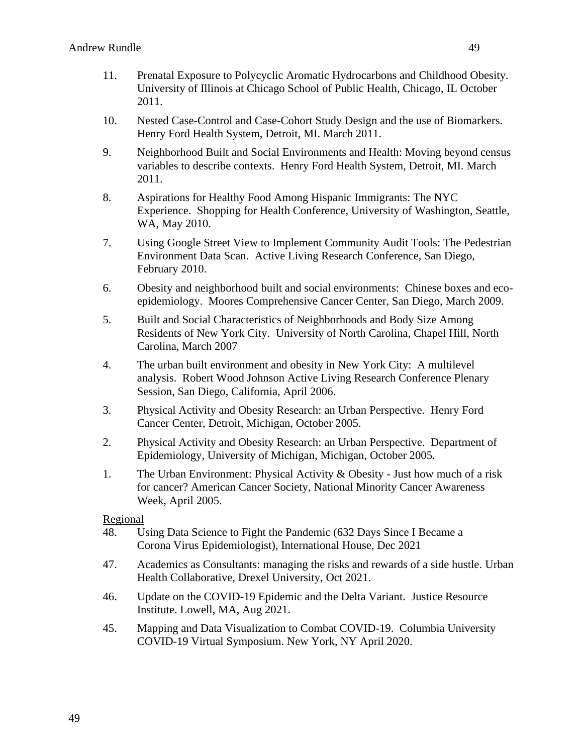- 11. Prenatal Exposure to Polycyclic Aromatic Hydrocarbons and Childhood Obesity. University of Illinois at Chicago School of Public Health, Chicago, IL October 2011.
- 10. Nested Case-Control and Case-Cohort Study Design and the use of Biomarkers. Henry Ford Health System, Detroit, MI. March 2011.
- 9. Neighborhood Built and Social Environments and Health: Moving beyond census variables to describe contexts. Henry Ford Health System, Detroit, MI. March 2011.
- 8. Aspirations for Healthy Food Among Hispanic Immigrants: The NYC Experience. Shopping for Health Conference, University of Washington, Seattle, WA, May 2010.
- 7. Using Google Street View to Implement Community Audit Tools: The Pedestrian Environment Data Scan. Active Living Research Conference, San Diego, February 2010.
- 6. Obesity and neighborhood built and social environments: Chinese boxes and ecoepidemiology. Moores Comprehensive Cancer Center, San Diego, March 2009.
- 5. Built and Social Characteristics of Neighborhoods and Body Size Among Residents of New York City. University of North Carolina, Chapel Hill, North Carolina, March 2007
- 4. The urban built environment and obesity in New York City: A multilevel analysis. Robert Wood Johnson Active Living Research Conference Plenary Session, San Diego, California, April 2006.
- 3. Physical Activity and Obesity Research: an Urban Perspective. Henry Ford Cancer Center, Detroit, Michigan, October 2005.
- 2. Physical Activity and Obesity Research: an Urban Perspective. Department of Epidemiology, University of Michigan, Michigan, October 2005.
- 1. The Urban Environment: Physical Activity & Obesity Just how much of a risk for cancer? American Cancer Society, National Minority Cancer Awareness Week, April 2005.

### Regional

- 48. Using Data Science to Fight the Pandemic (632 Days Since I Became a Corona Virus Epidemiologist), International House, Dec 2021
- 47. Academics as Consultants: managing the risks and rewards of a side hustle. Urban Health Collaborative, Drexel University, Oct 2021.
- 46. Update on the COVID-19 Epidemic and the Delta Variant. Justice Resource Institute. Lowell, MA, Aug 2021.
- 45. Mapping and Data Visualization to Combat COVID-19. Columbia University COVID-19 Virtual Symposium. New York, NY April 2020.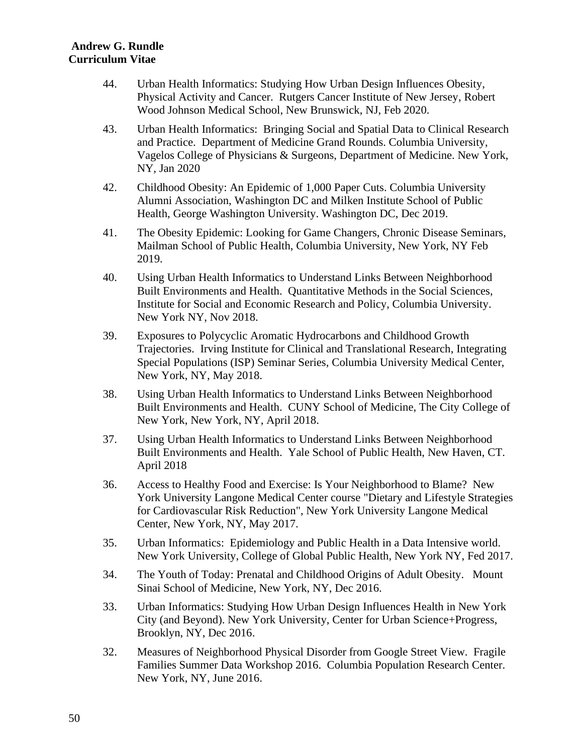- 44. Urban Health Informatics: Studying How Urban Design Influences Obesity, Physical Activity and Cancer. Rutgers Cancer Institute of New Jersey, Robert Wood Johnson Medical School, New Brunswick, NJ, Feb 2020.
- 43. Urban Health Informatics: Bringing Social and Spatial Data to Clinical Research and Practice. Department of Medicine Grand Rounds. Columbia University, Vagelos College of Physicians & Surgeons, Department of Medicine. New York, NY, Jan 2020
- 42. Childhood Obesity: An Epidemic of 1,000 Paper Cuts. Columbia University Alumni Association, Washington DC and Milken Institute School of Public Health, George Washington University. Washington DC, Dec 2019.
- 41. The Obesity Epidemic: Looking for Game Changers, Chronic Disease Seminars, Mailman School of Public Health, Columbia University, New York, NY Feb 2019.
- 40. Using Urban Health Informatics to Understand Links Between Neighborhood Built Environments and Health. Quantitative Methods in the Social Sciences, Institute for Social and Economic Research and Policy, Columbia University. New York NY, Nov 2018.
- 39. Exposures to Polycyclic Aromatic Hydrocarbons and Childhood Growth Trajectories. Irving Institute for Clinical and Translational Research, Integrating Special Populations (ISP) Seminar Series, Columbia University Medical Center, New York, NY, May 2018.
- 38. Using Urban Health Informatics to Understand Links Between Neighborhood Built Environments and Health. CUNY School of Medicine, The City College of New York, New York, NY, April 2018.
- 37. Using Urban Health Informatics to Understand Links Between Neighborhood Built Environments and Health. Yale School of Public Health, New Haven, CT. April 2018
- 36. Access to Healthy Food and Exercise: Is Your Neighborhood to Blame? New York University Langone Medical Center course "Dietary and Lifestyle Strategies for Cardiovascular Risk Reduction", New York University Langone Medical Center, New York, NY, May 2017.
- 35. Urban Informatics: Epidemiology and Public Health in a Data Intensive world. New York University, College of Global Public Health, New York NY, Fed 2017.
- 34. The Youth of Today: Prenatal and Childhood Origins of Adult Obesity. Mount Sinai School of Medicine, New York, NY, Dec 2016.
- 33. Urban Informatics: Studying How Urban Design Influences Health in New York City (and Beyond). New York University, Center for Urban Science+Progress, Brooklyn, NY, Dec 2016.
- 32. Measures of Neighborhood Physical Disorder from Google Street View. Fragile Families Summer Data Workshop 2016. Columbia Population Research Center. New York, NY, June 2016.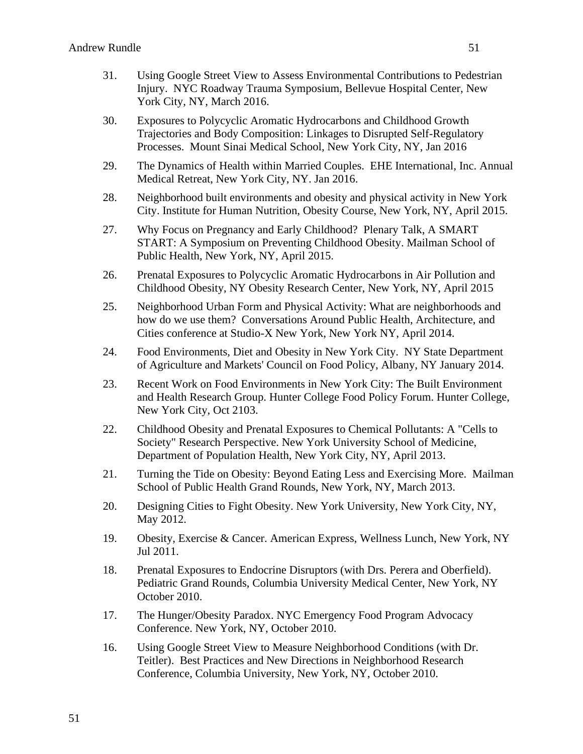- 31. Using Google Street View to Assess Environmental Contributions to Pedestrian Injury. NYC Roadway Trauma Symposium, Bellevue Hospital Center, New York City, NY, March 2016.
- 30. Exposures to Polycyclic Aromatic Hydrocarbons and Childhood Growth Trajectories and Body Composition: Linkages to Disrupted Self-Regulatory Processes. Mount Sinai Medical School, New York City, NY, Jan 2016
- 29. The Dynamics of Health within Married Couples. EHE International, Inc. Annual Medical Retreat, New York City, NY. Jan 2016.
- 28. Neighborhood built environments and obesity and physical activity in New York City. Institute for Human Nutrition, Obesity Course, New York, NY, April 2015.
- 27. Why Focus on Pregnancy and Early Childhood? Plenary Talk, A SMART START: A Symposium on Preventing Childhood Obesity. Mailman School of Public Health, New York, NY, April 2015.
- 26. Prenatal Exposures to Polycyclic Aromatic Hydrocarbons in Air Pollution and Childhood Obesity, NY Obesity Research Center, New York, NY, April 2015
- 25. Neighborhood Urban Form and Physical Activity: What are neighborhoods and how do we use them? Conversations Around Public Health, Architecture, and Cities conference at Studio-X New York, New York NY, April 2014.
- 24. Food Environments, Diet and Obesity in New York City. NY State Department of Agriculture and Markets' Council on Food Policy, Albany, NY January 2014.
- 23. Recent Work on Food Environments in New York City: The Built Environment and Health Research Group. Hunter College Food Policy Forum. Hunter College, New York City, Oct 2103.
- 22. Childhood Obesity and Prenatal Exposures to Chemical Pollutants: A "Cells to Society" Research Perspective. New York University School of Medicine, Department of Population Health, New York City, NY, April 2013.
- 21. Turning the Tide on Obesity: Beyond Eating Less and Exercising More. Mailman School of Public Health Grand Rounds, New York, NY, March 2013.
- 20. Designing Cities to Fight Obesity. New York University, New York City, NY, May 2012.
- 19. Obesity, Exercise & Cancer. American Express, Wellness Lunch, New York, NY Jul 2011.
- 18. Prenatal Exposures to Endocrine Disruptors (with Drs. Perera and Oberfield). Pediatric Grand Rounds, Columbia University Medical Center, New York, NY October 2010.
- 17. The Hunger/Obesity Paradox. NYC Emergency Food Program Advocacy Conference. New York, NY, October 2010.
- 16. Using Google Street View to Measure Neighborhood Conditions (with Dr. Teitler). Best Practices and New Directions in Neighborhood Research Conference, Columbia University, New York, NY, October 2010.